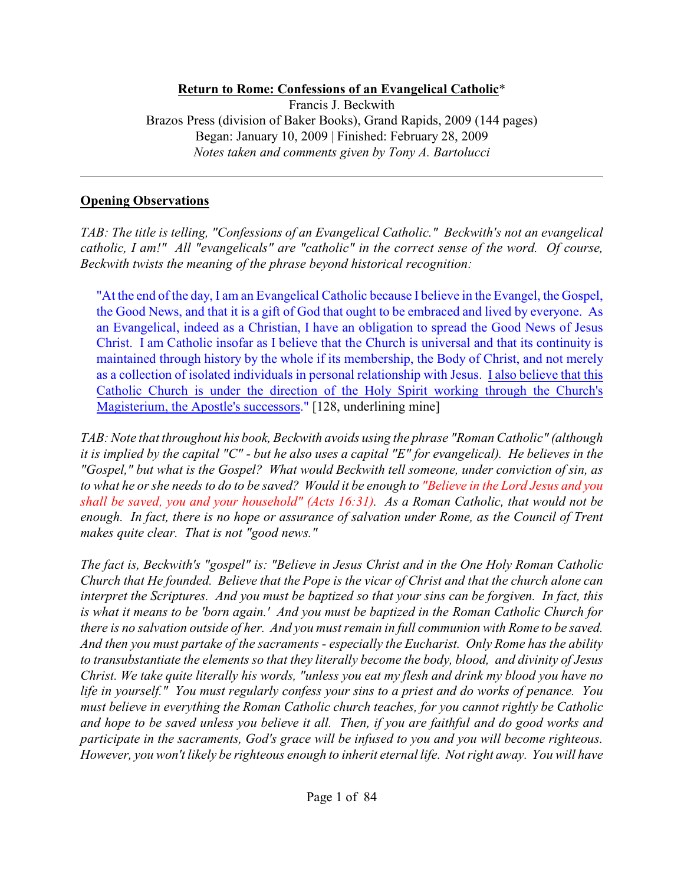#### **Return to Rome: Confessions of an Evangelical Catholic**\*

Francis J. Beckwith Brazos Press (division of Baker Books), Grand Rapids, 2009 (144 pages) Began: January 10, 2009 | Finished: February 28, 2009 *Notes taken and comments given by Tony A. Bartolucci*

#### **Opening Observations**

*TAB: The title is telling, "Confessions of an Evangelical Catholic." Beckwith's not an evangelical catholic, I am!" All "evangelicals" are "catholic" in the correct sense of the word. Of course, Beckwith twists the meaning of the phrase beyond historical recognition:* 

"At the end of the day, I am an Evangelical Catholic because I believe in the Evangel, the Gospel, the Good News, and that it is a gift of God that ought to be embraced and lived by everyone. As an Evangelical, indeed as a Christian, I have an obligation to spread the Good News of Jesus Christ. I am Catholic insofar as I believe that the Church is universal and that its continuity is maintained through history by the whole if its membership, the Body of Christ, and not merely as a collection of isolated individuals in personal relationship with Jesus. I also believe that this Catholic Church is under the direction of the Holy Spirit working through the Church's Magisterium, the Apostle's successors." [128, underlining mine]

*TAB: Note that throughout his book, Beckwith avoids using the phrase "Roman Catholic" (although it is implied by the capital "C" - but he also uses a capital "E" for evangelical). He believes in the "Gospel," but what is the Gospel? What would Beckwith tell someone, under conviction of sin, as to what he or she needs to do to be saved? Would it be enough to "Believe in the Lord Jesus and you shall be saved, you and your household" (Acts 16:31). As a Roman Catholic, that would not be enough. In fact, there is no hope or assurance of salvation under Rome, as the Council of Trent makes quite clear. That is not "good news."* 

*The fact is, Beckwith's "gospel" is: "Believe in Jesus Christ and in the One Holy Roman Catholic Church that He founded. Believe that the Pope is the vicar of Christ and that the church alone can interpret the Scriptures. And you must be baptized so that your sins can be forgiven. In fact, this is what it means to be 'born again.' And you must be baptized in the Roman Catholic Church for there is no salvation outside of her. And you must remain in full communion with Rome to be saved. And then you must partake of the sacraments - especially the Eucharist. Only Rome has the ability to transubstantiate the elements so that they literally become the body, blood, and divinity of Jesus Christ. We take quite literally his words, "unless you eat my flesh and drink my blood you have no life in yourself." You must regularly confess your sins to a priest and do works of penance. You must believe in everything the Roman Catholic church teaches, for you cannot rightly be Catholic and hope to be saved unless you believe it all. Then, if you are faithful and do good works and participate in the sacraments, God's grace will be infused to you and you will become righteous. However, you won't likely be righteous enough to inherit eternal life. Not right away. You will have*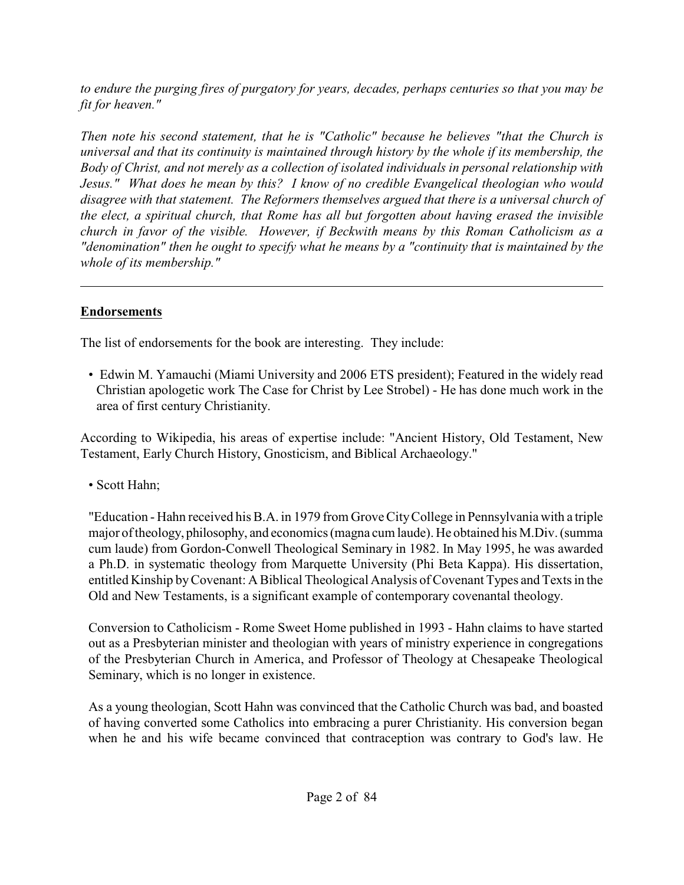*to endure the purging fires of purgatory for years, decades, perhaps centuries so that you may be fit for heaven."* 

*Then note his second statement, that he is "Catholic" because he believes "that the Church is universal and that its continuity is maintained through history by the whole if its membership, the Body of Christ, and not merely as a collection of isolated individuals in personal relationship with Jesus." What does he mean by this? I know of no credible Evangelical theologian who would disagree with that statement. The Reformers themselves argued that there is a universal church of the elect, a spiritual church, that Rome has all but forgotten about having erased the invisible church in favor of the visible. However, if Beckwith means by this Roman Catholicism as a "denomination" then he ought to specify what he means by a "continuity that is maintained by the whole of its membership."*

### **Endorsements**

The list of endorsements for the book are interesting. They include:

• Edwin M. Yamauchi (Miami University and 2006 ETS president); Featured in the widely read Christian apologetic work The Case for Christ by Lee Strobel) - He has done much work in the area of first century Christianity.

According to Wikipedia, his areas of expertise include: "Ancient History, Old Testament, New Testament, Early Church History, Gnosticism, and Biblical Archaeology."

• Scott Hahn;

"Education - Hahn received his B.A. in 1979 from Grove City College in Pennsylvania with a triple major of theology, philosophy, and economics (magna cum laude). He obtained his M.Div. (summa cum laude) from Gordon-Conwell Theological Seminary in 1982. In May 1995, he was awarded a Ph.D. in systematic theology from Marquette University (Phi Beta Kappa). His dissertation, entitled Kinship byCovenant: A Biblical Theological Analysis of Covenant Types and Texts in the Old and New Testaments, is a significant example of contemporary covenantal theology.

Conversion to Catholicism - Rome Sweet Home published in 1993 - Hahn claims to have started out as a Presbyterian minister and theologian with years of ministry experience in congregations of the Presbyterian Church in America, and Professor of Theology at Chesapeake Theological Seminary, which is no longer in existence.

As a young theologian, Scott Hahn was convinced that the Catholic Church was bad, and boasted of having converted some Catholics into embracing a purer Christianity. His conversion began when he and his wife became convinced that contraception was contrary to God's law. He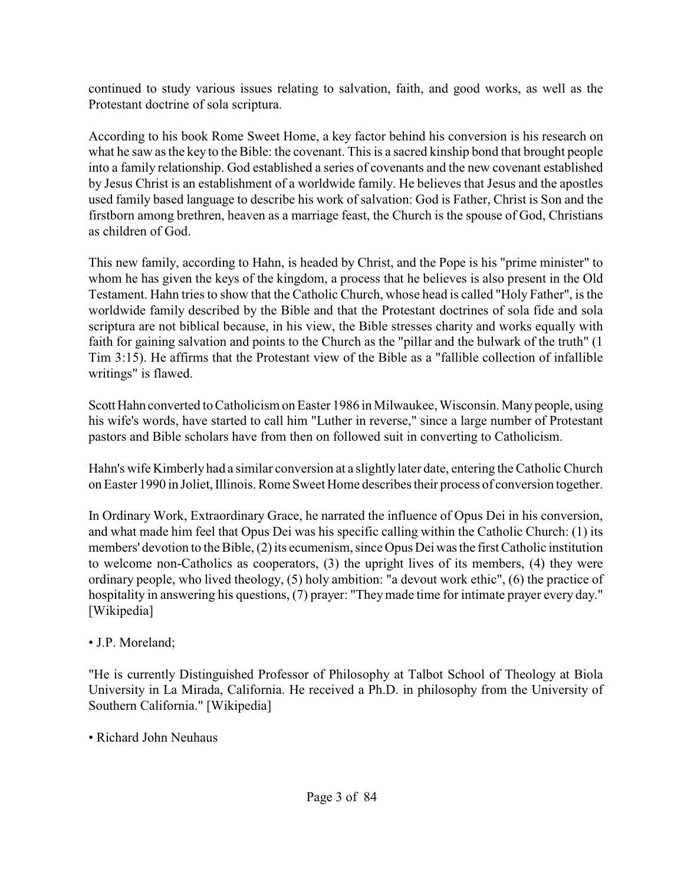continued to study various issues relating to salvation, faith, and good works, as well as the Protestant doctrine of sola scriptura.

According to his book Rome Sweet Home, a key factor behind his conversion is his research on what he saw as the key to the Bible: the covenant. This is a sacred kinship bond that brought people into a family relationship. God established a series of covenants and the new covenant established by Jesus Christ is an establishment of a worldwide family. He believes that Jesus and the apostles used family based language to describe his work of salvation: God is Father, Christ is Son and the firstborn among brethren, heaven as a marriage feast, the Church is the spouse of God, Christians as children of God.

This new family, according to Hahn, is headed by Christ, and the Pope is his "prime minister" to whom he has given the keys of the kingdom, a process that he believes is also present in the Old Testament. Hahn tries to show that the Catholic Church, whose head is called "Holy Father", is the worldwide family described by the Bible and that the Protestant doctrines of sola fide and sola scriptura are not biblical because, in his view, the Bible stresses charity and works equally with faith for gaining salvation and points to the Church as the "pillar and the bulwark of the truth" (1 Tim 3:15). He affirms that the Protestant view of the Bible as a "fallible collection of infallible writings" is flawed.

Scott Hahn converted to Catholicism on Easter 1986 in Milwaukee, Wisconsin. Many people, using his wife's words, have started to call him "Luther in reverse," since a large number of Protestant pastors and Bible scholars have from then on followed suit in converting to Catholicism.

Hahn's wife Kimberly had a similar conversion at a slightlylater date, entering the Catholic Church on Easter 1990 in Joliet, Illinois. Rome Sweet Home describes their process of conversion together.

In Ordinary Work, Extraordinary Grace, he narrated the influence of Opus Dei in his conversion, and what made him feel that Opus Dei was his specific calling within the Catholic Church: (1) its members' devotion to the Bible, (2) its ecumenism, since Opus Dei was the first Catholic institution to welcome non-Catholics as cooperators, (3) the upright lives of its members, (4) they were ordinary people, who lived theology, (5) holy ambition: "a devout work ethic", (6) the practice of hospitality in answering his questions, (7) prayer: "They made time for intimate prayer every day." [Wikipedia]

#### • J.P. Moreland;

"He is currently Distinguished Professor of Philosophy at Talbot School of Theology at Biola University in La Mirada, California. He received a Ph.D. in philosophy from the University of Southern California." [Wikipedia]

• Richard John Neuhaus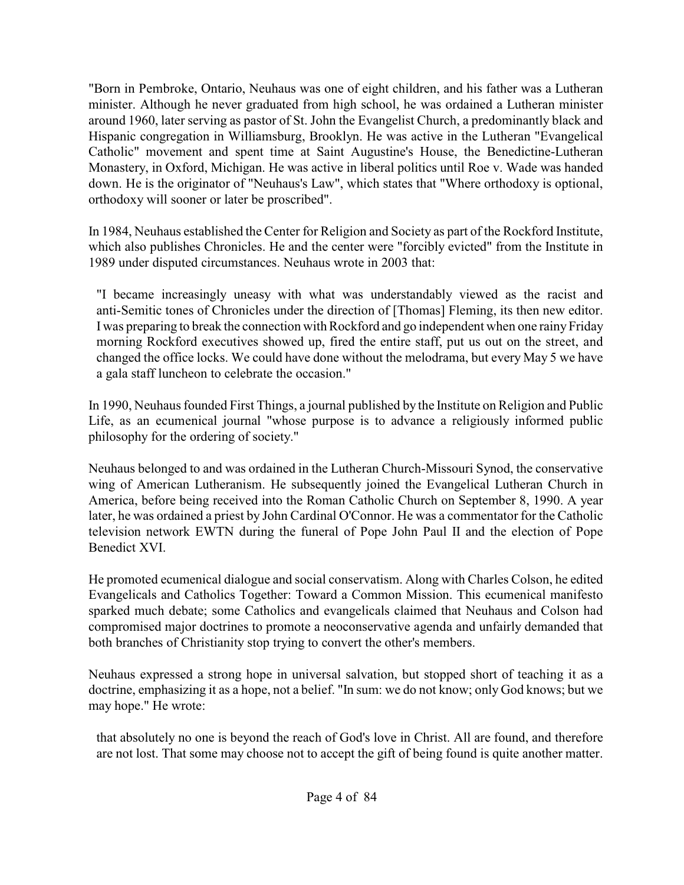"Born in Pembroke, Ontario, Neuhaus was one of eight children, and his father was a Lutheran minister. Although he never graduated from high school, he was ordained a Lutheran minister around 1960, later serving as pastor of St. John the Evangelist Church, a predominantly black and Hispanic congregation in Williamsburg, Brooklyn. He was active in the Lutheran "Evangelical Catholic" movement and spent time at Saint Augustine's House, the Benedictine-Lutheran Monastery, in Oxford, Michigan. He was active in liberal politics until Roe v. Wade was handed down. He is the originator of "Neuhaus's Law", which states that "Where orthodoxy is optional, orthodoxy will sooner or later be proscribed".

In 1984, Neuhaus established the Center for Religion and Society as part of the Rockford Institute, which also publishes Chronicles. He and the center were "forcibly evicted" from the Institute in 1989 under disputed circumstances. Neuhaus wrote in 2003 that:

"I became increasingly uneasy with what was understandably viewed as the racist and anti-Semitic tones of Chronicles under the direction of [Thomas] Fleming, its then new editor. I was preparing to break the connection with Rockford and go independent when one rainy Friday morning Rockford executives showed up, fired the entire staff, put us out on the street, and changed the office locks. We could have done without the melodrama, but every May 5 we have a gala staff luncheon to celebrate the occasion."

In 1990, Neuhaus founded First Things, a journal published by the Institute on Religion and Public Life, as an ecumenical journal "whose purpose is to advance a religiously informed public philosophy for the ordering of society."

Neuhaus belonged to and was ordained in the Lutheran Church-Missouri Synod, the conservative wing of American Lutheranism. He subsequently joined the Evangelical Lutheran Church in America, before being received into the Roman Catholic Church on September 8, 1990. A year later, he was ordained a priest by John Cardinal O'Connor. He was a commentator for the Catholic television network EWTN during the funeral of Pope John Paul II and the election of Pope Benedict XVI.

He promoted ecumenical dialogue and social conservatism. Along with Charles Colson, he edited Evangelicals and Catholics Together: Toward a Common Mission. This ecumenical manifesto sparked much debate; some Catholics and evangelicals claimed that Neuhaus and Colson had compromised major doctrines to promote a neoconservative agenda and unfairly demanded that both branches of Christianity stop trying to convert the other's members.

Neuhaus expressed a strong hope in universal salvation, but stopped short of teaching it as a doctrine, emphasizing it as a hope, not a belief. "In sum: we do not know; only God knows; but we may hope." He wrote:

that absolutely no one is beyond the reach of God's love in Christ. All are found, and therefore are not lost. That some may choose not to accept the gift of being found is quite another matter.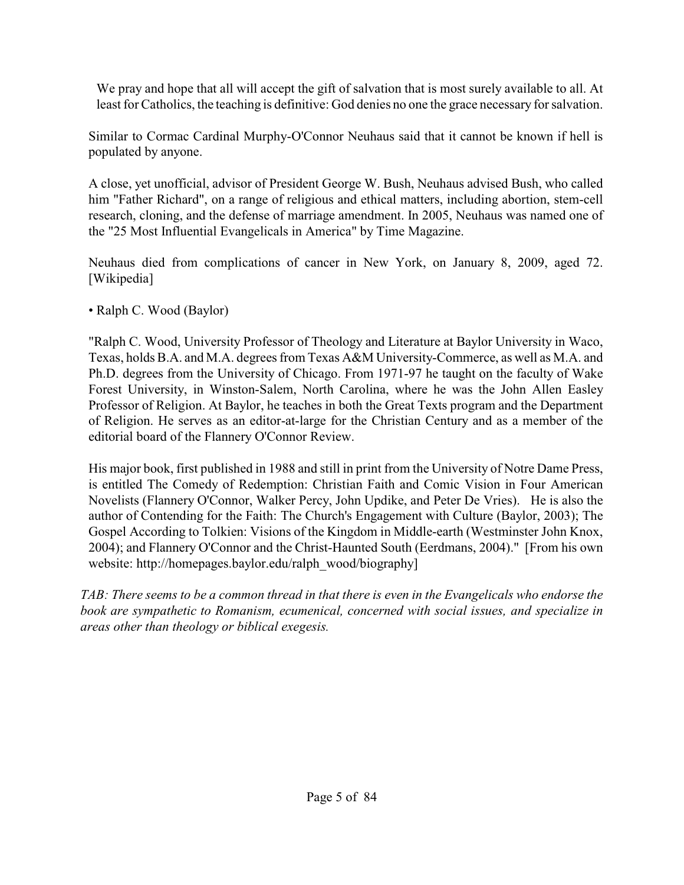We pray and hope that all will accept the gift of salvation that is most surely available to all. At least for Catholics, the teaching is definitive: God denies no one the grace necessary for salvation.

Similar to Cormac Cardinal Murphy-O'Connor Neuhaus said that it cannot be known if hell is populated by anyone.

A close, yet unofficial, advisor of President George W. Bush, Neuhaus advised Bush, who called him "Father Richard", on a range of religious and ethical matters, including abortion, stem-cell research, cloning, and the defense of marriage amendment. In 2005, Neuhaus was named one of the "25 Most Influential Evangelicals in America" by Time Magazine.

Neuhaus died from complications of cancer in New York, on January 8, 2009, aged 72. [Wikipedia]

• Ralph C. Wood (Baylor)

"Ralph C. Wood, University Professor of Theology and Literature at Baylor University in Waco, Texas, holds B.A. and M.A. degrees from Texas A&M University-Commerce, as well as M.A. and Ph.D. degrees from the University of Chicago. From 1971-97 he taught on the faculty of Wake Forest University, in Winston-Salem, North Carolina, where he was the John Allen Easley Professor of Religion. At Baylor, he teaches in both the Great Texts program and the Department of Religion. He serves as an editor-at-large for the Christian Century and as a member of the editorial board of the Flannery O'Connor Review.

His major book, first published in 1988 and still in print from the University of Notre Dame Press, is entitled The Comedy of Redemption: Christian Faith and Comic Vision in Four American Novelists (Flannery O'Connor, Walker Percy, John Updike, and Peter De Vries). He is also the author of Contending for the Faith: The Church's Engagement with Culture (Baylor, 2003); The Gospel According to Tolkien: Visions of the Kingdom in Middle-earth (Westminster John Knox, 2004); and Flannery O'Connor and the Christ-Haunted South (Eerdmans, 2004)." [From his own website: http://homepages.baylor.edu/ralph\_wood/biography]

*TAB: There seems to be a common thread in that there is even in the Evangelicals who endorse the book are sympathetic to Romanism, ecumenical, concerned with social issues, and specialize in areas other than theology or biblical exegesis.*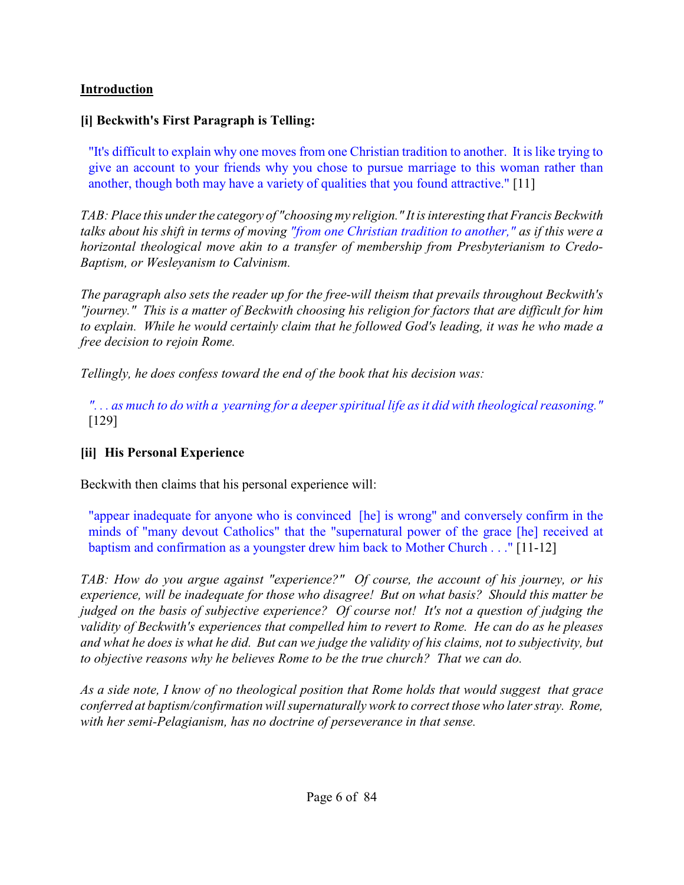#### **Introduction**

#### **[i] Beckwith's First Paragraph is Telling:**

"It's difficult to explain why one moves from one Christian tradition to another. It is like trying to give an account to your friends why you chose to pursue marriage to this woman rather than another, though both may have a variety of qualities that you found attractive." [11]

*TAB: Place this under the category of "choosing my religion." It is interesting that Francis Beckwith talks about his shift in terms of moving "from one Christian tradition to another," as if this were a horizontal theological move akin to a transfer of membership from Presbyterianism to Credo-Baptism, or Wesleyanism to Calvinism.* 

*The paragraph also sets the reader up for the free-will theism that prevails throughout Beckwith's "journey." This is a matter of Beckwith choosing his religion for factors that are difficult for him to explain. While he would certainly claim that he followed God's leading, it was he who made a free decision to rejoin Rome.*

*Tellingly, he does confess toward the end of the book that his decision was:*

*". . . as much to do with a yearning for a deeper spiritual life as it did with theological reasoning."* [129]

### **[ii] His Personal Experience**

Beckwith then claims that his personal experience will:

"appear inadequate for anyone who is convinced [he] is wrong" and conversely confirm in the minds of "many devout Catholics" that the "supernatural power of the grace [he] received at baptism and confirmation as a youngster drew him back to Mother Church . . ." [11-12]

*TAB: How do you argue against "experience?" Of course, the account of his journey, or his experience, will be inadequate for those who disagree! But on what basis? Should this matter be judged on the basis of subjective experience? Of course not! It's not a question of judging the validity of Beckwith's experiences that compelled him to revert to Rome. He can do as he pleases and what he does is what he did. But can we judge the validity of his claims, not to subjectivity, but to objective reasons why he believes Rome to be the true church? That we can do.*

*As a side note, I know of no theological position that Rome holds that would suggest that grace conferred at baptism/confirmation will supernaturally work to correct those who later stray. Rome, with her semi-Pelagianism, has no doctrine of perseverance in that sense.*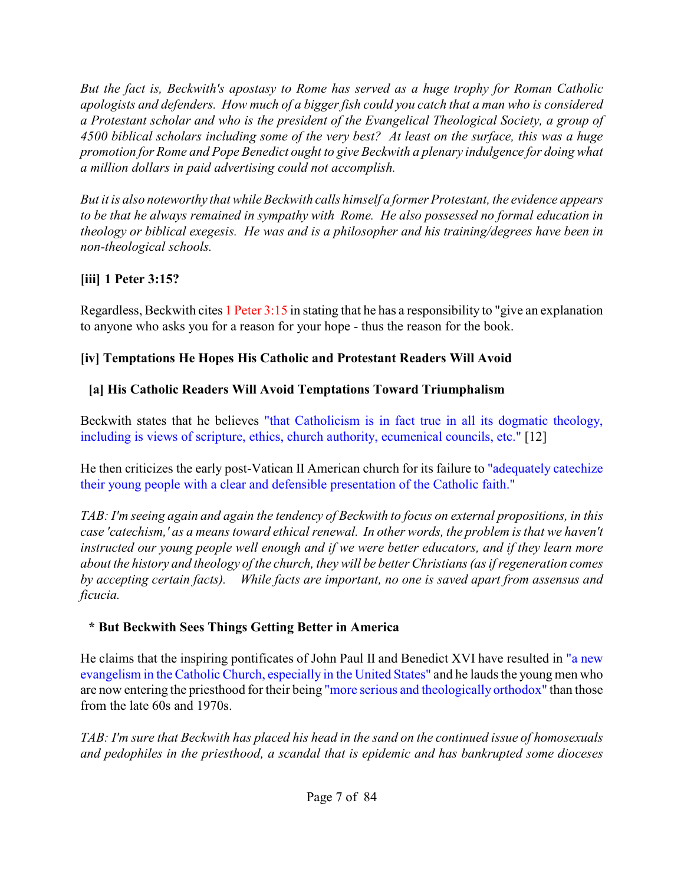*But the fact is, Beckwith's apostasy to Rome has served as a huge trophy for Roman Catholic apologists and defenders. How much of a bigger fish could you catch that a man who is considered a Protestant scholar and who is the president of the Evangelical Theological Society, a group of 4500 biblical scholars including some of the very best? At least on the surface, this was a huge promotion for Rome and Pope Benedict ought to give Beckwith a plenary indulgence for doing what a million dollars in paid advertising could not accomplish.*

*But it is also noteworthy that while Beckwith calls himself a former Protestant, the evidence appears to be that he always remained in sympathy with Rome. He also possessed no formal education in theology or biblical exegesis. He was and is a philosopher and his training/degrees have been in non-theological schools.*

### **[iii] 1 Peter 3:15?**

Regardless, Beckwith cites 1 Peter 3:15 in stating that he has a responsibility to "give an explanation to anyone who asks you for a reason for your hope - thus the reason for the book.

### **[iv] Temptations He Hopes His Catholic and Protestant Readers Will Avoid**

### **[a] His Catholic Readers Will Avoid Temptations Toward Triumphalism**

Beckwith states that he believes "that Catholicism is in fact true in all its dogmatic theology, including is views of scripture, ethics, church authority, ecumenical councils, etc." [12]

He then criticizes the early post-Vatican II American church for its failure to "adequately catechize their young people with a clear and defensible presentation of the Catholic faith."

*TAB: I'm seeing again and again the tendency of Beckwith to focus on external propositions, in this case 'catechism,' as a means toward ethical renewal. In other words, the problem is that we haven't instructed our young people well enough and if we were better educators, and if they learn more about the history and theology of the church, they will be better Christians (as if regeneration comes by accepting certain facts). While facts are important, no one is saved apart from assensus and ficucia.*

### **\* But Beckwith Sees Things Getting Better in America**

He claims that the inspiring pontificates of John Paul II and Benedict XVI have resulted in "a new evangelism in the Catholic Church, especially in the United States" and he lauds the young men who are now entering the priesthood for their being "more serious and theologically orthodox" than those from the late 60s and 1970s.

*TAB: I'm sure that Beckwith has placed his head in the sand on the continued issue of homosexuals and pedophiles in the priesthood, a scandal that is epidemic and has bankrupted some dioceses*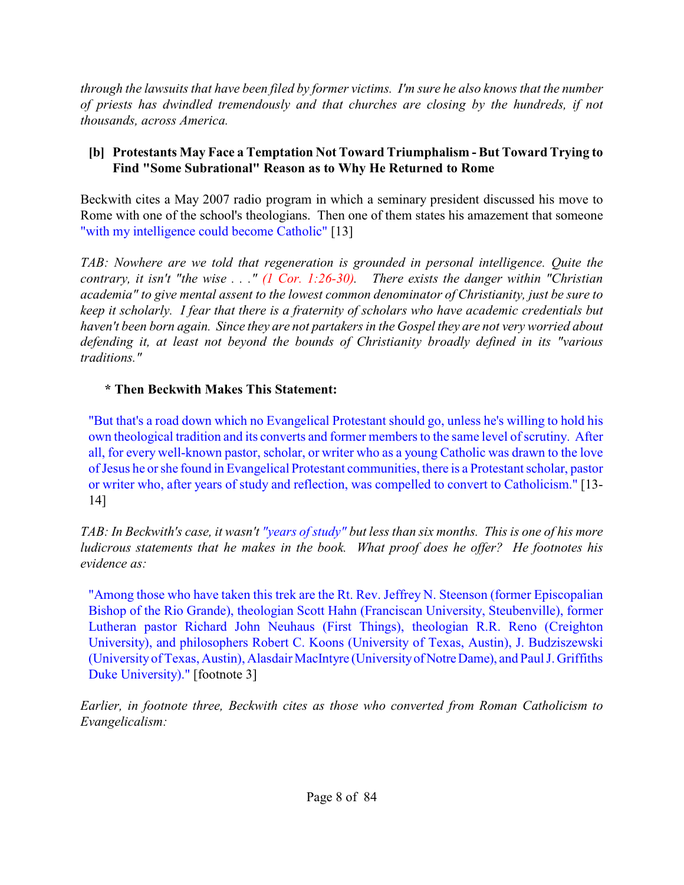*through the lawsuits that have been filed by former victims. I'm sure he also knows that the number of priests has dwindled tremendously and that churches are closing by the hundreds, if not thousands, across America.* 

#### **[b] Protestants May Face a Temptation Not Toward Triumphalism - But Toward Trying to Find "Some Subrational" Reason as to Why He Returned to Rome**

Beckwith cites a May 2007 radio program in which a seminary president discussed his move to Rome with one of the school's theologians. Then one of them states his amazement that someone "with my intelligence could become Catholic" [13]

*TAB: Nowhere are we told that regeneration is grounded in personal intelligence. Quite the contrary, it isn't "the wise . . ." (1 Cor. 1:26-30). There exists the danger within "Christian academia" to give mental assent to the lowest common denominator of Christianity, just be sure to keep it scholarly. I fear that there is a fraternity of scholars who have academic credentials but haven't been born again. Since they are not partakers in the Gospel they are not very worried about defending it, at least not beyond the bounds of Christianity broadly defined in its "various traditions."*

#### **\* Then Beckwith Makes This Statement:**

"But that's a road down which no Evangelical Protestant should go, unless he's willing to hold his own theological tradition and its converts and former members to the same level of scrutiny. After all, for every well-known pastor, scholar, or writer who as a young Catholic was drawn to the love of Jesus he or she found in Evangelical Protestant communities, there is a Protestant scholar, pastor or writer who, after years of study and reflection, was compelled to convert to Catholicism." [13- 14]

*TAB: In Beckwith's case, it wasn't "years of study" but less than six months. This is one of his more ludicrous statements that he makes in the book. What proof does he offer? He footnotes his evidence as:*

"Among those who have taken this trek are the Rt. Rev. Jeffrey N. Steenson (former Episcopalian Bishop of the Rio Grande), theologian Scott Hahn (Franciscan University, Steubenville), former Lutheran pastor Richard John Neuhaus (First Things), theologian R.R. Reno (Creighton University), and philosophers Robert C. Koons (University of Texas, Austin), J. Budziszewski (University of Texas, Austin), Alasdair MacIntyre (University of Notre Dame), and Paul J. Griffiths Duke University)." [footnote 3]

*Earlier, in footnote three, Beckwith cites as those who converted from Roman Catholicism to Evangelicalism:*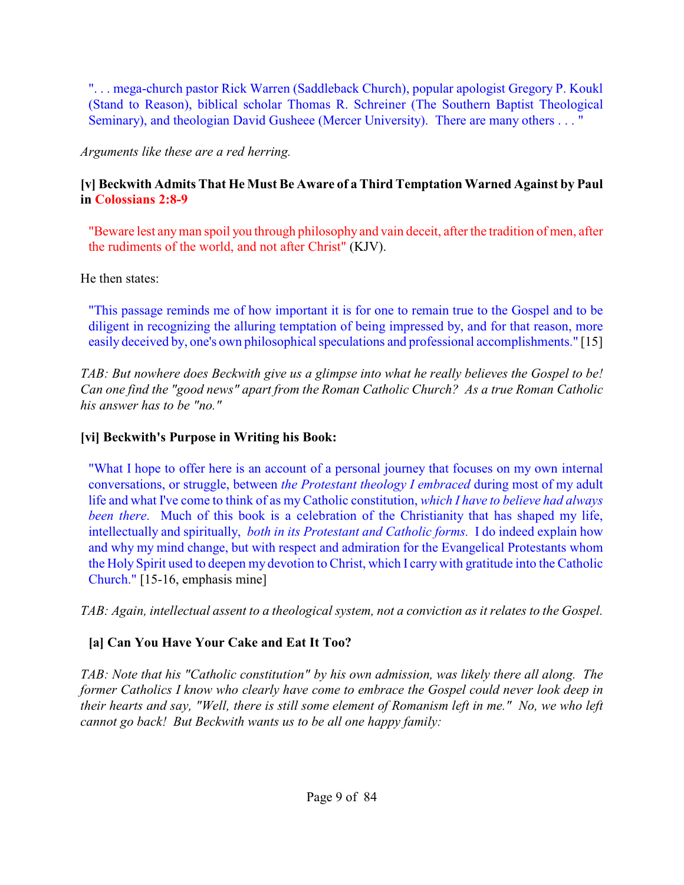". . . mega-church pastor Rick Warren (Saddleback Church), popular apologist Gregory P. Koukl (Stand to Reason), biblical scholar Thomas R. Schreiner (The Southern Baptist Theological Seminary), and theologian David Gusheee (Mercer University). There are many others . . . "

*Arguments like these are a red herring.* 

### **[v] Beckwith Admits That He Must Be Aware of a Third TemptationWarned Against by Paul in Colossians 2:8-9**

"Beware lest any man spoil you through philosophy and vain deceit, after the tradition of men, after the rudiments of the world, and not after Christ" (KJV).

He then states:

"This passage reminds me of how important it is for one to remain true to the Gospel and to be diligent in recognizing the alluring temptation of being impressed by, and for that reason, more easily deceived by, one's own philosophical speculations and professional accomplishments." [15]

*TAB: But nowhere does Beckwith give us a glimpse into what he really believes the Gospel to be! Can one find the "good news" apart from the Roman Catholic Church? As a true Roman Catholic his answer has to be "no."*

### **[vi] Beckwith's Purpose in Writing his Book:**

"What I hope to offer here is an account of a personal journey that focuses on my own internal conversations, or struggle, between *the Protestant theology I embraced* during most of my adult life and what I've come to think of as my Catholic constitution, *which I have to believe had always been there*. Much of this book is a celebration of the Christianity that has shaped my life, intellectually and spiritually, *both in its Protestant and Catholic forms.* I do indeed explain how and why my mind change, but with respect and admiration for the Evangelical Protestants whom the Holy Spirit used to deepen my devotion to Christ, which I carry with gratitude into the Catholic Church." [15-16, emphasis mine]

*TAB: Again, intellectual assent to a theological system, not a conviction as it relates to the Gospel.*

# **[a] Can You Have Your Cake and Eat It Too?**

*TAB: Note that his "Catholic constitution" by his own admission, was likely there all along. The former Catholics I know who clearly have come to embrace the Gospel could never look deep in their hearts and say, "Well, there is still some element of Romanism left in me." No, we who left cannot go back! But Beckwith wants us to be all one happy family:*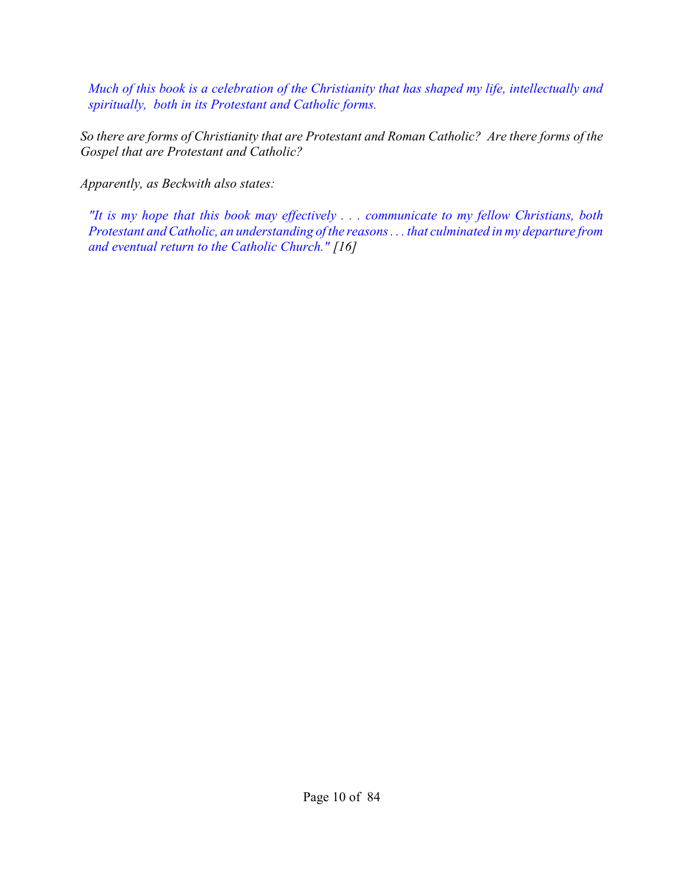*Much of this book is a celebration of the Christianity that has shaped my life, intellectually and spiritually, both in its Protestant and Catholic forms.* 

*So there are forms of Christianity that are Protestant and Roman Catholic? Are there forms of the Gospel that are Protestant and Catholic?*

*Apparently, as Beckwith also states:*

*"It is my hope that this book may effectively . . . communicate to my fellow Christians, both Protestant and Catholic, an understanding of the reasons . . . that culminated in my departure from and eventual return to the Catholic Church." [16]*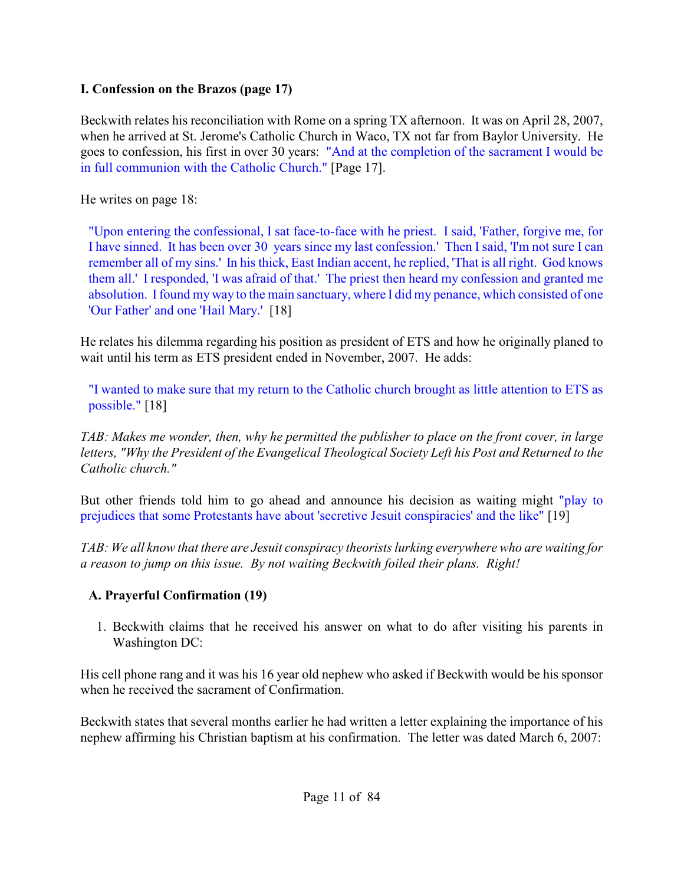#### **I. Confession on the Brazos (page 17)**

Beckwith relates his reconciliation with Rome on a spring TX afternoon. It was on April 28, 2007, when he arrived at St. Jerome's Catholic Church in Waco, TX not far from Baylor University. He goes to confession, his first in over 30 years: "And at the completion of the sacrament I would be in full communion with the Catholic Church." [Page 17].

He writes on page 18:

"Upon entering the confessional, I sat face-to-face with he priest. I said, 'Father, forgive me, for I have sinned. It has been over 30 years since my last confession.' Then I said, 'I'm not sure I can remember all of my sins.' In his thick, East Indian accent, he replied, 'That is all right. God knows them all.' I responded, 'I was afraid of that.' The priest then heard my confession and granted me absolution. I found my way to the main sanctuary, where I did my penance, which consisted of one 'Our Father' and one 'Hail Mary.' [18]

He relates his dilemma regarding his position as president of ETS and how he originally planed to wait until his term as ETS president ended in November, 2007. He adds:

"I wanted to make sure that my return to the Catholic church brought as little attention to ETS as possible." [18]

*TAB: Makes me wonder, then, why he permitted the publisher to place on the front cover, in large letters, "Why the President of the Evangelical Theological Society Left his Post and Returned to the Catholic church."*

But other friends told him to go ahead and announce his decision as waiting might "play to prejudices that some Protestants have about 'secretive Jesuit conspiracies' and the like" [19]

*TAB: We all know that there are Jesuit conspiracy theorists lurking everywhere who are waiting for a reason to jump on this issue. By not waiting Beckwith foiled their plans. Right!*

### **A. Prayerful Confirmation (19)**

1. Beckwith claims that he received his answer on what to do after visiting his parents in Washington DC:

His cell phone rang and it was his 16 year old nephew who asked if Beckwith would be his sponsor when he received the sacrament of Confirmation.

Beckwith states that several months earlier he had written a letter explaining the importance of his nephew affirming his Christian baptism at his confirmation. The letter was dated March 6, 2007: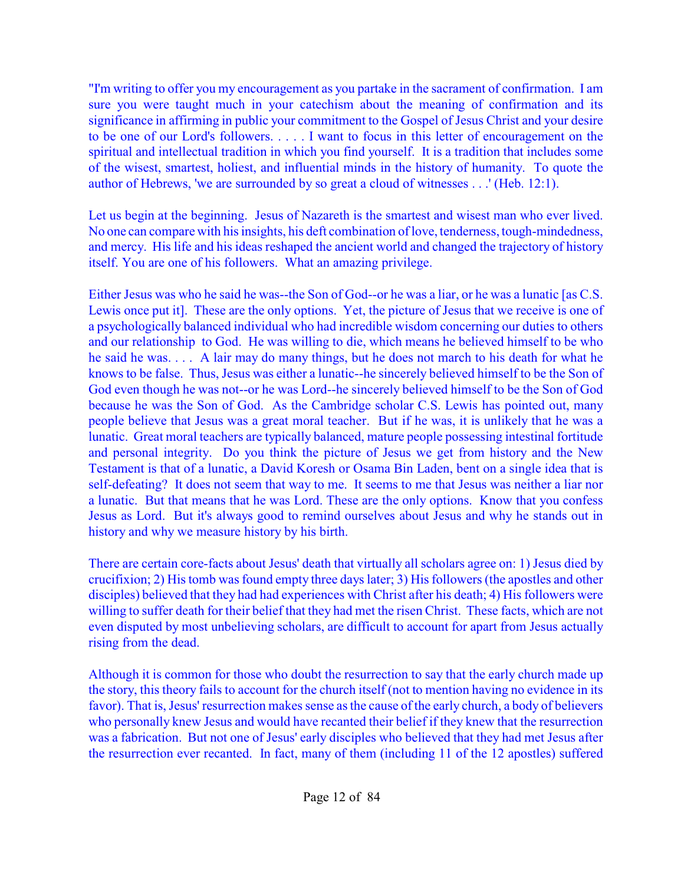"I'm writing to offer you my encouragement as you partake in the sacrament of confirmation. I am sure you were taught much in your catechism about the meaning of confirmation and its significance in affirming in public your commitment to the Gospel of Jesus Christ and your desire to be one of our Lord's followers. . . . . I want to focus in this letter of encouragement on the spiritual and intellectual tradition in which you find yourself. It is a tradition that includes some of the wisest, smartest, holiest, and influential minds in the history of humanity. To quote the author of Hebrews, 'we are surrounded by so great a cloud of witnesses . . .' (Heb. 12:1).

Let us begin at the beginning. Jesus of Nazareth is the smartest and wisest man who ever lived. No one can compare with his insights, his deft combination of love, tenderness, tough-mindedness, and mercy. His life and his ideas reshaped the ancient world and changed the trajectory of history itself. You are one of his followers. What an amazing privilege.

Either Jesus was who he said he was--the Son of God--or he was a liar, or he was a lunatic [as C.S. Lewis once put it]. These are the only options. Yet, the picture of Jesus that we receive is one of a psychologically balanced individual who had incredible wisdom concerning our duties to others and our relationship to God. He was willing to die, which means he believed himself to be who he said he was. . . . A lair may do many things, but he does not march to his death for what he knows to be false. Thus, Jesus was either a lunatic--he sincerely believed himself to be the Son of God even though he was not--or he was Lord--he sincerely believed himself to be the Son of God because he was the Son of God. As the Cambridge scholar C.S. Lewis has pointed out, many people believe that Jesus was a great moral teacher. But if he was, it is unlikely that he was a lunatic. Great moral teachers are typically balanced, mature people possessing intestinal fortitude and personal integrity. Do you think the picture of Jesus we get from history and the New Testament is that of a lunatic, a David Koresh or Osama Bin Laden, bent on a single idea that is self-defeating? It does not seem that way to me. It seems to me that Jesus was neither a liar nor a lunatic. But that means that he was Lord. These are the only options. Know that you confess Jesus as Lord. But it's always good to remind ourselves about Jesus and why he stands out in history and why we measure history by his birth.

There are certain core-facts about Jesus' death that virtually all scholars agree on: 1) Jesus died by crucifixion; 2) His tomb was found empty three days later; 3) His followers (the apostles and other disciples) believed that they had had experiences with Christ after his death; 4) His followers were willing to suffer death for their belief that they had met the risen Christ. These facts, which are not even disputed by most unbelieving scholars, are difficult to account for apart from Jesus actually rising from the dead.

Although it is common for those who doubt the resurrection to say that the early church made up the story, this theory fails to account for the church itself (not to mention having no evidence in its favor). That is, Jesus' resurrection makes sense as the cause of the early church, a body of believers who personally knew Jesus and would have recanted their belief if they knew that the resurrection was a fabrication. But not one of Jesus' early disciples who believed that they had met Jesus after the resurrection ever recanted. In fact, many of them (including 11 of the 12 apostles) suffered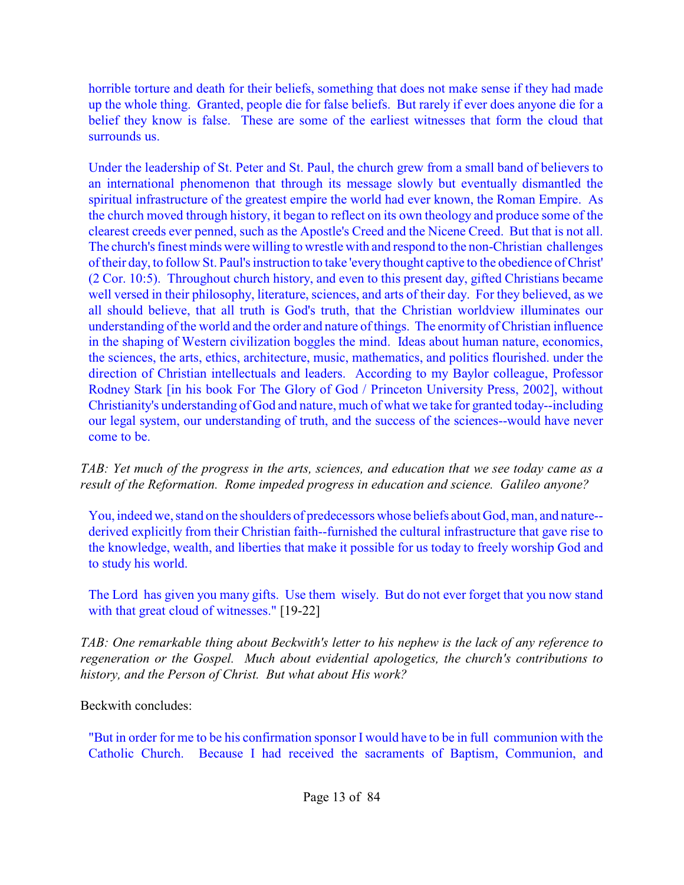horrible torture and death for their beliefs, something that does not make sense if they had made up the whole thing. Granted, people die for false beliefs. But rarely if ever does anyone die for a belief they know is false. These are some of the earliest witnesses that form the cloud that surrounds us.

Under the leadership of St. Peter and St. Paul, the church grew from a small band of believers to an international phenomenon that through its message slowly but eventually dismantled the spiritual infrastructure of the greatest empire the world had ever known, the Roman Empire. As the church moved through history, it began to reflect on its own theology and produce some of the clearest creeds ever penned, such as the Apostle's Creed and the Nicene Creed. But that is not all. The church's finest minds were willing to wrestle with and respond to the non-Christian challenges oftheir day, to follow St. Paul's instruction to take 'everythought captive to the obedience of Christ' (2 Cor. 10:5). Throughout church history, and even to this present day, gifted Christians became well versed in their philosophy, literature, sciences, and arts of their day. For they believed, as we all should believe, that all truth is God's truth, that the Christian worldview illuminates our understanding of the world and the order and nature of things. The enormity of Christian influence in the shaping of Western civilization boggles the mind. Ideas about human nature, economics, the sciences, the arts, ethics, architecture, music, mathematics, and politics flourished. under the direction of Christian intellectuals and leaders. According to my Baylor colleague, Professor Rodney Stark [in his book For The Glory of God / Princeton University Press, 2002], without Christianity's understanding of God and nature, much of what we take for granted today--including our legal system, our understanding of truth, and the success of the sciences--would have never come to be.

*TAB: Yet much of the progress in the arts, sciences, and education that we see today came as a result of the Reformation. Rome impeded progress in education and science. Galileo anyone?*

You, indeed we, stand on the shoulders of predecessors whose beliefs about God, man, and nature- derived explicitly from their Christian faith--furnished the cultural infrastructure that gave rise to the knowledge, wealth, and liberties that make it possible for us today to freely worship God and to study his world.

The Lord has given you many gifts. Use them wisely. But do not ever forget that you now stand with that great cloud of witnesses." [19-22]

*TAB: One remarkable thing about Beckwith's letter to his nephew is the lack of any reference to regeneration or the Gospel. Much about evidential apologetics, the church's contributions to history, and the Person of Christ. But what about His work?* 

Beckwith concludes:

"But in order for me to be his confirmation sponsor I would have to be in full communion with the Catholic Church. Because I had received the sacraments of Baptism, Communion, and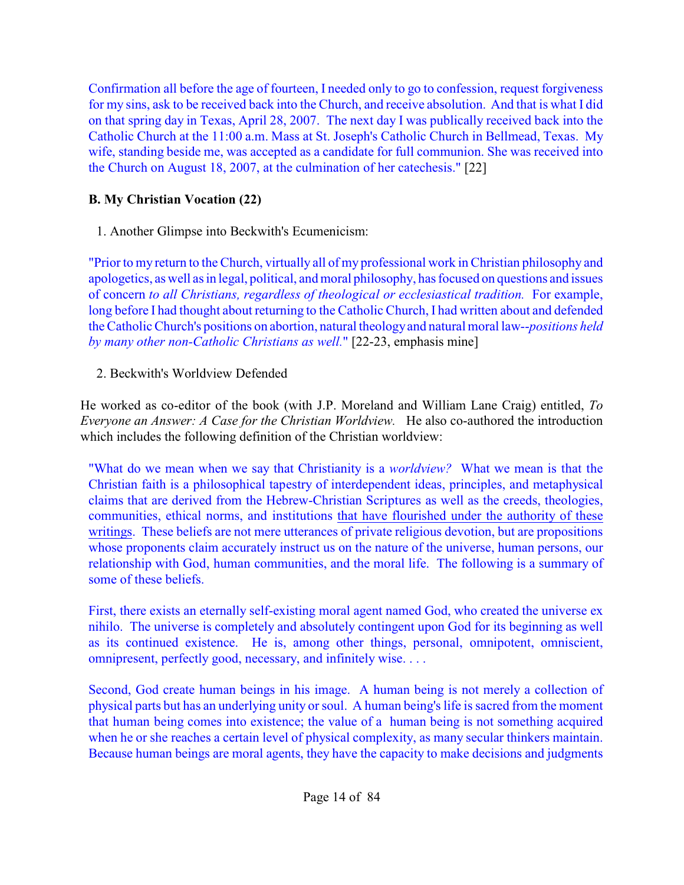Confirmation all before the age of fourteen, I needed only to go to confession, request forgiveness for my sins, ask to be received back into the Church, and receive absolution. And that is what I did on that spring day in Texas, April 28, 2007. The next day I was publically received back into the Catholic Church at the 11:00 a.m. Mass at St. Joseph's Catholic Church in Bellmead, Texas. My wife, standing beside me, was accepted as a candidate for full communion. She was received into the Church on August 18, 2007, at the culmination of her catechesis." [22]

### **B. My Christian Vocation (22)**

1. Another Glimpse into Beckwith's Ecumenicism:

"Prior to my return to the Church, virtually all of my professional work in Christian philosophy and apologetics, as well as in legal, political, and moral philosophy, has focused on questions and issues of concern *to all Christians, regardless of theological or ecclesiastical tradition.* For example, long before I had thought about returning to the Catholic Church, I had written about and defended the Catholic Church's positions on abortion, natural theologyand natural moral law--*positions held by many other non-Catholic Christians as well.*" [22-23, emphasis mine]

# 2. Beckwith's Worldview Defended

He worked as co-editor of the book (with J.P. Moreland and William Lane Craig) entitled, *To Everyone an Answer: A Case for the Christian Worldview.* He also co-authored the introduction which includes the following definition of the Christian worldview:

"What do we mean when we say that Christianity is a *worldview?* What we mean is that the Christian faith is a philosophical tapestry of interdependent ideas, principles, and metaphysical claims that are derived from the Hebrew-Christian Scriptures as well as the creeds, theologies, communities, ethical norms, and institutions that have flourished under the authority of these writings. These beliefs are not mere utterances of private religious devotion, but are propositions whose proponents claim accurately instruct us on the nature of the universe, human persons, our relationship with God, human communities, and the moral life. The following is a summary of some of these beliefs.

First, there exists an eternally self-existing moral agent named God, who created the universe ex nihilo. The universe is completely and absolutely contingent upon God for its beginning as well as its continued existence. He is, among other things, personal, omnipotent, omniscient, omnipresent, perfectly good, necessary, and infinitely wise. . . .

Second, God create human beings in his image. A human being is not merely a collection of physical parts but has an underlying unity or soul. A human being's life is sacred from the moment that human being comes into existence; the value of a human being is not something acquired when he or she reaches a certain level of physical complexity, as many secular thinkers maintain. Because human beings are moral agents, they have the capacity to make decisions and judgments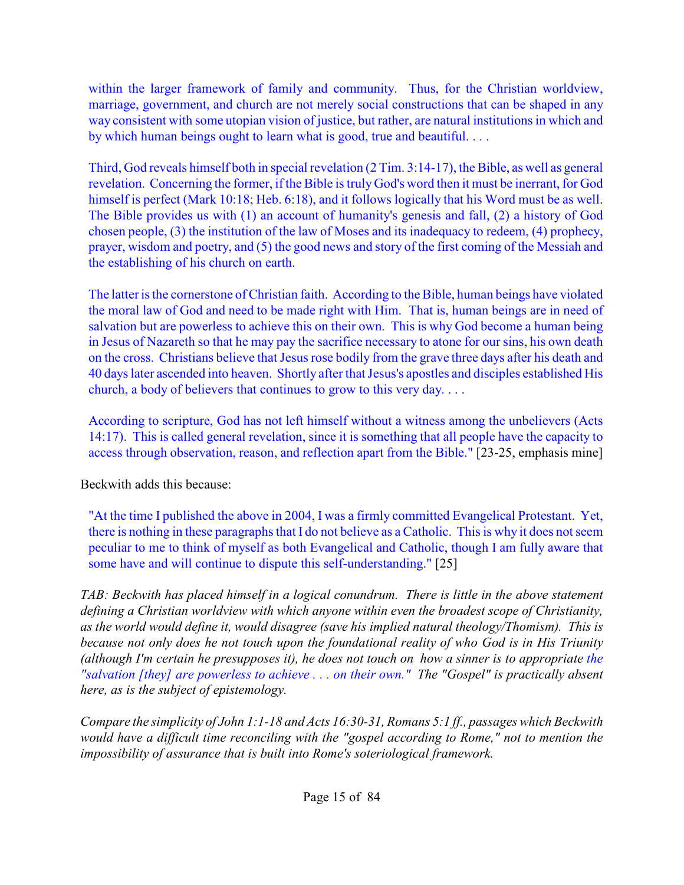within the larger framework of family and community. Thus, for the Christian worldview, marriage, government, and church are not merely social constructions that can be shaped in any way consistent with some utopian vision of justice, but rather, are natural institutions in which and by which human beings ought to learn what is good, true and beautiful. . . .

Third, God reveals himself both in special revelation (2 Tim. 3:14-17), the Bible, as well as general revelation. Concerning the former, if the Bible is truly God's word then it must be inerrant, for God himself is perfect (Mark 10:18; Heb. 6:18), and it follows logically that his Word must be as well. The Bible provides us with (1) an account of humanity's genesis and fall, (2) a history of God chosen people, (3) the institution of the law of Moses and its inadequacy to redeem, (4) prophecy, prayer, wisdom and poetry, and (5) the good news and story of the first coming of the Messiah and the establishing of his church on earth.

The latter is the cornerstone of Christian faith. According to the Bible, human beings have violated the moral law of God and need to be made right with Him. That is, human beings are in need of salvation but are powerless to achieve this on their own. This is why God become a human being in Jesus of Nazareth so that he may pay the sacrifice necessary to atone for our sins, his own death on the cross. Christians believe that Jesus rose bodily from the grave three days after his death and 40 days later ascended into heaven. Shortly after that Jesus's apostles and disciples established His church, a body of believers that continues to grow to this very day. . . .

According to scripture, God has not left himself without a witness among the unbelievers (Acts 14:17). This is called general revelation, since it is something that all people have the capacity to access through observation, reason, and reflection apart from the Bible." [23-25, emphasis mine]

Beckwith adds this because:

"At the time I published the above in 2004, I was a firmly committed Evangelical Protestant. Yet, there is nothing in these paragraphs that I do not believe as a Catholic. This is why it does not seem peculiar to me to think of myself as both Evangelical and Catholic, though I am fully aware that some have and will continue to dispute this self-understanding." [25]

*TAB: Beckwith has placed himself in a logical conundrum. There is little in the above statement defining a Christian worldview with which anyone within even the broadest scope of Christianity, as the world would define it, would disagree (save his implied natural theology/Thomism). This is because not only does he not touch upon the foundational reality of who God is in His Triunity (although I'm certain he presupposes it), he does not touch on how a sinner is to appropriate the "salvation [they] are powerless to achieve . . . on their own." The "Gospel" is practically absent here, as is the subject of epistemology.* 

*Compare the simplicity of John 1:1-18 and Acts 16:30-31, Romans 5:1 ff., passages which Beckwith would have a difficult time reconciling with the "gospel according to Rome," not to mention the impossibility of assurance that is built into Rome's soteriological framework.*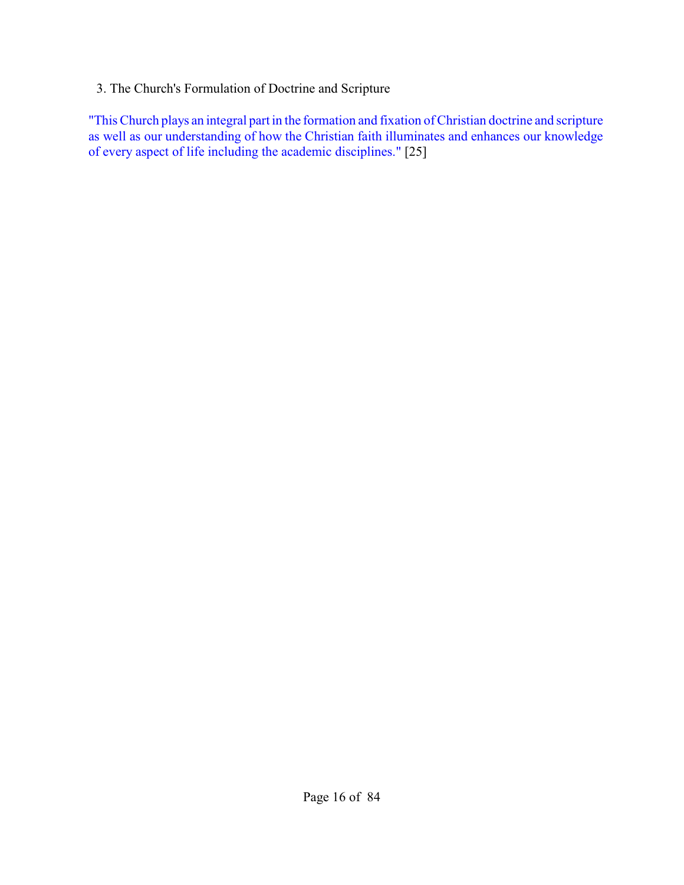#### 3. The Church's Formulation of Doctrine and Scripture

"This Church plays an integral part in the formation and fixation of Christian doctrine and scripture as well as our understanding of how the Christian faith illuminates and enhances our knowledge of every aspect of life including the academic disciplines." [25]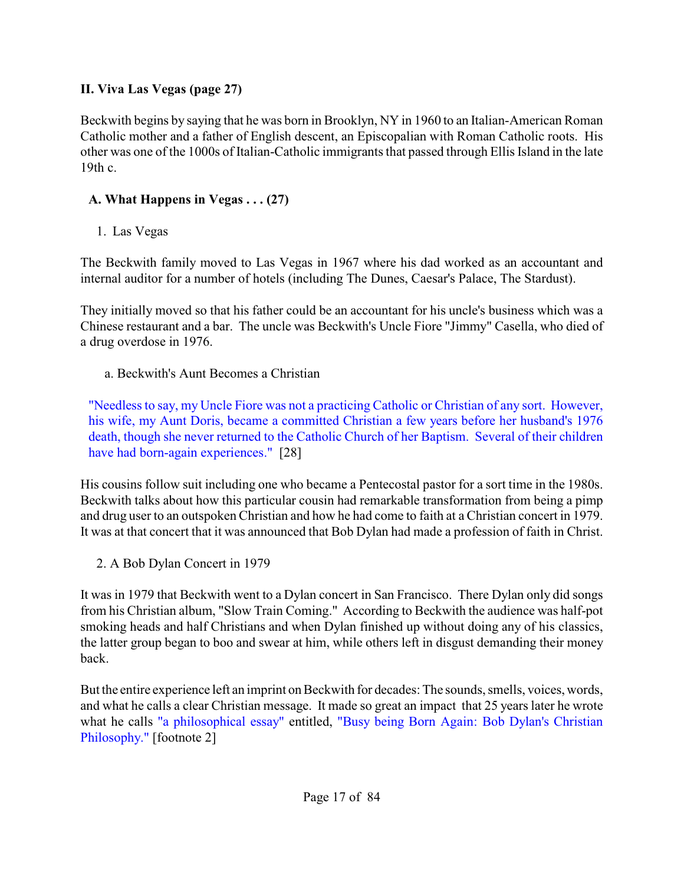### **II. Viva Las Vegas (page 27)**

Beckwith begins by saying that he was born in Brooklyn, NY in 1960 to an Italian-American Roman Catholic mother and a father of English descent, an Episcopalian with Roman Catholic roots. His other was one of the 1000s of Italian-Catholic immigrants that passed through Ellis Island in the late 19th c.

### **A. What Happens in Vegas . . . (27)**

1. Las Vegas

The Beckwith family moved to Las Vegas in 1967 where his dad worked as an accountant and internal auditor for a number of hotels (including The Dunes, Caesar's Palace, The Stardust).

They initially moved so that his father could be an accountant for his uncle's business which was a Chinese restaurant and a bar. The uncle was Beckwith's Uncle Fiore "Jimmy" Casella, who died of a drug overdose in 1976.

### a. Beckwith's Aunt Becomes a Christian

"Needless to say, my Uncle Fiore was not a practicing Catholic or Christian of any sort. However, his wife, my Aunt Doris, became a committed Christian a few years before her husband's 1976 death, though she never returned to the Catholic Church of her Baptism. Several of their children have had born-again experiences." [28]

His cousins follow suit including one who became a Pentecostal pastor for a sort time in the 1980s. Beckwith talks about how this particular cousin had remarkable transformation from being a pimp and drug user to an outspoken Christian and how he had come to faith at a Christian concert in 1979. It was at that concert that it was announced that Bob Dylan had made a profession of faith in Christ.

2. A Bob Dylan Concert in 1979

It was in 1979 that Beckwith went to a Dylan concert in San Francisco. There Dylan only did songs from his Christian album, "Slow Train Coming." According to Beckwith the audience was half-pot smoking heads and half Christians and when Dylan finished up without doing any of his classics, the latter group began to boo and swear at him, while others left in disgust demanding their money back.

But the entire experience left an imprint on Beckwith for decades: The sounds, smells, voices, words, and what he calls a clear Christian message. It made so great an impact that 25 years later he wrote what he calls "a philosophical essay" entitled, "Busy being Born Again: Bob Dylan's Christian Philosophy." [footnote 2]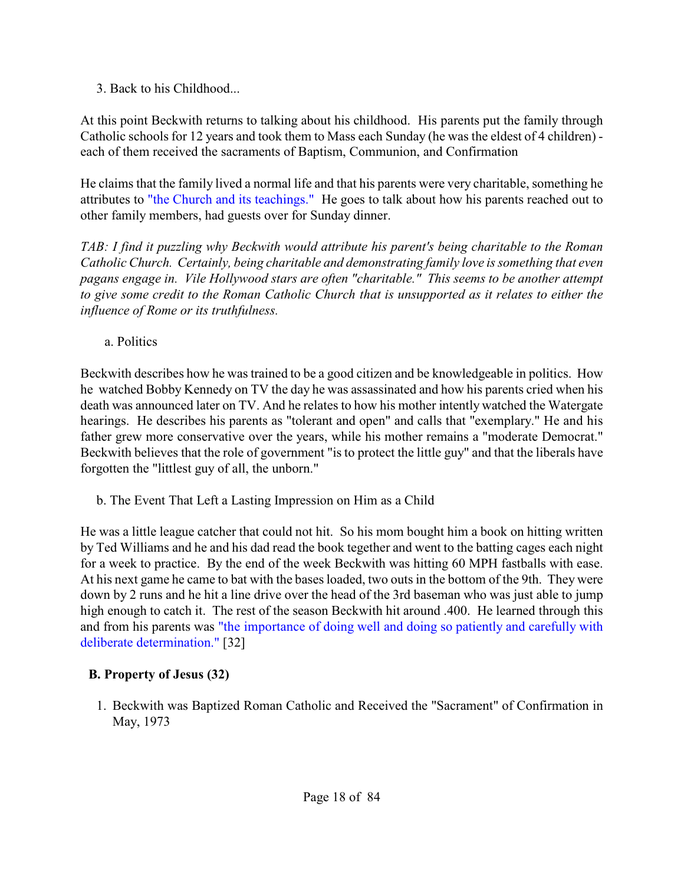3. Back to his Childhood...

At this point Beckwith returns to talking about his childhood. His parents put the family through Catholic schools for 12 years and took them to Mass each Sunday (he was the eldest of 4 children) each of them received the sacraments of Baptism, Communion, and Confirmation

He claims that the family lived a normal life and that his parents were very charitable, something he attributes to "the Church and its teachings." He goes to talk about how his parents reached out to other family members, had guests over for Sunday dinner.

*TAB: I find it puzzling why Beckwith would attribute his parent's being charitable to the Roman Catholic Church. Certainly, being charitable and demonstrating family love is something that even pagans engage in. Vile Hollywood stars are often "charitable." This seems to be another attempt to give some credit to the Roman Catholic Church that is unsupported as it relates to either the influence of Rome or its truthfulness.*

a. Politics

Beckwith describes how he was trained to be a good citizen and be knowledgeable in politics. How he watched Bobby Kennedy on TV the day he was assassinated and how his parents cried when his death was announced later on TV. And he relates to how his mother intently watched the Watergate hearings. He describes his parents as "tolerant and open" and calls that "exemplary." He and his father grew more conservative over the years, while his mother remains a "moderate Democrat." Beckwith believes that the role of government "is to protect the little guy" and that the liberals have forgotten the "littlest guy of all, the unborn."

b. The Event That Left a Lasting Impression on Him as a Child

He was a little league catcher that could not hit. So his mom bought him a book on hitting written by Ted Williams and he and his dad read the book tegether and went to the batting cages each night for a week to practice. By the end of the week Beckwith was hitting 60 MPH fastballs with ease. At his next game he came to bat with the bases loaded, two outs in the bottom of the 9th. They were down by 2 runs and he hit a line drive over the head of the 3rd baseman who was just able to jump high enough to catch it. The rest of the season Beckwith hit around .400. He learned through this and from his parents was "the importance of doing well and doing so patiently and carefully with deliberate determination." [32]

# **B. Property of Jesus (32)**

1. Beckwith was Baptized Roman Catholic and Received the "Sacrament" of Confirmation in May, 1973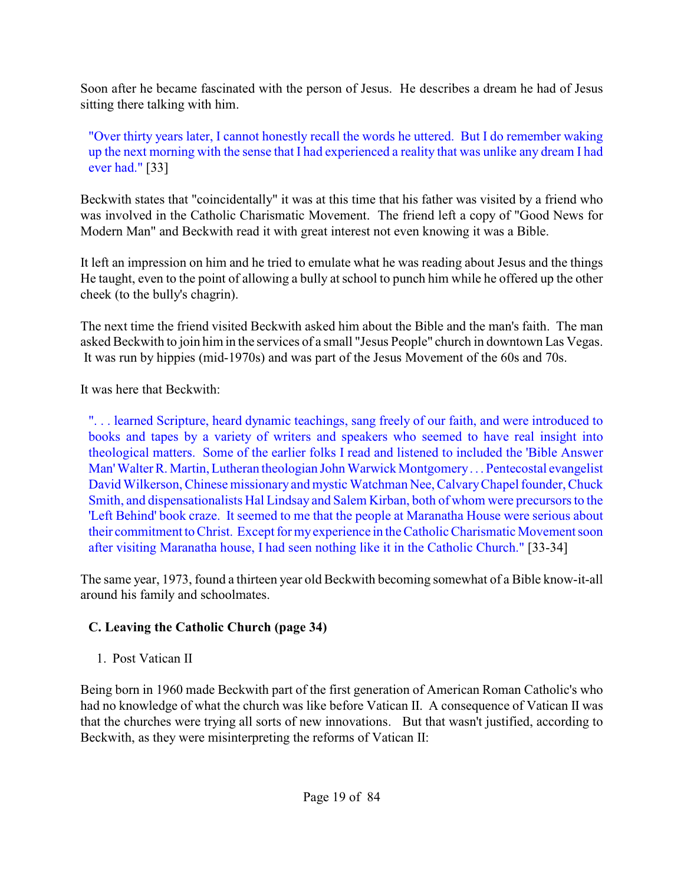Soon after he became fascinated with the person of Jesus. He describes a dream he had of Jesus sitting there talking with him.

"Over thirty years later, I cannot honestly recall the words he uttered. But I do remember waking up the next morning with the sense that I had experienced a reality that was unlike any dream I had ever had." [33]

Beckwith states that "coincidentally" it was at this time that his father was visited by a friend who was involved in the Catholic Charismatic Movement. The friend left a copy of "Good News for Modern Man" and Beckwith read it with great interest not even knowing it was a Bible.

It left an impression on him and he tried to emulate what he was reading about Jesus and the things He taught, even to the point of allowing a bully at school to punch him while he offered up the other cheek (to the bully's chagrin).

The next time the friend visited Beckwith asked him about the Bible and the man's faith. The man asked Beckwith to join himin the services of a small "Jesus People" church in downtown Las Vegas. It was run by hippies (mid-1970s) and was part of the Jesus Movement of the 60s and 70s.

It was here that Beckwith:

". . . learned Scripture, heard dynamic teachings, sang freely of our faith, and were introduced to books and tapes by a variety of writers and speakers who seemed to have real insight into theological matters. Some of the earlier folks I read and listened to included the 'Bible Answer Man' Walter R. Martin, Lutheran theologian John Warwick Montgomery . . . Pentecostal evangelist David Wilkerson, Chinese missionary and mystic Watchman Nee, Calvary Chapel founder, Chuck Smith, and dispensationalists Hal Lindsay and Salem Kirban, both of whom were precursors to the 'Left Behind' book craze. It seemed to me that the people at Maranatha House were serious about their commitment to Christ. Except for my experience in the Catholic Charismatic Movement soon after visiting Maranatha house, I had seen nothing like it in the Catholic Church." [33-34]

The same year, 1973, found a thirteen year old Beckwith becoming somewhat of a Bible know-it-all around his family and schoolmates.

### **C. Leaving the Catholic Church (page 34)**

1. Post Vatican II

Being born in 1960 made Beckwith part of the first generation of American Roman Catholic's who had no knowledge of what the church was like before Vatican II. A consequence of Vatican II was that the churches were trying all sorts of new innovations. But that wasn't justified, according to Beckwith, as they were misinterpreting the reforms of Vatican II: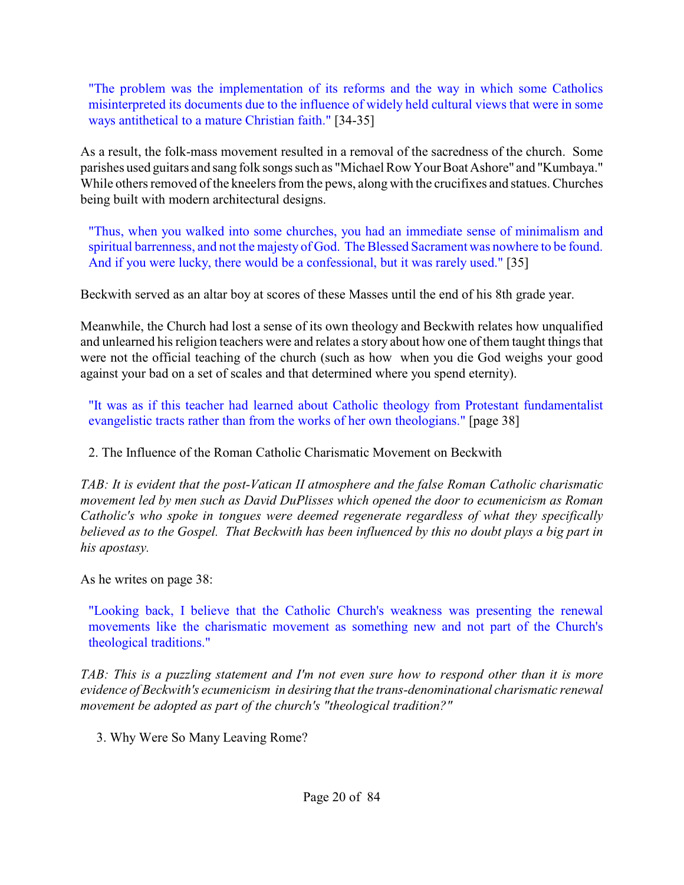"The problem was the implementation of its reforms and the way in which some Catholics misinterpreted its documents due to the influence of widely held cultural views that were in some ways antithetical to a mature Christian faith." [34-35]

As a result, the folk-mass movement resulted in a removal of the sacredness of the church. Some parishes used guitars and sang folk songs such as "Michael Row Your Boat Ashore" and "Kumbaya." While others removed of the kneelers from the pews, along with the crucifixes and statues. Churches being built with modern architectural designs.

"Thus, when you walked into some churches, you had an immediate sense of minimalism and spiritual barrenness, and not the majesty of God. The Blessed Sacrament was nowhere to be found. And if you were lucky, there would be a confessional, but it was rarely used." [35]

Beckwith served as an altar boy at scores of these Masses until the end of his 8th grade year.

Meanwhile, the Church had lost a sense of its own theology and Beckwith relates how unqualified and unlearned his religion teachers were and relates a story about how one of them taught things that were not the official teaching of the church (such as how when you die God weighs your good against your bad on a set of scales and that determined where you spend eternity).

"It was as if this teacher had learned about Catholic theology from Protestant fundamentalist evangelistic tracts rather than from the works of her own theologians." [page 38]

2. The Influence of the Roman Catholic Charismatic Movement on Beckwith

*TAB: It is evident that the post-Vatican II atmosphere and the false Roman Catholic charismatic movement led by men such as David DuPlisses which opened the door to ecumenicism as Roman Catholic's who spoke in tongues were deemed regenerate regardless of what they specifically believed as to the Gospel. That Beckwith has been influenced by this no doubt plays a big part in his apostasy.*

As he writes on page 38:

"Looking back, I believe that the Catholic Church's weakness was presenting the renewal movements like the charismatic movement as something new and not part of the Church's theological traditions."

*TAB: This is a puzzling statement and I'm not even sure how to respond other than it is more evidence of Beckwith's ecumenicism in desiring that the trans-denominational charismatic renewal movement be adopted as part of the church's "theological tradition?"* 

3. Why Were So Many Leaving Rome?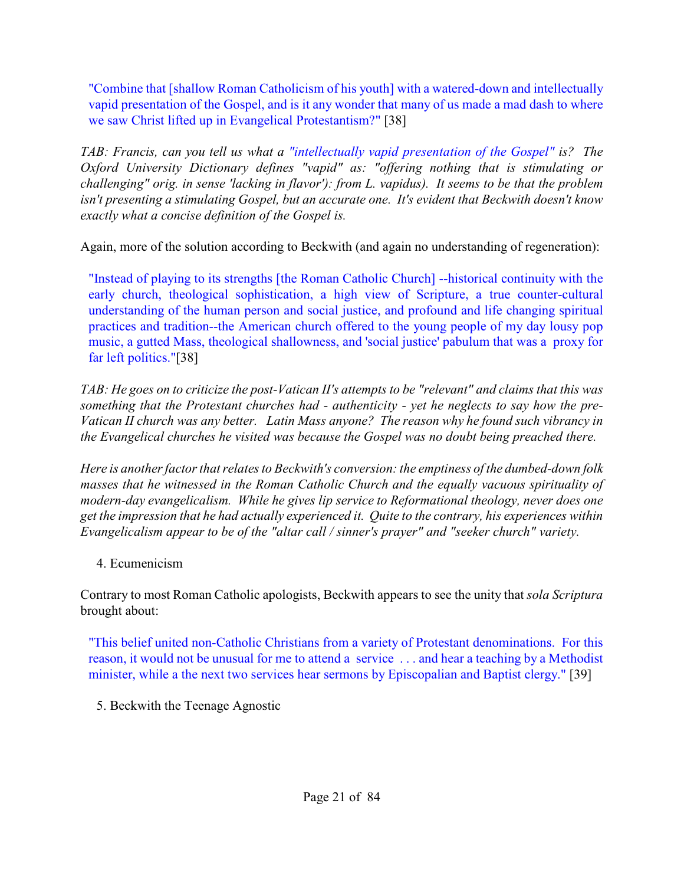"Combine that [shallow Roman Catholicism of his youth] with a watered-down and intellectually vapid presentation of the Gospel, and is it any wonder that many of us made a mad dash to where we saw Christ lifted up in Evangelical Protestantism?" [38]

*TAB: Francis, can you tell us what a "intellectually vapid presentation of the Gospel" is? The Oxford University Dictionary defines "vapid" as: "offering nothing that is stimulating or challenging" orig. in sense 'lacking in flavor'): from L. vapidus). It seems to be that the problem isn't presenting a stimulating Gospel, but an accurate one. It's evident that Beckwith doesn't know exactly what a concise definition of the Gospel is.*

Again, more of the solution according to Beckwith (and again no understanding of regeneration):

"Instead of playing to its strengths [the Roman Catholic Church] --historical continuity with the early church, theological sophistication, a high view of Scripture, a true counter-cultural understanding of the human person and social justice, and profound and life changing spiritual practices and tradition--the American church offered to the young people of my day lousy pop music, a gutted Mass, theological shallowness, and 'social justice' pabulum that was a proxy for far left politics."[38]

*TAB: He goes on to criticize the post-Vatican II's attempts to be "relevant" and claims that this was something that the Protestant churches had - authenticity - yet he neglects to say how the pre-Vatican II church was any better. Latin Mass anyone? The reason why he found such vibrancy in the Evangelical churches he visited was because the Gospel was no doubt being preached there.* 

*Here is another factor that relates to Beckwith's conversion: the emptiness of the dumbed-down folk masses that he witnessed in the Roman Catholic Church and the equally vacuous spirituality of modern-day evangelicalism. While he gives lip service to Reformational theology, never does one get the impression that he had actually experienced it. Quite to the contrary, his experiences within Evangelicalism appear to be of the "altar call / sinner's prayer" and "seeker church" variety.*

4. Ecumenicism

Contrary to most Roman Catholic apologists, Beckwith appears to see the unity that *sola Scriptura* brought about:

"This belief united non-Catholic Christians from a variety of Protestant denominations. For this reason, it would not be unusual for me to attend a service . . . and hear a teaching by a Methodist minister, while a the next two services hear sermons by Episcopalian and Baptist clergy." [39]

5. Beckwith the Teenage Agnostic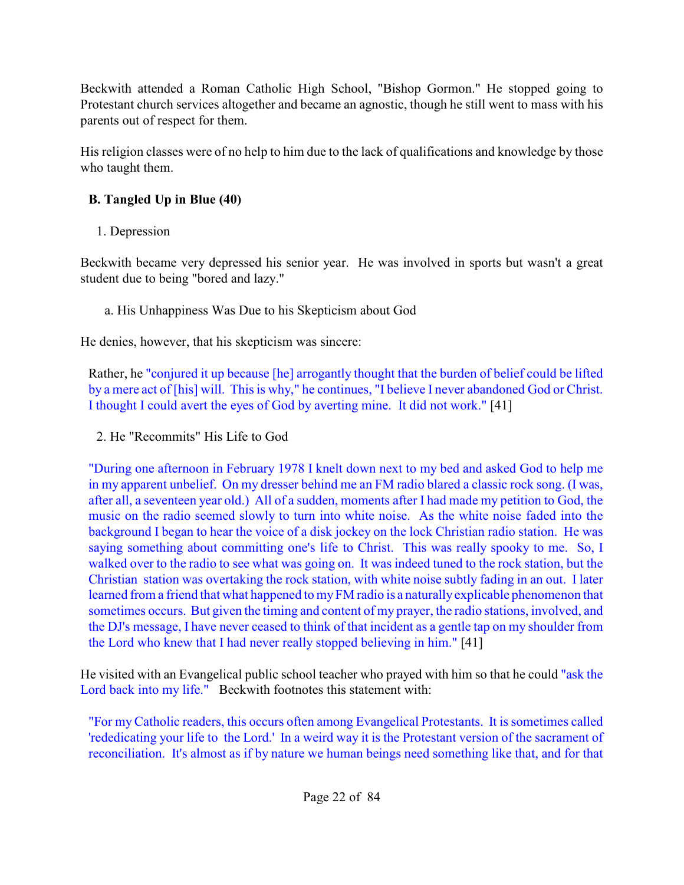Beckwith attended a Roman Catholic High School, "Bishop Gormon." He stopped going to Protestant church services altogether and became an agnostic, though he still went to mass with his parents out of respect for them.

His religion classes were of no help to him due to the lack of qualifications and knowledge by those who taught them.

### **B. Tangled Up in Blue (40)**

1. Depression

Beckwith became very depressed his senior year. He was involved in sports but wasn't a great student due to being "bored and lazy."

# a. His Unhappiness Was Due to his Skepticism about God

He denies, however, that his skepticism was sincere:

Rather, he "conjured it up because [he] arrogantly thought that the burden of belief could be lifted by a mere act of [his] will. This is why," he continues, "I believe I never abandoned God or Christ. I thought I could avert the eyes of God by averting mine. It did not work." [41]

2. He "Recommits" His Life to God

"During one afternoon in February 1978 I knelt down next to my bed and asked God to help me in my apparent unbelief. On my dresser behind me an FM radio blared a classic rock song. (I was, after all, a seventeen year old.) All of a sudden, moments after I had made my petition to God, the music on the radio seemed slowly to turn into white noise. As the white noise faded into the background I began to hear the voice of a disk jockey on the lock Christian radio station. He was saying something about committing one's life to Christ. This was really spooky to me. So, I walked over to the radio to see what was going on. It was indeed tuned to the rock station, but the Christian station was overtaking the rock station, with white noise subtly fading in an out. I later learned from a friend that what happened to my FM radio is a naturally explicable phenomenon that sometimes occurs. But given the timing and content of my prayer, the radio stations, involved, and the DJ's message, I have never ceased to think of that incident as a gentle tap on my shoulder from the Lord who knew that I had never really stopped believing in him." [41]

He visited with an Evangelical public school teacher who prayed with him so that he could "ask the Lord back into my life." Beckwith footnotes this statement with:

"For my Catholic readers, this occurs often among Evangelical Protestants. It is sometimes called 'rededicating your life to the Lord.' In a weird way it is the Protestant version of the sacrament of reconciliation. It's almost as if by nature we human beings need something like that, and for that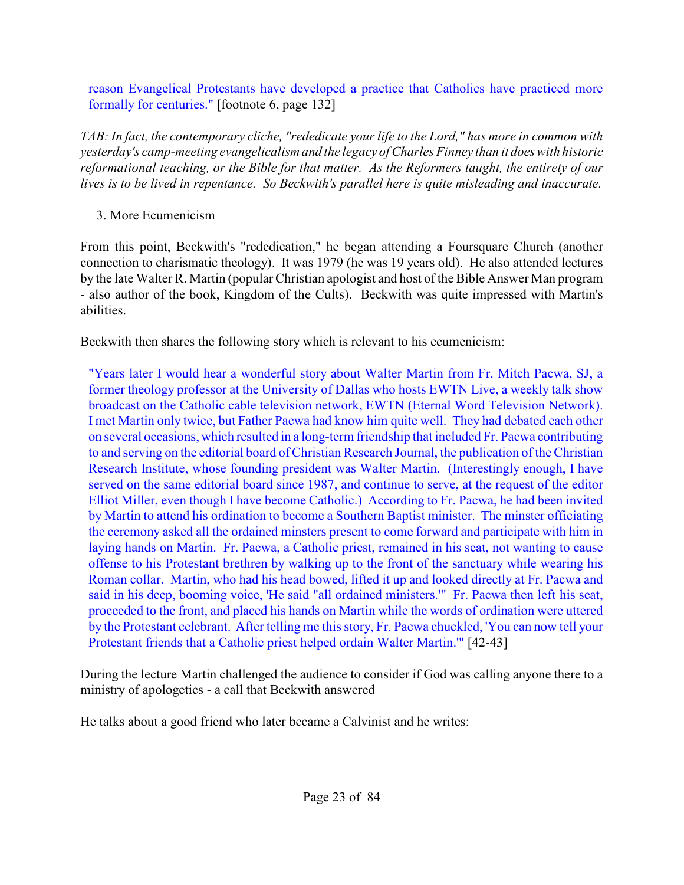reason Evangelical Protestants have developed a practice that Catholics have practiced more formally for centuries." [footnote 6, page 132]

*TAB: In fact, the contemporary cliche, "rededicate your life to the Lord," has more in common with yesterday's camp-meeting evangelicalism and the legacy of Charles Finney than it does with historic reformational teaching, or the Bible for that matter. As the Reformers taught, the entirety of our lives is to be lived in repentance. So Beckwith's parallel here is quite misleading and inaccurate.*

3. More Ecumenicism

From this point, Beckwith's "rededication," he began attending a Foursquare Church (another connection to charismatic theology). It was 1979 (he was 19 years old). He also attended lectures by the late Walter R. Martin (popular Christian apologist and host of the Bible Answer Man program - also author of the book, Kingdom of the Cults). Beckwith was quite impressed with Martin's abilities.

Beckwith then shares the following story which is relevant to his ecumenicism:

"Years later I would hear a wonderful story about Walter Martin from Fr. Mitch Pacwa, SJ, a former theology professor at the University of Dallas who hosts EWTN Live, a weekly talk show broadcast on the Catholic cable television network, EWTN (Eternal Word Television Network). I met Martin only twice, but Father Pacwa had know him quite well. They had debated each other on several occasions, which resulted in a long-term friendship that included Fr. Pacwa contributing to and serving on the editorial board of Christian Research Journal, the publication of the Christian Research Institute, whose founding president was Walter Martin. (Interestingly enough, I have served on the same editorial board since 1987, and continue to serve, at the request of the editor Elliot Miller, even though I have become Catholic.) According to Fr. Pacwa, he had been invited by Martin to attend his ordination to become a Southern Baptist minister. The minster officiating the ceremony asked all the ordained minsters present to come forward and participate with him in laying hands on Martin. Fr. Pacwa, a Catholic priest, remained in his seat, not wanting to cause offense to his Protestant brethren by walking up to the front of the sanctuary while wearing his Roman collar. Martin, who had his head bowed, lifted it up and looked directly at Fr. Pacwa and said in his deep, booming voice, 'He said "all ordained ministers."' Fr. Pacwa then left his seat, proceeded to the front, and placed his hands on Martin while the words of ordination were uttered by the Protestant celebrant. After telling me this story, Fr. Pacwa chuckled, 'You can now tell your Protestant friends that a Catholic priest helped ordain Walter Martin.'" [42-43]

During the lecture Martin challenged the audience to consider if God was calling anyone there to a ministry of apologetics - a call that Beckwith answered

He talks about a good friend who later became a Calvinist and he writes: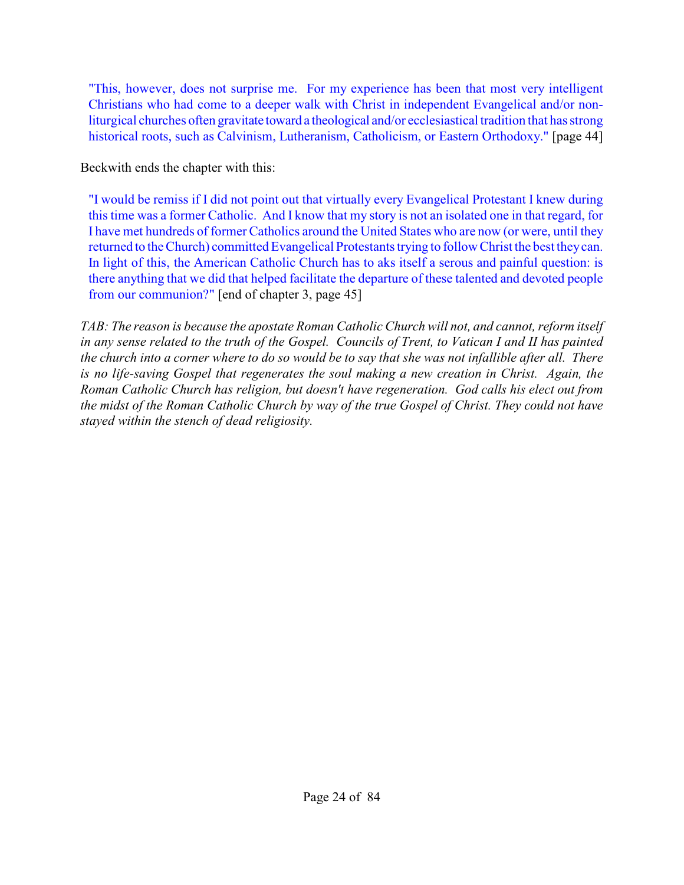"This, however, does not surprise me. For my experience has been that most very intelligent Christians who had come to a deeper walk with Christ in independent Evangelical and/or nonliturgical churches often gravitate toward a theological and/or ecclesiastical tradition that has strong historical roots, such as Calvinism, Lutheranism, Catholicism, or Eastern Orthodoxy." [page 44]

Beckwith ends the chapter with this:

"I would be remiss if I did not point out that virtually every Evangelical Protestant I knew during this time was a former Catholic. And I know that my story is not an isolated one in that regard, for I have met hundreds of former Catholics around the United States who are now (or were, until they returned to the Church) committed Evangelical Protestants trying to follow Christ the best they can. In light of this, the American Catholic Church has to aks itself a serous and painful question: is there anything that we did that helped facilitate the departure of these talented and devoted people from our communion?" [end of chapter 3, page 45]

*TAB: The reason is because the apostate Roman Catholic Church will not, and cannot, reform itself in any sense related to the truth of the Gospel. Councils of Trent, to Vatican I and II has painted the church into a corner where to do so would be to say that she was not infallible after all. There is no life-saving Gospel that regenerates the soul making a new creation in Christ. Again, the Roman Catholic Church has religion, but doesn't have regeneration. God calls his elect out from the midst of the Roman Catholic Church by way of the true Gospel of Christ. They could not have stayed within the stench of dead religiosity.*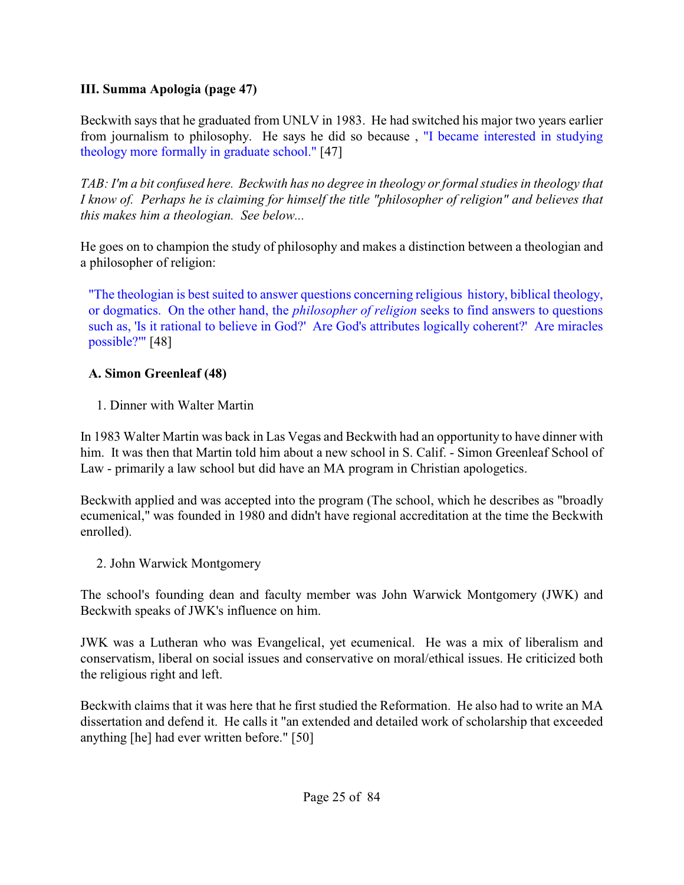#### **III. Summa Apologia (page 47)**

Beckwith says that he graduated from UNLV in 1983. He had switched his major two years earlier from journalism to philosophy. He says he did so because , "I became interested in studying theology more formally in graduate school." [47]

*TAB: I'm a bit confused here. Beckwith has no degree in theology or formal studies in theology that I know of. Perhaps he is claiming for himself the title "philosopher of religion" and believes that this makes him a theologian. See below...* 

He goes on to champion the study of philosophy and makes a distinction between a theologian and a philosopher of religion:

"The theologian is best suited to answer questions concerning religious history, biblical theology, or dogmatics. On the other hand, the *philosopher of religion* seeks to find answers to questions such as, 'Is it rational to believe in God?' Are God's attributes logically coherent?' Are miracles possible?'" [48]

#### **A. Simon Greenleaf (48)**

1. Dinner with Walter Martin

In 1983 Walter Martin was back in Las Vegas and Beckwith had an opportunity to have dinner with him. It was then that Martin told him about a new school in S. Calif. - Simon Greenleaf School of Law - primarily a law school but did have an MA program in Christian apologetics.

Beckwith applied and was accepted into the program (The school, which he describes as "broadly ecumenical," was founded in 1980 and didn't have regional accreditation at the time the Beckwith enrolled).

2. John Warwick Montgomery

The school's founding dean and faculty member was John Warwick Montgomery (JWK) and Beckwith speaks of JWK's influence on him.

JWK was a Lutheran who was Evangelical, yet ecumenical. He was a mix of liberalism and conservatism, liberal on social issues and conservative on moral/ethical issues. He criticized both the religious right and left.

Beckwith claims that it was here that he first studied the Reformation. He also had to write an MA dissertation and defend it. He calls it "an extended and detailed work of scholarship that exceeded anything [he] had ever written before." [50]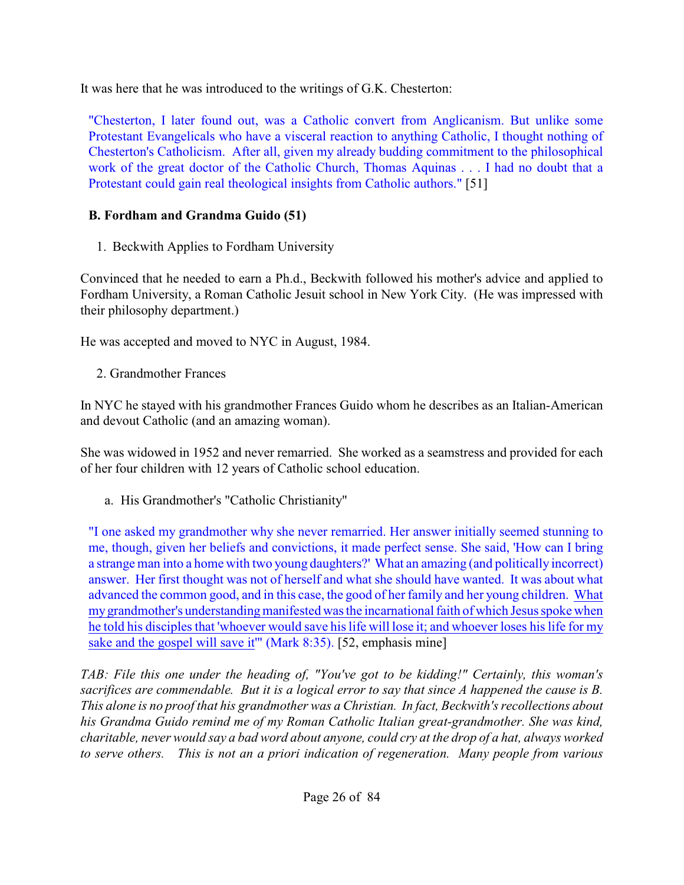It was here that he was introduced to the writings of G.K. Chesterton:

"Chesterton, I later found out, was a Catholic convert from Anglicanism. But unlike some Protestant Evangelicals who have a visceral reaction to anything Catholic, I thought nothing of Chesterton's Catholicism. After all, given my already budding commitment to the philosophical work of the great doctor of the Catholic Church, Thomas Aquinas . . . I had no doubt that a Protestant could gain real theological insights from Catholic authors." [51]

### **B. Fordham and Grandma Guido (51)**

1. Beckwith Applies to Fordham University

Convinced that he needed to earn a Ph.d., Beckwith followed his mother's advice and applied to Fordham University, a Roman Catholic Jesuit school in New York City. (He was impressed with their philosophy department.)

He was accepted and moved to NYC in August, 1984.

### 2. Grandmother Frances

In NYC he stayed with his grandmother Frances Guido whom he describes as an Italian-American and devout Catholic (and an amazing woman).

She was widowed in 1952 and never remarried. She worked as a seamstress and provided for each of her four children with 12 years of Catholic school education.

a. His Grandmother's "Catholic Christianity"

"I one asked my grandmother why she never remarried. Her answer initially seemed stunning to me, though, given her beliefs and convictions, it made perfect sense. She said, 'How can I bring a strange man into a home with two young daughters?' What an amazing (and politically incorrect) answer. Her first thought was not of herself and what she should have wanted. It was about what advanced the common good, and in this case, the good of her family and her young children. What my grandmother's understanding manifested was the incarnational faith of which Jesus spoke when he told his disciples that 'whoever would save hislife will lose it; and whoever loses his life for my sake and the gospel will save it" (Mark 8:35). [52, emphasis mine]

*TAB: File this one under the heading of, "You've got to be kidding!" Certainly, this woman's sacrifices are commendable. But it is a logical error to say that since A happened the cause is B. This alone is no proof that his grandmother was a Christian. In fact, Beckwith's recollections about his Grandma Guido remind me of my Roman Catholic Italian great-grandmother. She was kind, charitable, never would say a bad word about anyone, could cry at the drop of a hat, always worked to serve others. This is not an a priori indication of regeneration. Many people from various*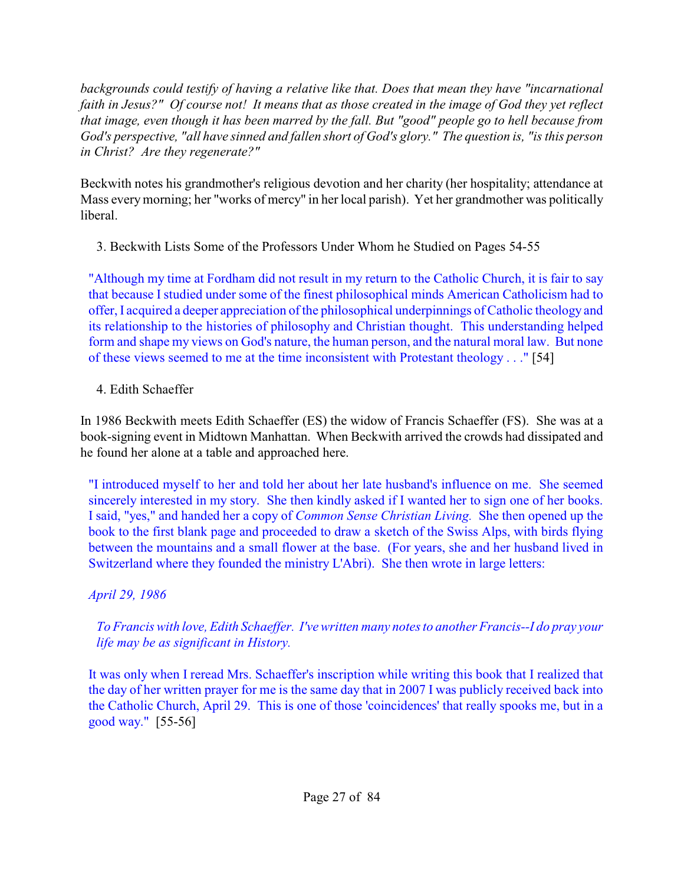*backgrounds could testify of having a relative like that. Does that mean they have "incarnational faith in Jesus?" Of course not! It means that as those created in the image of God they yet reflect that image, even though it has been marred by the fall. But "good" people go to hell because from God's perspective, "all have sinned and fallen short of God's glory." The question is, "is this person in Christ? Are they regenerate?"*

Beckwith notes his grandmother's religious devotion and her charity (her hospitality; attendance at Mass every morning; her "works of mercy" in her local parish). Yet her grandmother was politically liberal.

3. Beckwith Lists Some of the Professors Under Whom he Studied on Pages 54-55

"Although my time at Fordham did not result in my return to the Catholic Church, it is fair to say that because I studied under some of the finest philosophical minds American Catholicism had to offer, I acquired a deeper appreciation of the philosophical underpinnings of Catholic theology and its relationship to the histories of philosophy and Christian thought. This understanding helped form and shape my views on God's nature, the human person, and the natural moral law. But none of these views seemed to me at the time inconsistent with Protestant theology . . ." [54]

4. Edith Schaeffer

In 1986 Beckwith meets Edith Schaeffer (ES) the widow of Francis Schaeffer (FS). She was at a book-signing event in Midtown Manhattan. When Beckwith arrived the crowds had dissipated and he found her alone at a table and approached here.

"I introduced myself to her and told her about her late husband's influence on me. She seemed sincerely interested in my story. She then kindly asked if I wanted her to sign one of her books. I said, "yes," and handed her a copy of *Common Sense Christian Living.* She then opened up the book to the first blank page and proceeded to draw a sketch of the Swiss Alps, with birds flying between the mountains and a small flower at the base. (For years, she and her husband lived in Switzerland where they founded the ministry L'Abri). She then wrote in large letters:

# *April 29, 1986*

# *To Francis with love, Edith Schaeffer. I've written many notes to another Francis--I do pray your life may be as significant in History.*

It was only when I reread Mrs. Schaeffer's inscription while writing this book that I realized that the day of her written prayer for me is the same day that in 2007 I was publicly received back into the Catholic Church, April 29. This is one of those 'coincidences' that really spooks me, but in a good way." [55-56]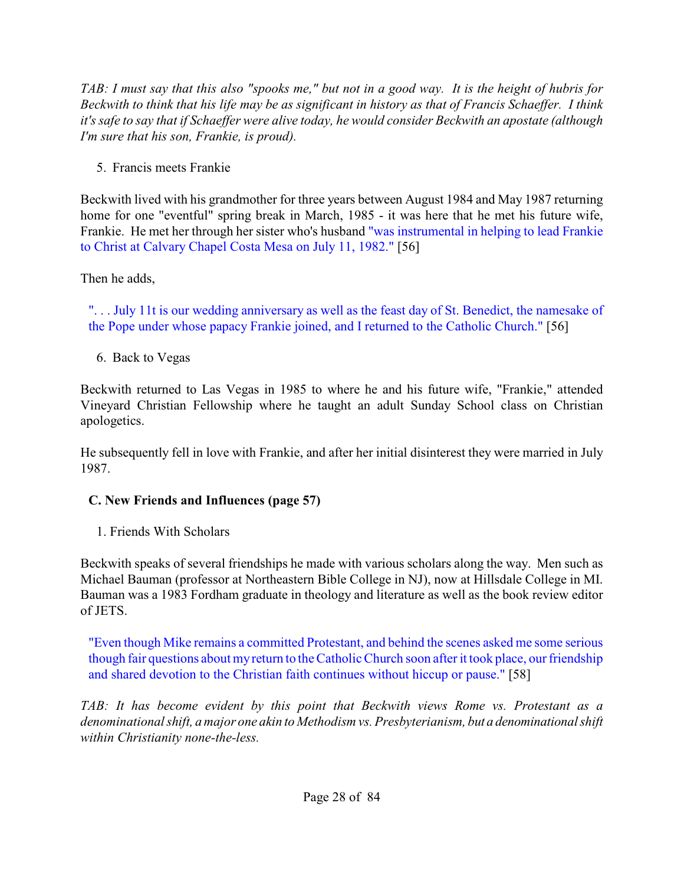*TAB: I must say that this also "spooks me," but not in a good way. It is the height of hubris for Beckwith to think that his life may be as significant in history as that of Francis Schaeffer. I think it's safe to say that if Schaeffer were alive today, he would consider Beckwith an apostate (although I'm sure that his son, Frankie, is proud).* 

5. Francis meets Frankie

Beckwith lived with his grandmother for three years between August 1984 and May 1987 returning home for one "eventful" spring break in March, 1985 - it was here that he met his future wife, Frankie. He met her through her sister who's husband "was instrumental in helping to lead Frankie to Christ at Calvary Chapel Costa Mesa on July 11, 1982." [56]

Then he adds,

". . . July 11t is our wedding anniversary as well as the feast day of St. Benedict, the namesake of the Pope under whose papacy Frankie joined, and I returned to the Catholic Church." [56]

6. Back to Vegas

Beckwith returned to Las Vegas in 1985 to where he and his future wife, "Frankie," attended Vineyard Christian Fellowship where he taught an adult Sunday School class on Christian apologetics.

He subsequently fell in love with Frankie, and after her initial disinterest they were married in July 1987.

# **C. New Friends and Influences (page 57)**

1. Friends With Scholars

Beckwith speaks of several friendships he made with various scholars along the way. Men such as Michael Bauman (professor at Northeastern Bible College in NJ), now at Hillsdale College in MI. Bauman was a 1983 Fordham graduate in theology and literature as well as the book review editor of JETS.

"Even though Mike remains a committed Protestant, and behind the scenes asked me some serious though fair questions about myreturn to the Catholic Church soon after it took place, our friendship and shared devotion to the Christian faith continues without hiccup or pause." [58]

*TAB: It has become evident by this point that Beckwith views Rome vs. Protestant as a denominational shift, a major one akin to Methodism vs. Presbyterianism, but a denominational shift within Christianity none-the-less.*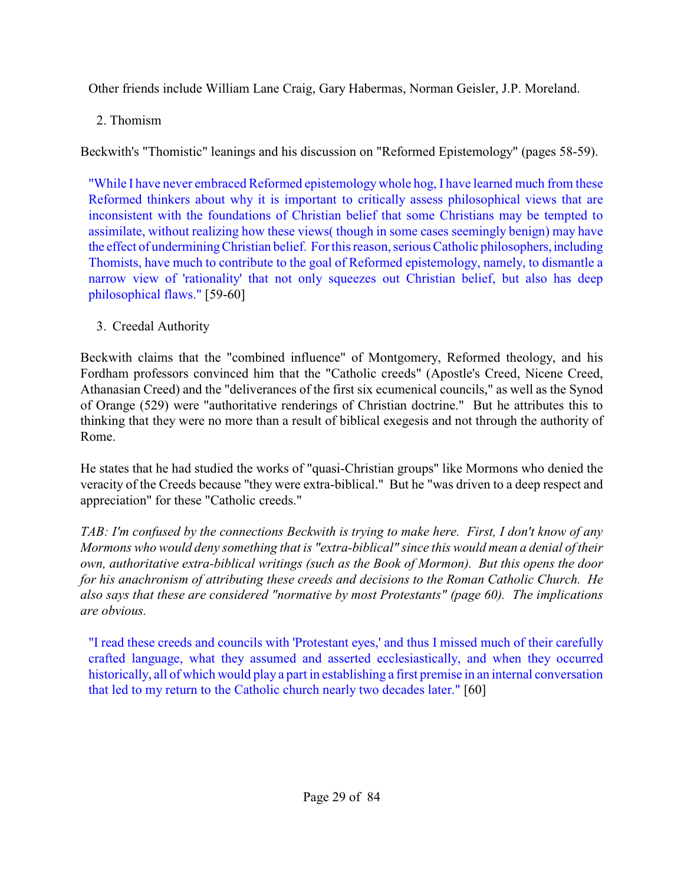Other friends include William Lane Craig, Gary Habermas, Norman Geisler, J.P. Moreland.

2. Thomism

Beckwith's "Thomistic" leanings and his discussion on "Reformed Epistemology" (pages 58-59).

"While I have never embraced Reformed epistemologywhole hog, I have learned much from these Reformed thinkers about why it is important to critically assess philosophical views that are inconsistent with the foundations of Christian belief that some Christians may be tempted to assimilate, without realizing how these views( though in some cases seemingly benign) may have the effect of undermining Christian belief. For this reason, serious Catholic philosophers, including Thomists, have much to contribute to the goal of Reformed epistemology, namely, to dismantle a narrow view of 'rationality' that not only squeezes out Christian belief, but also has deep philosophical flaws." [59-60]

3. Creedal Authority

Beckwith claims that the "combined influence" of Montgomery, Reformed theology, and his Fordham professors convinced him that the "Catholic creeds" (Apostle's Creed, Nicene Creed, Athanasian Creed) and the "deliverances of the first six ecumenical councils," as well as the Synod of Orange (529) were "authoritative renderings of Christian doctrine." But he attributes this to thinking that they were no more than a result of biblical exegesis and not through the authority of Rome.

He states that he had studied the works of "quasi-Christian groups" like Mormons who denied the veracity of the Creeds because "they were extra-biblical." But he "was driven to a deep respect and appreciation" for these "Catholic creeds."

*TAB: I'm confused by the connections Beckwith is trying to make here. First, I don't know of any Mormons who would deny something that is "extra-biblical" since this would mean a denial of their own, authoritative extra-biblical writings (such as the Book of Mormon). But this opens the door for his anachronism of attributing these creeds and decisions to the Roman Catholic Church. He also says that these are considered "normative by most Protestants" (page 60). The implications are obvious.*

"I read these creeds and councils with 'Protestant eyes,' and thus I missed much of their carefully crafted language, what they assumed and asserted ecclesiastically, and when they occurred historically, all of which would play a part in establishing a first premise in an internal conversation that led to my return to the Catholic church nearly two decades later." [60]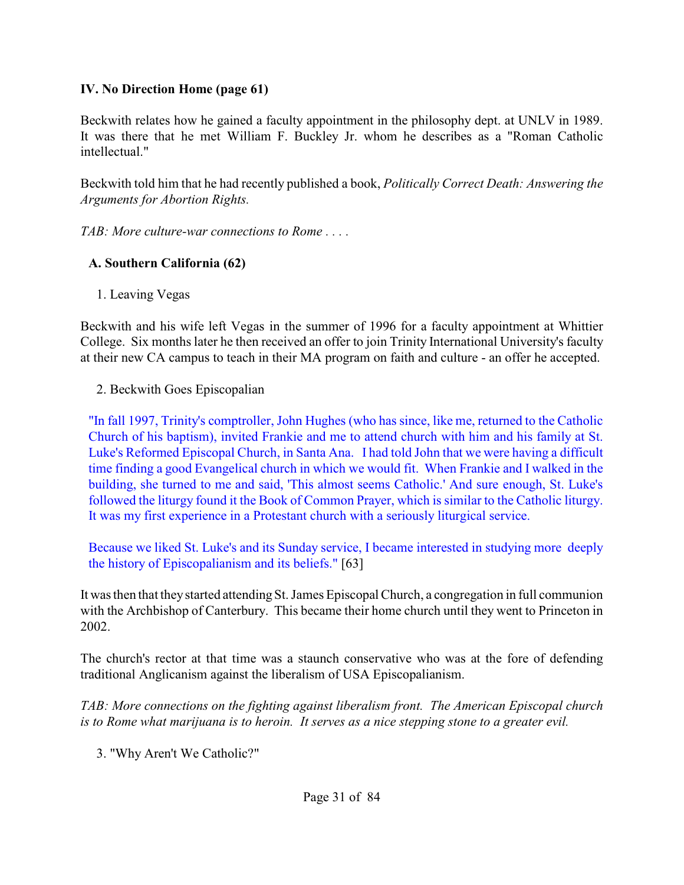#### **IV. No Direction Home (page 61)**

Beckwith relates how he gained a faculty appointment in the philosophy dept. at UNLV in 1989. It was there that he met William F. Buckley Jr. whom he describes as a "Roman Catholic intellectual."

Beckwith told him that he had recently published a book, *Politically Correct Death: Answering the Arguments for Abortion Rights.*

#### *TAB: More culture-war connections to Rome . . . .*

#### **A. Southern California (62)**

1. Leaving Vegas

Beckwith and his wife left Vegas in the summer of 1996 for a faculty appointment at Whittier College. Six months later he then received an offer to join Trinity International University's faculty at their new CA campus to teach in their MA program on faith and culture - an offer he accepted.

2. Beckwith Goes Episcopalian

"In fall 1997, Trinity's comptroller, John Hughes (who has since, like me, returned to the Catholic Church of his baptism), invited Frankie and me to attend church with him and his family at St. Luke's Reformed Episcopal Church, in Santa Ana. I had told John that we were having a difficult time finding a good Evangelical church in which we would fit. When Frankie and I walked in the building, she turned to me and said, 'This almost seems Catholic.' And sure enough, St. Luke's followed the liturgy found it the Book of Common Prayer, which is similar to the Catholic liturgy. It was my first experience in a Protestant church with a seriously liturgical service.

Because we liked St. Luke's and its Sunday service, I became interested in studying more deeply the history of Episcopalianism and its beliefs." [63]

It was then that theystarted attendingSt. James Episcopal Church, a congregation in full communion with the Archbishop of Canterbury. This became their home church until they went to Princeton in 2002.

The church's rector at that time was a staunch conservative who was at the fore of defending traditional Anglicanism against the liberalism of USA Episcopalianism.

*TAB: More connections on the fighting against liberalism front. The American Episcopal church is to Rome what marijuana is to heroin. It serves as a nice stepping stone to a greater evil.*

3. "Why Aren't We Catholic?"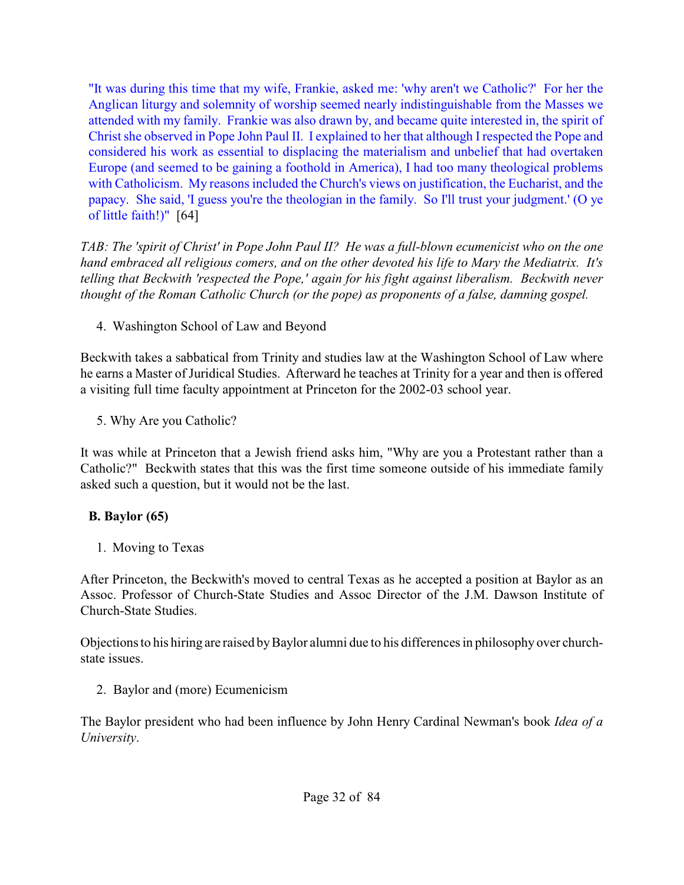"It was during this time that my wife, Frankie, asked me: 'why aren't we Catholic?' For her the Anglican liturgy and solemnity of worship seemed nearly indistinguishable from the Masses we attended with my family. Frankie was also drawn by, and became quite interested in, the spirit of Christ she observed in Pope John Paul II. I explained to her that although I respected the Pope and considered his work as essential to displacing the materialism and unbelief that had overtaken Europe (and seemed to be gaining a foothold in America), I had too many theological problems with Catholicism. My reasons included the Church's views on justification, the Eucharist, and the papacy. She said, 'I guess you're the theologian in the family. So I'll trust your judgment.' (O ye of little faith!)" [64]

*TAB: The 'spirit of Christ' in Pope John Paul II? He was a full-blown ecumenicist who on the one hand embraced all religious comers, and on the other devoted his life to Mary the Mediatrix. It's telling that Beckwith 'respected the Pope,' again for his fight against liberalism. Beckwith never thought of the Roman Catholic Church (or the pope) as proponents of a false, damning gospel.*

4. Washington School of Law and Beyond

Beckwith takes a sabbatical from Trinity and studies law at the Washington School of Law where he earns a Master of Juridical Studies. Afterward he teaches at Trinity for a year and then is offered a visiting full time faculty appointment at Princeton for the 2002-03 school year.

5. Why Are you Catholic?

It was while at Princeton that a Jewish friend asks him, "Why are you a Protestant rather than a Catholic?" Beckwith states that this was the first time someone outside of his immediate family asked such a question, but it would not be the last.

### **B. Baylor (65)**

1. Moving to Texas

After Princeton, the Beckwith's moved to central Texas as he accepted a position at Baylor as an Assoc. Professor of Church-State Studies and Assoc Director of the J.M. Dawson Institute of Church-State Studies.

Objections to his hiring are raised by Baylor alumni due to his differences in philosophy over churchstate issues.

2. Baylor and (more) Ecumenicism

The Baylor president who had been influence by John Henry Cardinal Newman's book *Idea of a University*.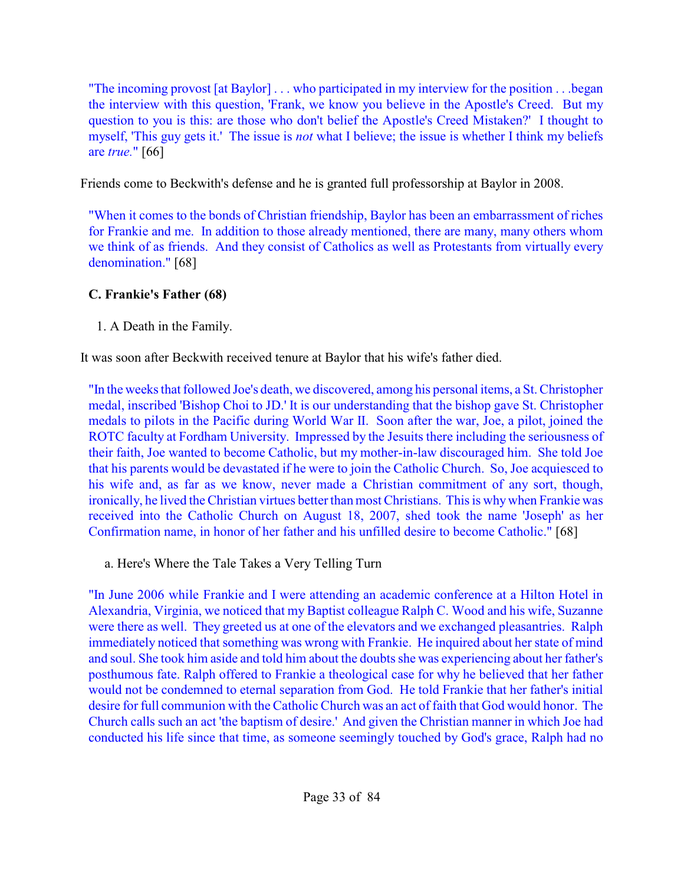"The incoming provost [at Baylor] . . . who participated in my interview for the position . . .began the interview with this question, 'Frank, we know you believe in the Apostle's Creed. But my question to you is this: are those who don't belief the Apostle's Creed Mistaken?' I thought to myself, 'This guy gets it.' The issue is *not* what I believe; the issue is whether I think my beliefs are *true.*" [66]

Friends come to Beckwith's defense and he is granted full professorship at Baylor in 2008.

"When it comes to the bonds of Christian friendship, Baylor has been an embarrassment of riches for Frankie and me. In addition to those already mentioned, there are many, many others whom we think of as friends. And they consist of Catholics as well as Protestants from virtually every denomination." [68]

# **C. Frankie's Father (68)**

1. A Death in the Family.

It was soon after Beckwith received tenure at Baylor that his wife's father died.

"In the weeks that followed Joe's death, we discovered, among his personal items, a St. Christopher medal, inscribed 'Bishop Choi to JD.' It is our understanding that the bishop gave St. Christopher medals to pilots in the Pacific during World War II. Soon after the war, Joe, a pilot, joined the ROTC faculty at Fordham University. Impressed by the Jesuits there including the seriousness of their faith, Joe wanted to become Catholic, but my mother-in-law discouraged him. She told Joe that his parents would be devastated if he were to join the Catholic Church. So, Joe acquiesced to his wife and, as far as we know, never made a Christian commitment of any sort, though, ironically, he lived the Christian virtues better than most Christians. This is why when Frankie was received into the Catholic Church on August 18, 2007, shed took the name 'Joseph' as her Confirmation name, in honor of her father and his unfilled desire to become Catholic." [68]

a. Here's Where the Tale Takes a Very Telling Turn

"In June 2006 while Frankie and I were attending an academic conference at a Hilton Hotel in Alexandria, Virginia, we noticed that my Baptist colleague Ralph C. Wood and his wife, Suzanne were there as well. They greeted us at one of the elevators and we exchanged pleasantries. Ralph immediately noticed that something was wrong with Frankie. He inquired about her state of mind and soul. She took him aside and told him about the doubts she was experiencing about her father's posthumous fate. Ralph offered to Frankie a theological case for why he believed that her father would not be condemned to eternal separation from God. He told Frankie that her father's initial desire for full communion with the Catholic Church was an act of faith that God would honor. The Church calls such an act 'the baptism of desire.' And given the Christian manner in which Joe had conducted his life since that time, as someone seemingly touched by God's grace, Ralph had no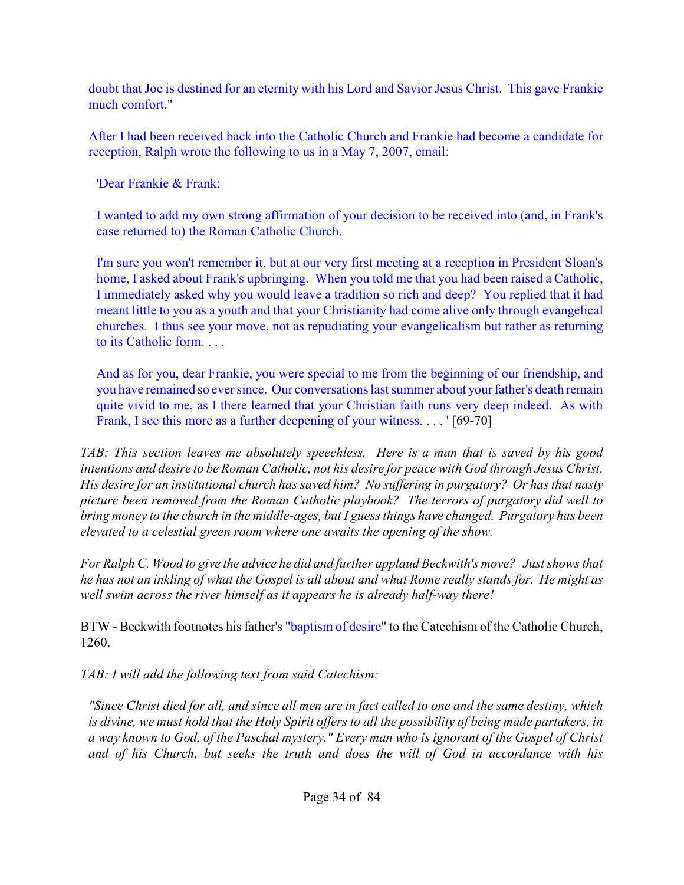doubt that Joe is destined for an eternity with his Lord and Savior Jesus Christ. This gave Frankie much comfort."

After I had been received back into the Catholic Church and Frankie had become a candidate for reception, Ralph wrote the following to us in a May 7, 2007, email:

'Dear Frankie & Frank:

I wanted to add my own strong affirmation of your decision to be received into (and, in Frank's case returned to) the Roman Catholic Church.

I'm sure you won't remember it, but at our very first meeting at a reception in President Sloan's home, I asked about Frank's upbringing. When you told me that you had been raised a Catholic, I immediately asked why you would leave a tradition so rich and deep? You replied that it had meant little to you as a youth and that your Christianity had come alive only through evangelical churches. I thus see your move, not as repudiating your evangelicalism but rather as returning to its Catholic form. . . .

And as for you, dear Frankie, you were special to me from the beginning of our friendship, and you have remained so ever since. Our conversations last summer about your father's death remain quite vivid to me, as I there learned that your Christian faith runs very deep indeed. As with Frank, I see this more as a further deepening of your witness. . . . ' [69-70]

*TAB: This section leaves me absolutely speechless. Here is a man that is saved by his good intentions and desire to be Roman Catholic, not his desire for peace with God through Jesus Christ. His desire for an institutional church has saved him? No suffering in purgatory? Or has that nasty picture been removed from the Roman Catholic playbook? The terrors of purgatory did well to bring money to the church in the middle-ages, but I guess things have changed. Purgatory has been elevated to a celestial green room where one awaits the opening of the show.* 

*For Ralph C. Wood to give the advice he did and further applaud Beckwith's move? Just shows that he has not an inkling of what the Gospel is all about and what Rome really stands for. He might as well swim across the river himself as it appears he is already half-way there!*

BTW - Beckwith footnotes his father's "baptism of desire" to the Catechism of the Catholic Church, 1260.

*TAB: I will add the following text from said Catechism:*

*"Since Christ died for all, and since all men are in fact called to one and the same destiny, which is divine, we must hold that the Holy Spirit offers to all the possibility of being made partakers, in a way known to God, of the Paschal mystery." Every man who is ignorant of the Gospel of Christ and of his Church, but seeks the truth and does the will of God in accordance with his*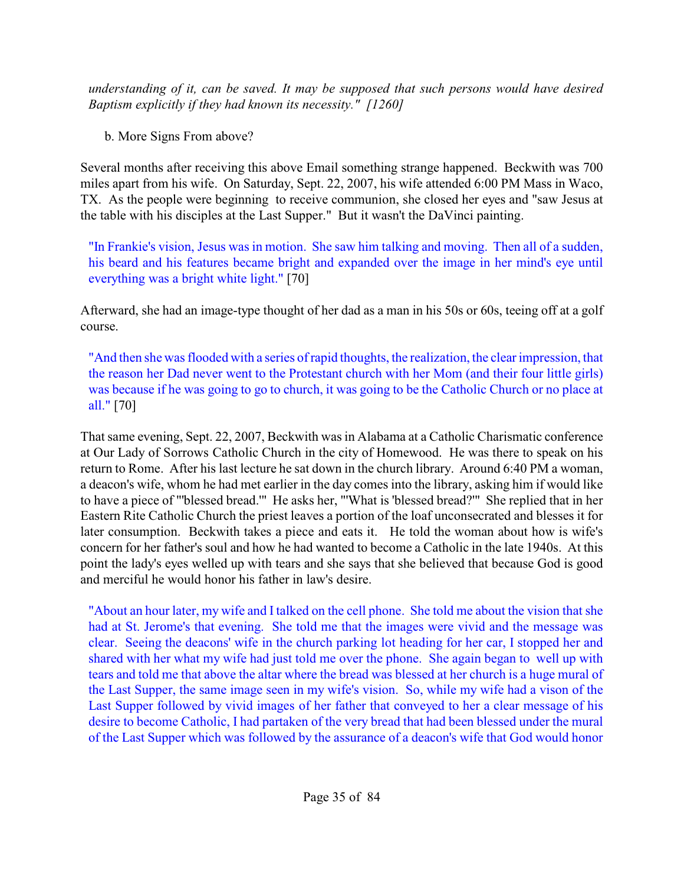*understanding of it, can be saved. It may be supposed that such persons would have desired Baptism explicitly if they had known its necessity." [1260]*

b. More Signs From above?

Several months after receiving this above Email something strange happened. Beckwith was 700 miles apart from his wife. On Saturday, Sept. 22, 2007, his wife attended 6:00 PM Mass in Waco, TX. As the people were beginning to receive communion, she closed her eyes and "saw Jesus at the table with his disciples at the Last Supper." But it wasn't the DaVinci painting.

"In Frankie's vision, Jesus was in motion. She saw him talking and moving. Then all of a sudden, his beard and his features became bright and expanded over the image in her mind's eye until everything was a bright white light." [70]

Afterward, she had an image-type thought of her dad as a man in his 50s or 60s, teeing off at a golf course.

"And then she was flooded with a series of rapid thoughts, the realization, the clear impression, that the reason her Dad never went to the Protestant church with her Mom (and their four little girls) was because if he was going to go to church, it was going to be the Catholic Church or no place at all." [70]

That same evening, Sept. 22, 2007, Beckwith was in Alabama at a Catholic Charismatic conference at Our Lady of Sorrows Catholic Church in the city of Homewood. He was there to speak on his return to Rome. After his last lecture he sat down in the church library. Around 6:40 PM a woman, a deacon's wife, whom he had met earlier in the day comes into the library, asking him if would like to have a piece of "'blessed bread.'" He asks her, "'What is 'blessed bread?'" She replied that in her Eastern Rite Catholic Church the priest leaves a portion of the loaf unconsecrated and blesses it for later consumption. Beckwith takes a piece and eats it. He told the woman about how is wife's concern for her father's soul and how he had wanted to become a Catholic in the late 1940s. At this point the lady's eyes welled up with tears and she says that she believed that because God is good and merciful he would honor his father in law's desire.

"About an hour later, my wife and I talked on the cell phone. She told me about the vision that she had at St. Jerome's that evening. She told me that the images were vivid and the message was clear. Seeing the deacons' wife in the church parking lot heading for her car, I stopped her and shared with her what my wife had just told me over the phone. She again began to well up with tears and told me that above the altar where the bread was blessed at her church is a huge mural of the Last Supper, the same image seen in my wife's vision. So, while my wife had a vison of the Last Supper followed by vivid images of her father that conveyed to her a clear message of his desire to become Catholic, I had partaken of the very bread that had been blessed under the mural of the Last Supper which was followed by the assurance of a deacon's wife that God would honor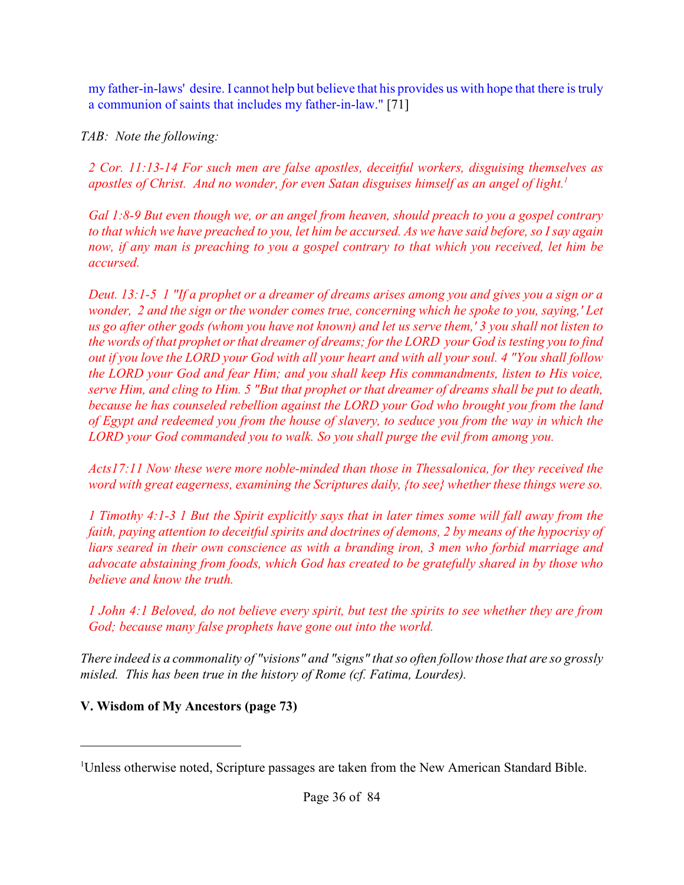my father-in-laws' desire. I cannot help but believe that his provides us with hope that there is truly a communion of saints that includes my father-in-law." [71]

*TAB: Note the following:* 

*2 Cor. 11:13-14 For such men are false apostles, deceitful workers, disguising themselves as apostles of Christ. And no wonder, for even Satan disguises himself as an angel of light.<sup>1</sup>*

*Gal 1:8-9 But even though we, or an angel from heaven, should preach to you a gospel contrary to that which we have preached to you, let him be accursed. As we have said before, so I say again now, if any man is preaching to you a gospel contrary to that which you received, let him be accursed.* 

*Deut. 13:1-5 1 "If a prophet or a dreamer of dreams arises among you and gives you a sign or a wonder, 2 and the sign or the wonder comes true, concerning which he spoke to you, saying,' Let us go after other gods (whom you have not known) and let us serve them,' 3 you shall not listen to the words of that prophet or that dreamer of dreams; for the LORD your God is testing you to find out if you love the LORD your God with all your heart and with all your soul. 4 "You shall follow the LORD your God and fear Him; and you shall keep His commandments, listen to His voice, serve Him, and cling to Him. 5 "But that prophet or that dreamer of dreams shall be put to death, because he has counseled rebellion against the LORD your God who brought you from the land of Egypt and redeemed you from the house of slavery, to seduce you from the way in which the LORD your God commanded you to walk. So you shall purge the evil from among you.* 

*Acts17:11 Now these were more noble-minded than those in Thessalonica, for they received the word with great eagerness, examining the Scriptures daily, {to see} whether these things were so.*

*1 Timothy 4:1-3 1 But the Spirit explicitly says that in later times some will fall away from the faith, paying attention to deceitful spirits and doctrines of demons, 2 by means of the hypocrisy of liars seared in their own conscience as with a branding iron, 3 men who forbid marriage and advocate abstaining from foods, which God has created to be gratefully shared in by those who believe and know the truth.*

*1 John 4:1 Beloved, do not believe every spirit, but test the spirits to see whether they are from God; because many false prophets have gone out into the world.*

*There indeed is a commonality of "visions" and "signs" that so often follow those that are so grossly misled. This has been true in the history of Rome (cf. Fatima, Lourdes).* 

#### **V. Wisdom of My Ancestors (page 73)**

<sup>&</sup>lt;sup>1</sup>Unless otherwise noted, Scripture passages are taken from the New American Standard Bible.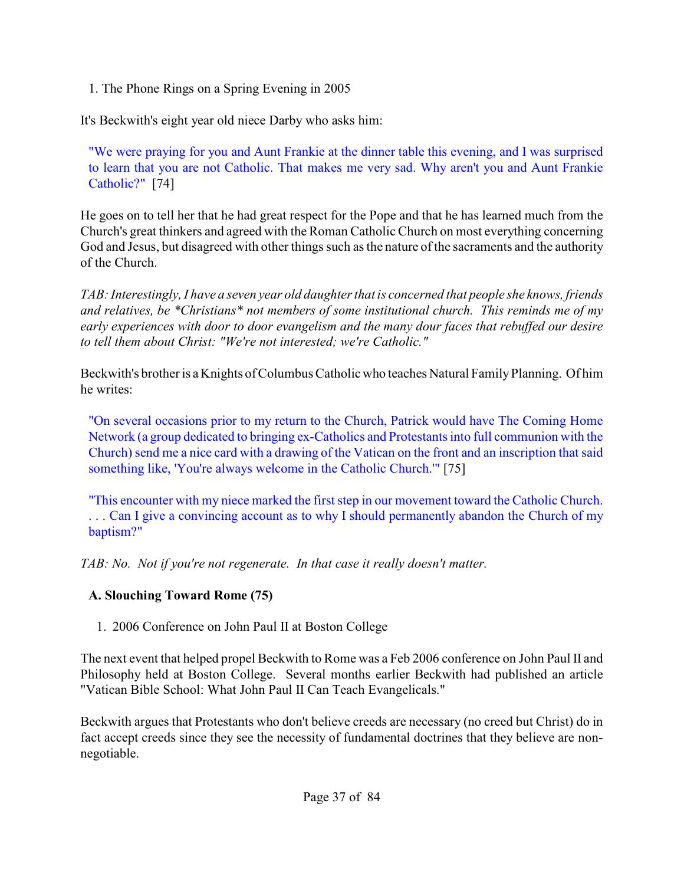1. The Phone Rings on a Spring Evening in 2005

It's Beckwith's eight year old niece Darby who asks him:

"We were praying for you and Aunt Frankie at the dinner table this evening, and I was surprised to learn that you are not Catholic. That makes me very sad. Why aren't you and Aunt Frankie Catholic?" [74]

He goes on to tell her that he had great respect for the Pope and that he has learned much from the Church's great thinkers and agreed with the Roman Catholic Church on most everything concerning God and Jesus, but disagreed with other things such as the nature of the sacraments and the authority of the Church.

*TAB: Interestingly, I have a seven year old daughter that is concerned that people she knows, friends and relatives, be \*Christians\* not members of some institutional church. This reminds me of my early experiences with door to door evangelism and the many dour faces that rebuffed our desire to tell them about Christ: "We're not interested; we're Catholic."*

Beckwith's brother is a Knights of Columbus Catholic who teaches Natural Family Planning. Of him he writes:

"On several occasions prior to my return to the Church, Patrick would have The Coming Home Network (a group dedicated to bringing ex-Catholics and Protestants into full communion with the Church) send me a nice card with a drawing of the Vatican on the front and an inscription that said something like, 'You're always welcome in the Catholic Church.'" [75]

"This encounter with my niece marked the first step in our movement toward the Catholic Church. ... Can I give a convincing account as to why I should permanently abandon the Church of my baptism?"

*TAB: No. Not if you're not regenerate. In that case it really doesn't matter.*

# **A. Slouching Toward Rome (75)**

1. 2006 Conference on John Paul II at Boston College

The next event that helped propel Beckwith to Rome was a Feb 2006 conference on John Paul II and Philosophy held at Boston College. Several months earlier Beckwith had published an article "Vatican Bible School: What John Paul II Can Teach Evangelicals."

Beckwith argues that Protestants who don't believe creeds are necessary (no creed but Christ) do in fact accept creeds since they see the necessity of fundamental doctrines that they believe are nonnegotiable.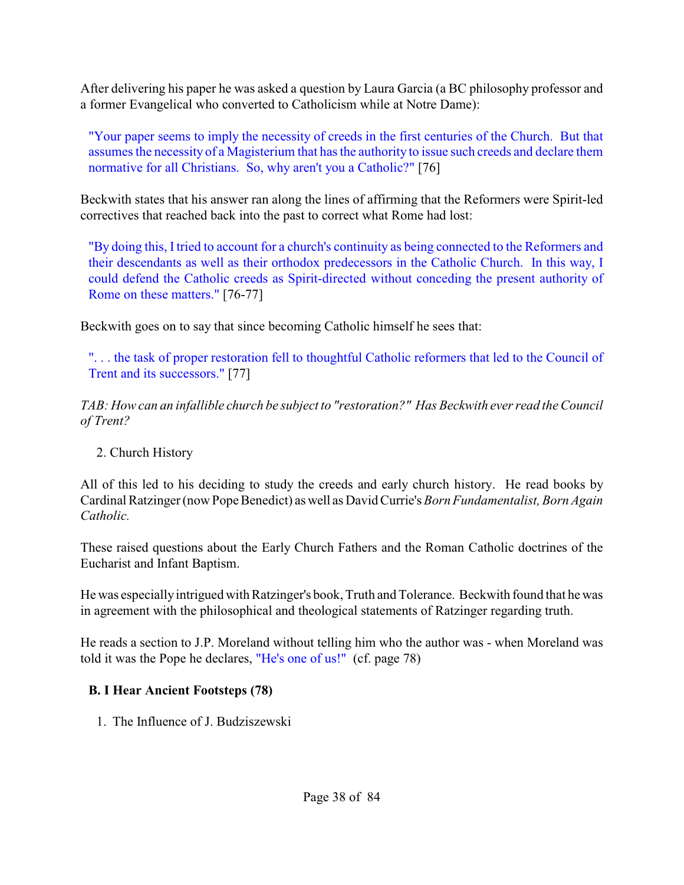After delivering his paper he was asked a question by Laura Garcia (a BC philosophy professor and a former Evangelical who converted to Catholicism while at Notre Dame):

"Your paper seems to imply the necessity of creeds in the first centuries of the Church. But that assumes the necessity of a Magisterium that has the authority to issue such creeds and declare them normative for all Christians. So, why aren't you a Catholic?" [76]

Beckwith states that his answer ran along the lines of affirming that the Reformers were Spirit-led correctives that reached back into the past to correct what Rome had lost:

"By doing this, I tried to account for a church's continuity as being connected to the Reformers and their descendants as well as their orthodox predecessors in the Catholic Church. In this way, I could defend the Catholic creeds as Spirit-directed without conceding the present authority of Rome on these matters." [76-77]

Beckwith goes on to say that since becoming Catholic himself he sees that:

". . . the task of proper restoration fell to thoughtful Catholic reformers that led to the Council of Trent and its successors." [77]

*TAB: How can an infallible church be subject to "restoration?" Has Beckwith ever read the Council of Trent?*

2. Church History

All of this led to his deciding to study the creeds and early church history. He read books by Cardinal Ratzinger (now Pope Benedict) as well as David Currie's *Born Fundamentalist, Born Again Catholic.*

These raised questions about the Early Church Fathers and the Roman Catholic doctrines of the Eucharist and Infant Baptism.

He was especially intrigued with Ratzinger's book, Truth and Tolerance. Beckwith found that he was in agreement with the philosophical and theological statements of Ratzinger regarding truth.

He reads a section to J.P. Moreland without telling him who the author was - when Moreland was told it was the Pope he declares, "He's one of us!" (cf. page 78)

### **B. I Hear Ancient Footsteps (78)**

1. The Influence of J. Budziszewski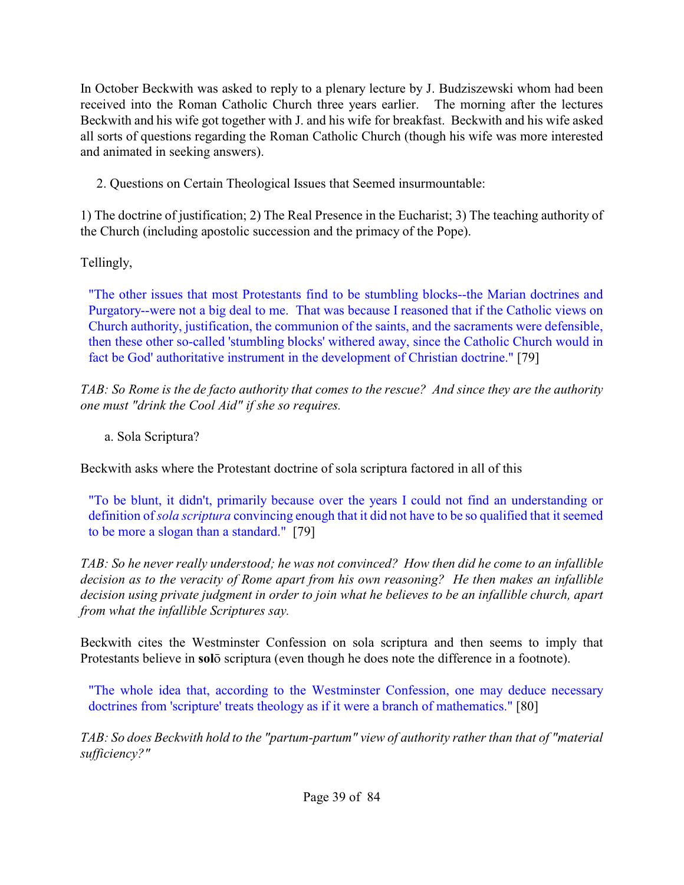In October Beckwith was asked to reply to a plenary lecture by J. Budziszewski whom had been received into the Roman Catholic Church three years earlier. The morning after the lectures Beckwith and his wife got together with J. and his wife for breakfast. Beckwith and his wife asked all sorts of questions regarding the Roman Catholic Church (though his wife was more interested and animated in seeking answers).

2. Questions on Certain Theological Issues that Seemed insurmountable:

1) The doctrine of justification; 2) The Real Presence in the Eucharist; 3) The teaching authority of the Church (including apostolic succession and the primacy of the Pope).

Tellingly,

"The other issues that most Protestants find to be stumbling blocks--the Marian doctrines and Purgatory--were not a big deal to me. That was because I reasoned that if the Catholic views on Church authority, justification, the communion of the saints, and the sacraments were defensible, then these other so-called 'stumbling blocks' withered away, since the Catholic Church would in fact be God' authoritative instrument in the development of Christian doctrine." [79]

*TAB: So Rome is the de facto authority that comes to the rescue? And since they are the authority one must "drink the Cool Aid" if she so requires.* 

a. Sola Scriptura?

Beckwith asks where the Protestant doctrine of sola scriptura factored in all of this

"To be blunt, it didn't, primarily because over the years I could not find an understanding or definition of *sola scriptura* convincing enough that it did not have to be so qualified that it seemed to be more a slogan than a standard." [79]

*TAB: So he never really understood; he was not convinced? How then did he come to an infallible decision as to the veracity of Rome apart from his own reasoning? He then makes an infallible decision using private judgment in order to join what he believes to be an infallible church, apart from what the infallible Scriptures say.*

Beckwith cites the Westminster Confession on sola scriptura and then seems to imply that Protestants believe in **sol**o scriptura (even though he does note the difference in a footnote).

"The whole idea that, according to the Westminster Confession, one may deduce necessary doctrines from 'scripture' treats theology as if it were a branch of mathematics." [80]

*TAB: So does Beckwith hold to the "partum-partum" view of authority rather than that of "material sufficiency?"*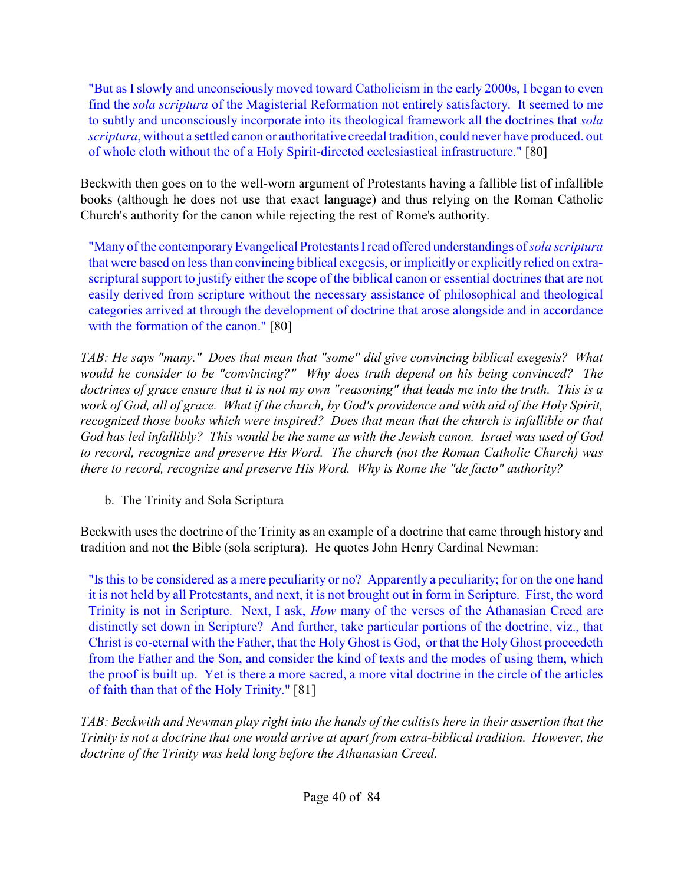"But as I slowly and unconsciously moved toward Catholicism in the early 2000s, I began to even find the *sola scriptura* of the Magisterial Reformation not entirely satisfactory. It seemed to me to subtly and unconsciously incorporate into its theological framework all the doctrines that *sola scriptura*, without a settled canon or authoritative creedal tradition, could never have produced. out of whole cloth without the of a Holy Spirit-directed ecclesiastical infrastructure." [80]

Beckwith then goes on to the well-worn argument of Protestants having a fallible list of infallible books (although he does not use that exact language) and thus relying on the Roman Catholic Church's authority for the canon while rejecting the rest of Rome's authority.

"Many of the contemporary Evangelical Protestants I read offered understandings of *sola scriptura* that were based on less than convincing biblical exegesis, or implicitly or explicitly relied on extrascriptural support to justify either the scope of the biblical canon or essential doctrines that are not easily derived from scripture without the necessary assistance of philosophical and theological categories arrived at through the development of doctrine that arose alongside and in accordance with the formation of the canon." [80]

*TAB: He says "many." Does that mean that "some" did give convincing biblical exegesis? What would he consider to be "convincing?" Why does truth depend on his being convinced? The doctrines of grace ensure that it is not my own "reasoning" that leads me into the truth. This is a work of God, all of grace. What if the church, by God's providence and with aid of the Holy Spirit, recognized those books which were inspired? Does that mean that the church is infallible or that God has led infallibly? This would be the same as with the Jewish canon. Israel was used of God to record, recognize and preserve His Word. The church (not the Roman Catholic Church) was there to record, recognize and preserve His Word. Why is Rome the "de facto" authority?* 

b. The Trinity and Sola Scriptura

Beckwith uses the doctrine of the Trinity as an example of a doctrine that came through history and tradition and not the Bible (sola scriptura). He quotes John Henry Cardinal Newman:

"Is this to be considered as a mere peculiarity or no? Apparently a peculiarity; for on the one hand it is not held by all Protestants, and next, it is not brought out in form in Scripture. First, the word Trinity is not in Scripture. Next, I ask, *How* many of the verses of the Athanasian Creed are distinctly set down in Scripture? And further, take particular portions of the doctrine, viz., that Christ is co-eternal with the Father, that the Holy Ghost is God, or that the Holy Ghost proceedeth from the Father and the Son, and consider the kind of texts and the modes of using them, which the proof is built up. Yet is there a more sacred, a more vital doctrine in the circle of the articles of faith than that of the Holy Trinity." [81]

*TAB: Beckwith and Newman play right into the hands of the cultists here in their assertion that the Trinity is not a doctrine that one would arrive at apart from extra-biblical tradition. However, the doctrine of the Trinity was held long before the Athanasian Creed.*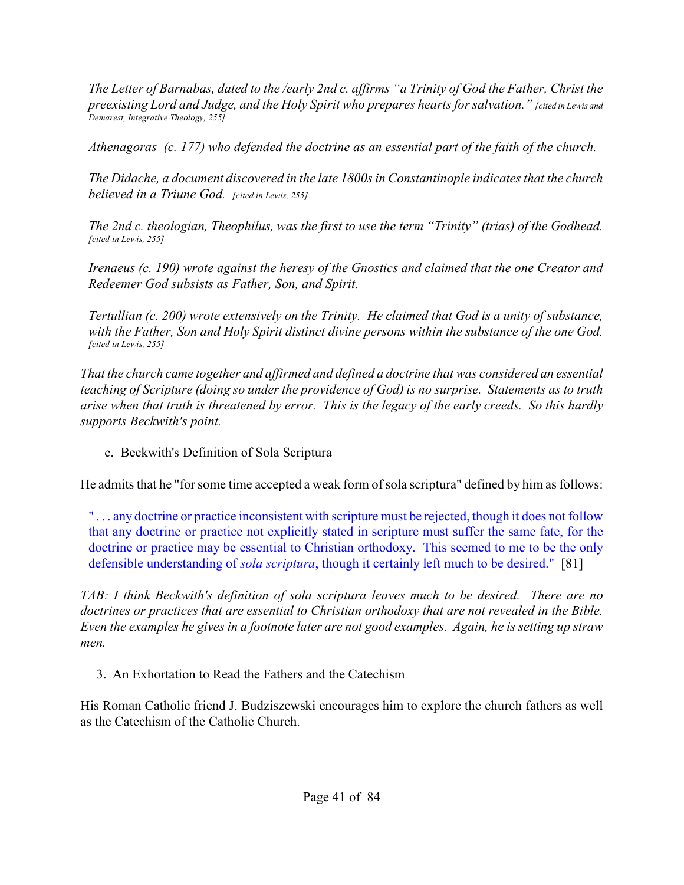*The Letter of Barnabas, dated to the /early 2nd c. affirms "a Trinity of God the Father, Christ the preexisting Lord and Judge, and the Holy Spirit who prepares hearts for salvation." [cited in Lewis and Demarest, Integrative Theology, 255]*

*Athenagoras (c. 177) who defended the doctrine as an essential part of the faith of the church.*

*The Didache, a document discovered in the late 1800s in Constantinople indicates that the church believed in a Triune God. [cited in Lewis, 255]*

*The 2nd c. theologian, Theophilus, was the first to use the term "Trinity" (trias) of the Godhead. [cited in Lewis, 255]*

*Irenaeus (c. 190) wrote against the heresy of the Gnostics and claimed that the one Creator and Redeemer God subsists as Father, Son, and Spirit.*

*Tertullian (c. 200) wrote extensively on the Trinity. He claimed that God is a unity of substance, with the Father, Son and Holy Spirit distinct divine persons within the substance of the one God. [cited in Lewis, 255]*

*That the church came together and affirmed and defined a doctrine that was considered an essential teaching of Scripture (doing so under the providence of God) is no surprise. Statements as to truth arise when that truth is threatened by error. This is the legacy of the early creeds. So this hardly supports Beckwith's point.*

c. Beckwith's Definition of Sola Scriptura

He admits that he "for some time accepted a weak form of sola scriptura" defined by him as follows:

" . . . any doctrine or practice inconsistent with scripture must be rejected, though it does not follow that any doctrine or practice not explicitly stated in scripture must suffer the same fate, for the doctrine or practice may be essential to Christian orthodoxy. This seemed to me to be the only defensible understanding of *sola scriptura*, though it certainly left much to be desired." [81]

*TAB: I think Beckwith's definition of sola scriptura leaves much to be desired. There are no doctrines or practices that are essential to Christian orthodoxy that are not revealed in the Bible. Even the examples he gives in a footnote later are not good examples. Again, he is setting up straw men.*

3. An Exhortation to Read the Fathers and the Catechism

His Roman Catholic friend J. Budziszewski encourages him to explore the church fathers as well as the Catechism of the Catholic Church.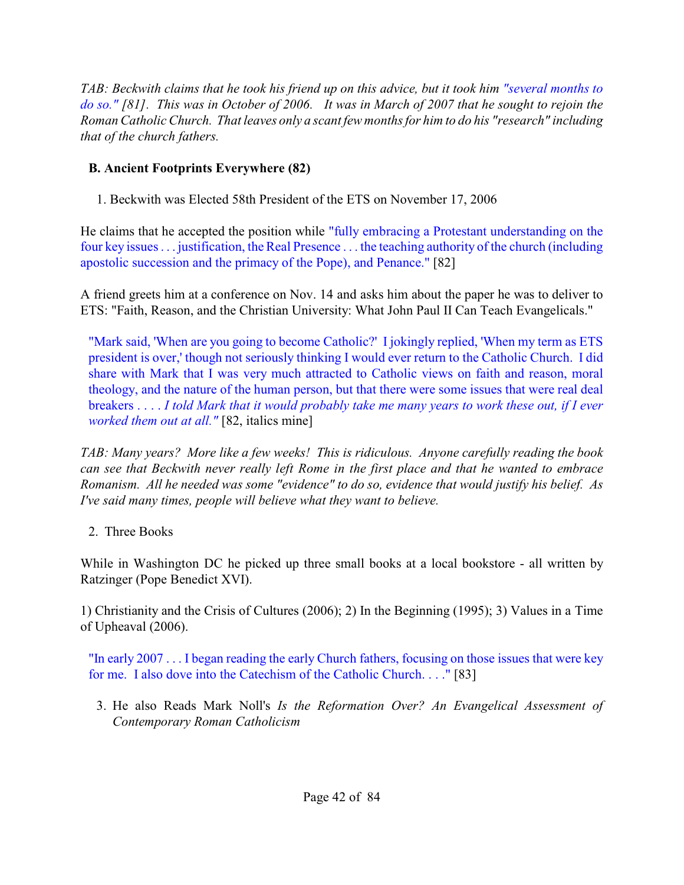*TAB: Beckwith claims that he took his friend up on this advice, but it took him "several months to do so." [81]. This was in October of 2006. It was in March of 2007 that he sought to rejoin the Roman Catholic Church. That leaves only a scant few months for him to do his "research" including that of the church fathers.* 

## **B. Ancient Footprints Everywhere (82)**

1. Beckwith was Elected 58th President of the ETS on November 17, 2006

He claims that he accepted the position while "fully embracing a Protestant understanding on the four key issues . . . justification, the Real Presence . . . the teaching authority of the church (including apostolic succession and the primacy of the Pope), and Penance." [82]

A friend greets him at a conference on Nov. 14 and asks him about the paper he was to deliver to ETS: "Faith, Reason, and the Christian University: What John Paul II Can Teach Evangelicals."

"Mark said, 'When are you going to become Catholic?' I jokingly replied, 'When my term as ETS president is over,' though not seriously thinking I would ever return to the Catholic Church. I did share with Mark that I was very much attracted to Catholic views on faith and reason, moral theology, and the nature of the human person, but that there were some issues that were real deal breakers . . . . *I told Mark that it would probably take me many years to work these out, if I ever worked them out at all."* [82, italics mine]

*TAB: Many years? More like a few weeks! This is ridiculous. Anyone carefully reading the book can see that Beckwith never really left Rome in the first place and that he wanted to embrace Romanism. All he needed was some "evidence" to do so, evidence that would justify his belief. As I've said many times, people will believe what they want to believe.* 

2. Three Books

While in Washington DC he picked up three small books at a local bookstore - all written by Ratzinger (Pope Benedict XVI).

1) Christianity and the Crisis of Cultures (2006); 2) In the Beginning (1995); 3) Values in a Time of Upheaval (2006).

"In early 2007 . . . I began reading the early Church fathers, focusing on those issues that were key for me. I also dove into the Catechism of the Catholic Church. . . ." [83]

3. He also Reads Mark Noll's *Is the Reformation Over? An Evangelical Assessment of Contemporary Roman Catholicism*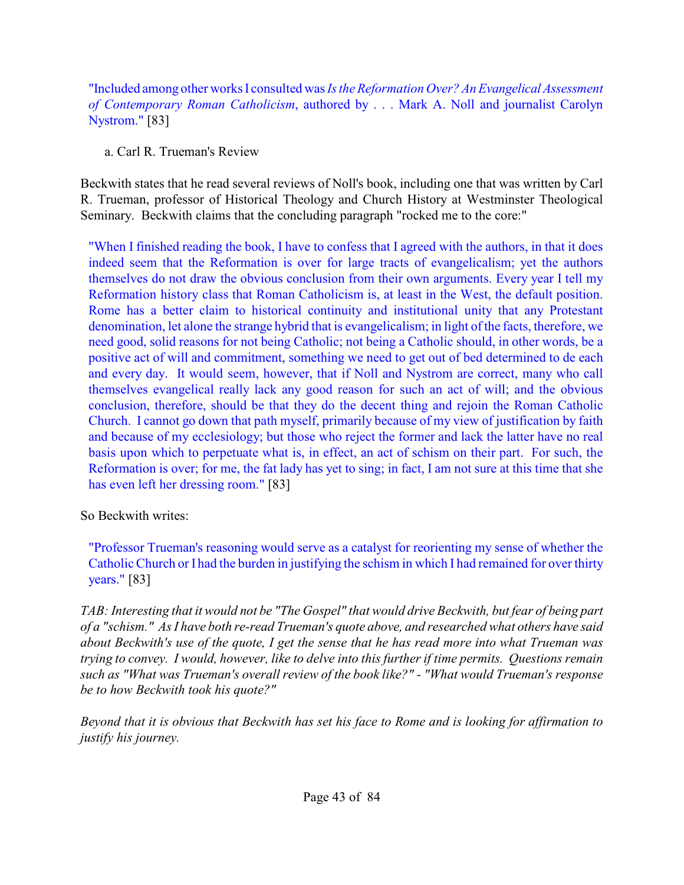"Included among other works I consulted was *Is the Reformation Over? An Evangelical Assessment of Contemporary Roman Catholicism*, authored by . . . Mark A. Noll and journalist Carolyn Nystrom." [83]

a. Carl R. Trueman's Review

Beckwith states that he read several reviews of Noll's book, including one that was written by Carl R. Trueman, professor of Historical Theology and Church History at Westminster Theological Seminary. Beckwith claims that the concluding paragraph "rocked me to the core:"

"When I finished reading the book, I have to confess that I agreed with the authors, in that it does indeed seem that the Reformation is over for large tracts of evangelicalism; yet the authors themselves do not draw the obvious conclusion from their own arguments. Every year I tell my Reformation history class that Roman Catholicism is, at least in the West, the default position. Rome has a better claim to historical continuity and institutional unity that any Protestant denomination, let alone the strange hybrid that is evangelicalism; in light ofthe facts, therefore, we need good, solid reasons for not being Catholic; not being a Catholic should, in other words, be a positive act of will and commitment, something we need to get out of bed determined to de each and every day. It would seem, however, that if Noll and Nystrom are correct, many who call themselves evangelical really lack any good reason for such an act of will; and the obvious conclusion, therefore, should be that they do the decent thing and rejoin the Roman Catholic Church. I cannot go down that path myself, primarily because of my view of justification by faith and because of my ecclesiology; but those who reject the former and lack the latter have no real basis upon which to perpetuate what is, in effect, an act of schism on their part. For such, the Reformation is over; for me, the fat lady has yet to sing; in fact, I am not sure at this time that she has even left her dressing room." [83]

So Beckwith writes:

"Professor Trueman's reasoning would serve as a catalyst for reorienting my sense of whether the Catholic Church or I had the burden in justifying the schism in which I had remained for over thirty years." [83]

*TAB: Interesting that itwould not be "The Gospel" that would drive Beckwith, but fear of being part of a "schism." As I have both re-read Trueman's quote above, and researched what others have said about Beckwith's use of the quote, I get the sense that he has read more into what Trueman was trying to convey. I would, however, like to delve into this further if time permits. Questions remain such as "What was Trueman's overall review of the book like?" - "What would Trueman's response be to how Beckwith took his quote?"* 

*Beyond that it is obvious that Beckwith has set his face to Rome and is looking for affirmation to justify his journey.*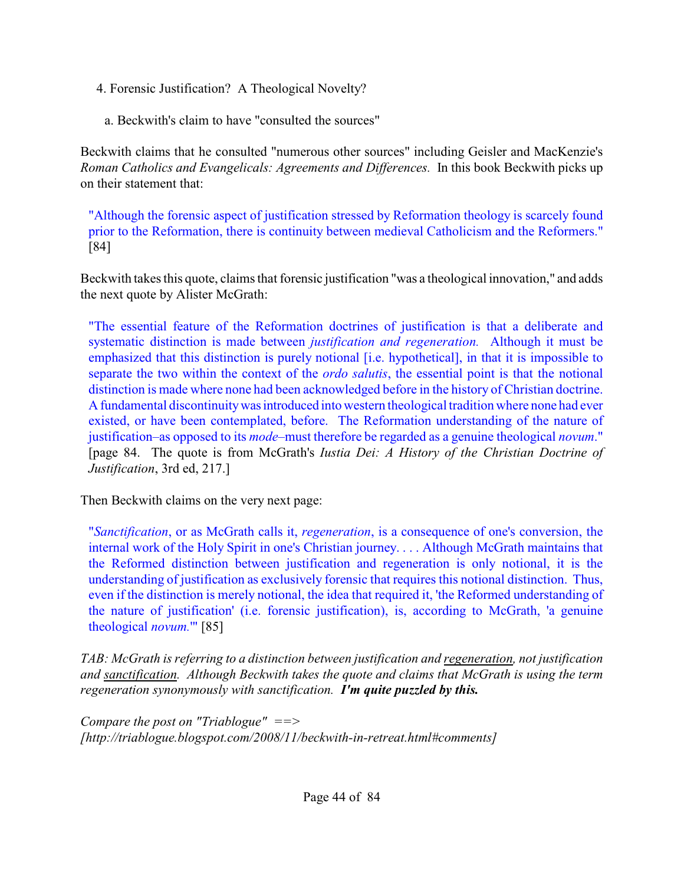- 4. Forensic Justification? A Theological Novelty?
	- a. Beckwith's claim to have "consulted the sources"

Beckwith claims that he consulted "numerous other sources" including Geisler and MacKenzie's *Roman Catholics and Evangelicals: Agreements and Differences.* In this book Beckwith picks up on their statement that:

"Although the forensic aspect of justification stressed by Reformation theology is scarcely found prior to the Reformation, there is continuity between medieval Catholicism and the Reformers." [84]

Beckwith takes this quote, claims that forensic justification "was a theological innovation," and adds the next quote by Alister McGrath:

"The essential feature of the Reformation doctrines of justification is that a deliberate and systematic distinction is made between *justification and regeneration.* Although it must be emphasized that this distinction is purely notional [i.e. hypothetical], in that it is impossible to separate the two within the context of the *ordo salutis*, the essential point is that the notional distinction is made where none had been acknowledged before in the history of Christian doctrine. A fundamental discontinuity was introduced into western theological tradition where none had ever existed, or have been contemplated, before. The Reformation understanding of the nature of justification–as opposed to its *mode*–must therefore be regarded as a genuine theological *novum*." [page 84. The quote is from McGrath's *Iustia Dei: A History of the Christian Doctrine of Justification*, 3rd ed, 217.]

Then Beckwith claims on the very next page:

"*Sanctification*, or as McGrath calls it, *regeneration*, is a consequence of one's conversion, the internal work of the Holy Spirit in one's Christian journey. . . . Although McGrath maintains that the Reformed distinction between justification and regeneration is only notional, it is the understanding of justification as exclusively forensic that requires this notional distinction. Thus, even if the distinction is merely notional, the idea that required it, 'the Reformed understanding of the nature of justification' (i.e. forensic justification), is, according to McGrath, 'a genuine theological *novum.*'" [85]

*TAB: McGrath is referring to a distinction between justification and regeneration, not justification and sanctification. Although Beckwith takes the quote and claims that McGrath is using the term regeneration synonymously with sanctification. I'm quite puzzled by this.*

*Compare the post on "Triablogue" ==> [http://triablogue.blogspot.com/2008/11/beckwith-in-retreat.html#comments]*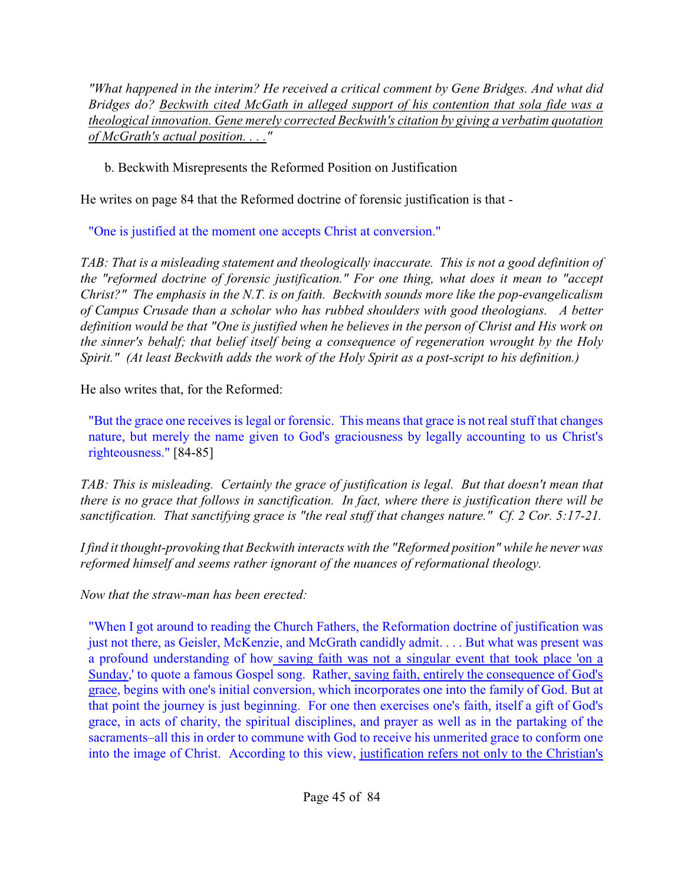*"What happened in the interim? He received a critical comment by Gene Bridges. And what did Bridges do? Beckwith cited McGath in alleged support of his contention that sola fide was a theological innovation. Gene merely corrected Beckwith's citation by giving a verbatim quotation of McGrath's actual position. . . ."*

b. Beckwith Misrepresents the Reformed Position on Justification

He writes on page 84 that the Reformed doctrine of forensic justification is that -

"One is justified at the moment one accepts Christ at conversion."

*TAB: That is a misleading statement and theologically inaccurate. This is not a good definition of the "reformed doctrine of forensic justification." For one thing, what does it mean to "accept Christ?" The emphasis in the N.T. is on faith. Beckwith sounds more like the pop-evangelicalism of Campus Crusade than a scholar who has rubbed shoulders with good theologians. A better definition would be that "One is justified when he believes in the person of Christ and His work on the sinner's behalf; that belief itself being a consequence of regeneration wrought by the Holy Spirit." (At least Beckwith adds the work of the Holy Spirit as a post-script to his definition.)*

He also writes that, for the Reformed:

"But the grace one receives is legal or forensic. This means that grace is not real stuff that changes nature, but merely the name given to God's graciousness by legally accounting to us Christ's righteousness." [84-85]

*TAB: This is misleading. Certainly the grace of justification is legal. But that doesn't mean that there is no grace that follows in sanctification. In fact, where there is justification there will be sanctification. That sanctifying grace is "the real stuff that changes nature." Cf. 2 Cor. 5:17-21.*

*I find it thought-provoking that Beckwith interacts with the "Reformed position" while he never was reformed himself and seems rather ignorant of the nuances of reformational theology.*

*Now that the straw-man has been erected:*

"When I got around to reading the Church Fathers, the Reformation doctrine of justification was just not there, as Geisler, McKenzie, and McGrath candidly admit. . . . But what was present was a profound understanding of how saving faith was not a singular event that took place 'on a Sunday,' to quote a famous Gospel song. Rather, saving faith, entirely the consequence of God's grace, begins with one's initial conversion, which incorporates one into the family of God. But at that point the journey is just beginning. For one then exercises one's faith, itself a gift of God's grace, in acts of charity, the spiritual disciplines, and prayer as well as in the partaking of the sacraments–all this in order to commune with God to receive his unmerited grace to conform one into the image of Christ. According to this view, justification refers not only to the Christian's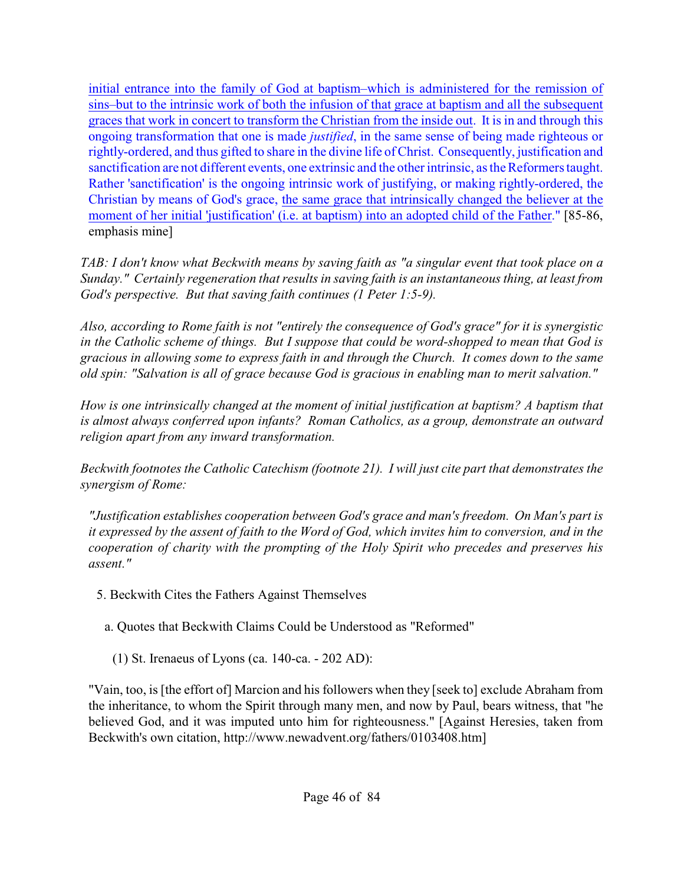initial entrance into the family of God at baptism–which is administered for the remission of sins–but to the intrinsic work of both the infusion of that grace at baptism and all the subsequent graces that work in concert to transform the Christian from the inside out. It is in and through this ongoing transformation that one is made *justified*, in the same sense of being made righteous or rightly-ordered, and thus gifted to share in the divine life of Christ. Consequently, justification and sanctification are not different events, one extrinsic and the other intrinsic, as the Reformers taught. Rather 'sanctification' is the ongoing intrinsic work of justifying, or making rightly-ordered, the Christian by means of God's grace, the same grace that intrinsically changed the believer at the moment of her initial 'justification' (i.e. at baptism) into an adopted child of the Father." [85-86, emphasis mine]

*TAB: I don't know what Beckwith means by saving faith as "a singular event that took place on a Sunday." Certainly regeneration that results in saving faith is an instantaneous thing, at least from God's perspective. But that saving faith continues (1 Peter 1:5-9).*

*Also, according to Rome faith is not "entirely the consequence of God's grace" for it is synergistic in the Catholic scheme of things. But I suppose that could be word-shopped to mean that God is gracious in allowing some to express faith in and through the Church. It comes down to the same old spin: "Salvation is all of grace because God is gracious in enabling man to merit salvation."*

*How is one intrinsically changed at the moment of initial justification at baptism? A baptism that is almost always conferred upon infants? Roman Catholics, as a group, demonstrate an outward religion apart from any inward transformation.*

*Beckwith footnotes the Catholic Catechism (footnote 21). I will just cite part that demonstrates the synergism of Rome:*

*"Justification establishes cooperation between God's grace and man's freedom. On Man's part is it expressed by the assent of faith to the Word of God, which invites him to conversion, and in the cooperation of charity with the prompting of the Holy Spirit who precedes and preserves his assent."* 

5. Beckwith Cites the Fathers Against Themselves

a. Quotes that Beckwith Claims Could be Understood as "Reformed"

(1) St. Irenaeus of Lyons (ca. 140-ca. - 202 AD):

"Vain, too, is [the effort of] Marcion and his followers when they [seek to] exclude Abraham from the inheritance, to whom the Spirit through many men, and now by Paul, bears witness, that "he believed God, and it was imputed unto him for righteousness." [Against Heresies, taken from Beckwith's own citation, http://www.newadvent.org/fathers/0103408.htm]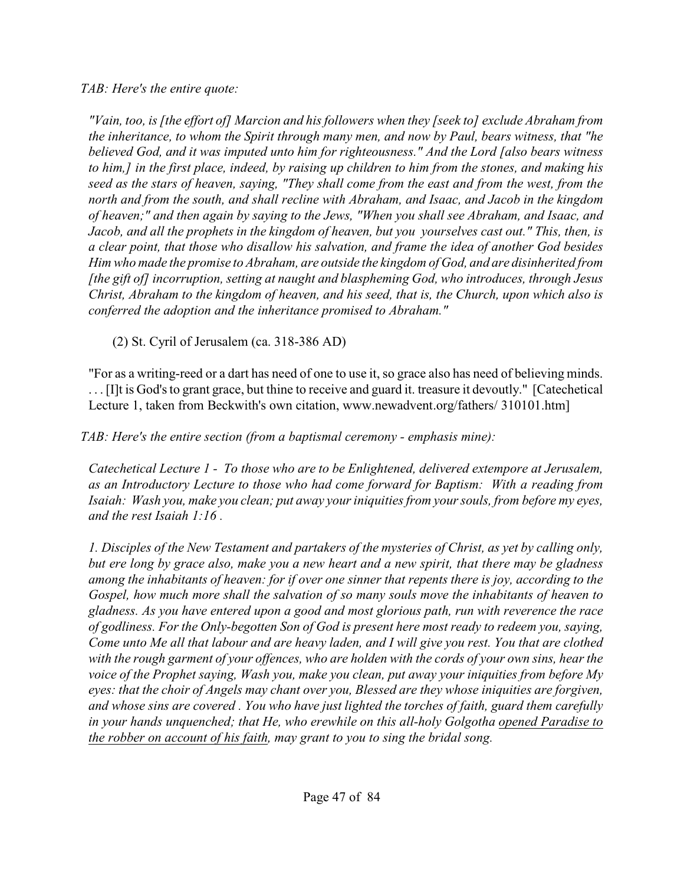*TAB: Here's the entire quote:*

*"Vain, too, is [the effort of] Marcion and his followers when they [seek to] exclude Abraham from the inheritance, to whom the Spirit through many men, and now by Paul, bears witness, that "he believed God, and it was imputed unto him for righteousness." And the Lord [also bears witness to him,] in the first place, indeed, by raising up children to him from the stones, and making his seed as the stars of heaven, saying, "They shall come from the east and from the west, from the north and from the south, and shall recline with Abraham, and Isaac, and Jacob in the kingdom of heaven;" and then again by saying to the Jews, "When you shall see Abraham, and Isaac, and Jacob, and all the prophets in the kingdom of heaven, but you yourselves cast out." This, then, is a clear point, that those who disallow his salvation, and frame the idea of another God besides Him who made the promise to Abraham, are outside the kingdom of God, and are disinherited from [the gift of] incorruption, setting at naught and blaspheming God, who introduces, through Jesus Christ, Abraham to the kingdom of heaven, and his seed, that is, the Church, upon which also is conferred the adoption and the inheritance promised to Abraham."*

(2) St. Cyril of Jerusalem (ca. 318-386 AD)

"For as a writing-reed or a dart has need of one to use it, so grace also has need of believing minds. . . . [I]t is God's to grant grace, but thine to receive and guard it. treasure it devoutly." [Catechetical Lecture 1, taken from Beckwith's own citation, www.newadvent.org/fathers/ 310101.htm]

*TAB: Here's the entire section (from a baptismal ceremony - emphasis mine):*

*Catechetical Lecture 1 - To those who are to be Enlightened, delivered extempore at Jerusalem, as an Introductory Lecture to those who had come forward for Baptism: With a reading from Isaiah: Wash you, make you clean; put away your iniquities from your souls, from before my eyes, and the rest Isaiah 1:16 .*

*1. Disciples of the New Testament and partakers of the mysteries of Christ, as yet by calling only, but ere long by grace also, make you a new heart and a new spirit, that there may be gladness among the inhabitants of heaven: for if over one sinner that repents there is joy, according to the Gospel, how much more shall the salvation of so many souls move the inhabitants of heaven to gladness. As you have entered upon a good and most glorious path, run with reverence the race of godliness. For the Only-begotten Son of God is present here most ready to redeem you, saying, Come unto Me all that labour and are heavy laden, and I will give you rest. You that are clothed with the rough garment of your offences, who are holden with the cords of your own sins, hear the voice of the Prophet saying, Wash you, make you clean, put away your iniquities from before My eyes: that the choir of Angels may chant over you, Blessed are they whose iniquities are forgiven, and whose sins are covered . You who have just lighted the torches of faith, guard them carefully in your hands unquenched; that He, who erewhile on this all-holy Golgotha opened Paradise to the robber on account of his faith, may grant to you to sing the bridal song.*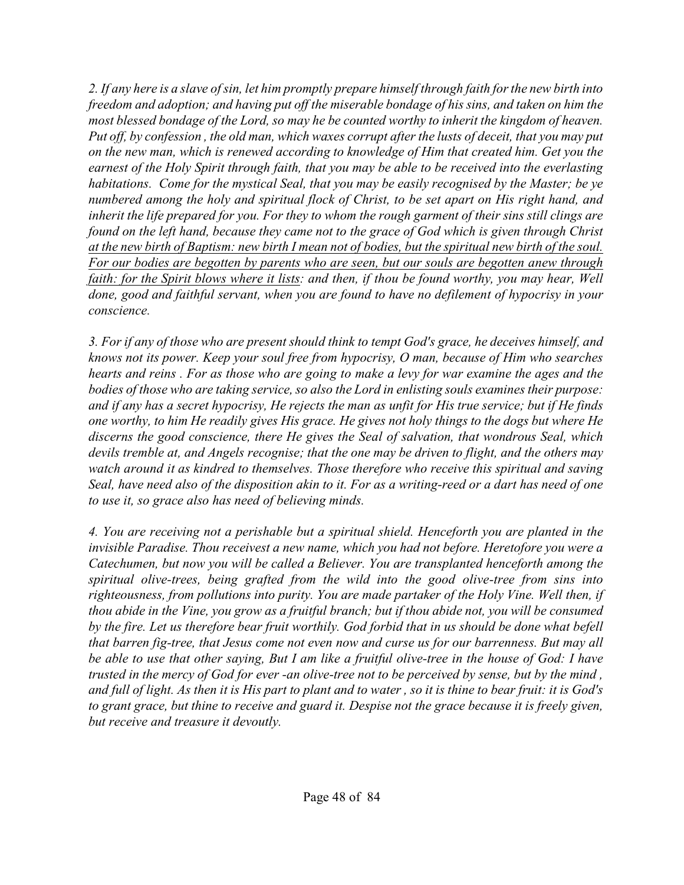*2. If any here is a slave of sin, let him promptly prepare himself through faith for the new birth into freedom and adoption; and having put off the miserable bondage of his sins, and taken on him the most blessed bondage of the Lord, so may he be counted worthy to inherit the kingdom of heaven. Put off, by confession , the old man, which waxes corrupt after the lusts of deceit, that you may put on the new man, which is renewed according to knowledge of Him that created him. Get you the earnest of the Holy Spirit through faith, that you may be able to be received into the everlasting habitations. Come for the mystical Seal, that you may be easily recognised by the Master; be ye numbered among the holy and spiritual flock of Christ, to be set apart on His right hand, and inherit the life prepared for you. For they to whom the rough garment of their sins still clings are found on the left hand, because they came not to the grace of God which is given through Christ at the new birth of Baptism: new birth I mean not of bodies, but the spiritual new birth of the soul. For our bodies are begotten by parents who are seen, but our souls are begotten anew through faith: for the Spirit blows where it lists: and then, if thou be found worthy, you may hear, Well done, good and faithful servant, when you are found to have no defilement of hypocrisy in your conscience.*

*3. For if any of those who are present should think to tempt God's grace, he deceives himself, and knows not its power. Keep your soul free from hypocrisy, O man, because of Him who searches hearts and reins . For as those who are going to make a levy for war examine the ages and the bodies of those who are taking service, so also the Lord in enlisting souls examines their purpose: and if any has a secret hypocrisy, He rejects the man as unfit for His true service; but if He finds one worthy, to him He readily gives His grace. He gives not holy things to the dogs but where He discerns the good conscience, there He gives the Seal of salvation, that wondrous Seal, which devils tremble at, and Angels recognise; that the one may be driven to flight, and the others may watch around it as kindred to themselves. Those therefore who receive this spiritual and saving Seal, have need also of the disposition akin to it. For as a writing-reed or a dart has need of one to use it, so grace also has need of believing minds.*

*4. You are receiving not a perishable but a spiritual shield. Henceforth you are planted in the invisible Paradise. Thou receivest a new name, which you had not before. Heretofore you were a Catechumen, but now you will be called a Believer. You are transplanted henceforth among the spiritual olive-trees, being grafted from the wild into the good olive-tree from sins into righteousness, from pollutions into purity. You are made partaker of the Holy Vine. Well then, if thou abide in the Vine, you grow as a fruitful branch; but if thou abide not, you will be consumed by the fire. Let us therefore bear fruit worthily. God forbid that in us should be done what befell that barren fig-tree, that Jesus come not even now and curse us for our barrenness. But may all be able to use that other saying, But I am like a fruitful olive-tree in the house of God: I have trusted in the mercy of God for ever -an olive-tree not to be perceived by sense, but by the mind , and full of light. As then it is His part to plant and to water , so it is thine to bear fruit: it is God's to grant grace, but thine to receive and guard it. Despise not the grace because it is freely given, but receive and treasure it devoutly.*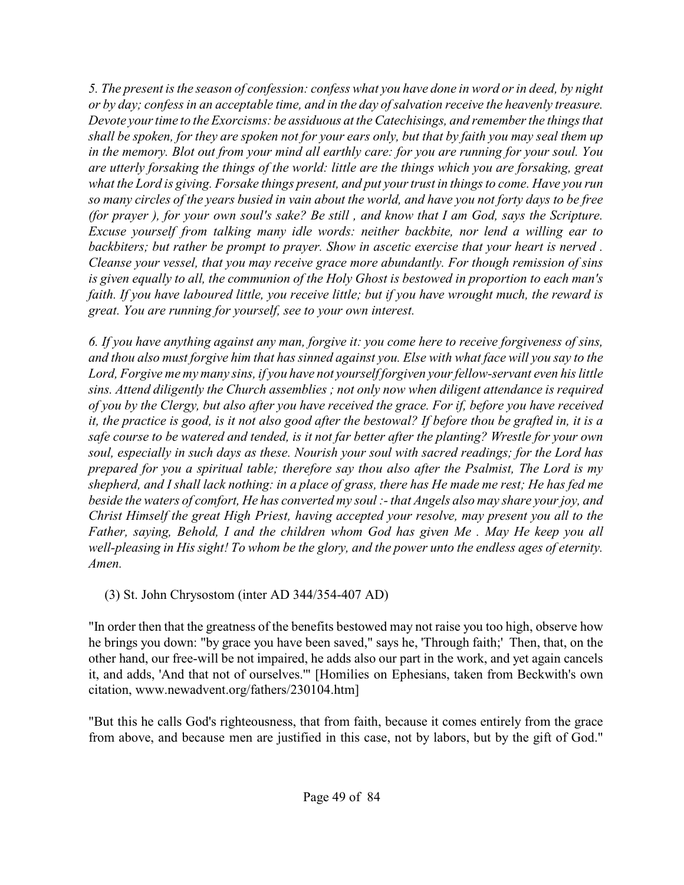*5. The present is the season of confession: confess what you have done in word or in deed, by night or by day; confess in an acceptable time, and in the day of salvation receive the heavenly treasure. Devote your time to theExorcisms: be assiduous at the Catechisings, and remember the things that shall be spoken, for they are spoken not for your ears only, but that by faith you may seal them up in the memory. Blot out from your mind all earthly care: for you are running for your soul. You are utterly forsaking the things of the world: little are the things which you are forsaking, great what the Lord is giving. Forsake things present, and put your trust in things to come. Have you run so many circles of the years busied in vain about the world, and have you not forty days to be free (for prayer ), for your own soul's sake? Be still , and know that I am God, says the Scripture. Excuse yourself from talking many idle words: neither backbite, nor lend a willing ear to backbiters; but rather be prompt to prayer. Show in ascetic exercise that your heart is nerved . Cleanse your vessel, that you may receive grace more abundantly. For though remission of sins is given equally to all, the communion of the Holy Ghost is bestowed in proportion to each man's faith. If you have laboured little, you receive little; but if you have wrought much, the reward is great. You are running for yourself, see to your own interest.*

*6. If you have anything against any man, forgive it: you come here to receive forgiveness of sins, and thou also must forgive him that has sinned against you. Else with what face will you say to the Lord, Forgive me my many sins, if you have not yourself forgiven your fellow-servant even his little sins. Attend diligently the Church assemblies ; not only now when diligent attendance is required of you by the Clergy, but also after you have received the grace. For if, before you have received it, the practice is good, is it not also good after the bestowal? If before thou be grafted in, it is a safe course to be watered and tended, is it not far better after the planting? Wrestle for your own soul, especially in such days as these. Nourish your soul with sacred readings; for the Lord has prepared for you a spiritual table; therefore say thou also after the Psalmist, The Lord is my shepherd, and I shall lack nothing: in a place of grass, there has He made me rest; He has fed me beside the waters of comfort, He has converted my soul :- that Angels also may share your joy, and Christ Himself the great High Priest, having accepted your resolve, may present you all to the Father, saying, Behold, I and the children whom God has given Me . May He keep you all well-pleasing in His sight! To whom be the glory, and the power unto the endless ages of eternity. Amen.*

(3) St. John Chrysostom (inter AD 344/354-407 AD)

"In order then that the greatness of the benefits bestowed may not raise you too high, observe how he brings you down: "by grace you have been saved," says he, 'Through faith;' Then, that, on the other hand, our free-will be not impaired, he adds also our part in the work, and yet again cancels it, and adds, 'And that not of ourselves.'" [Homilies on Ephesians, taken from Beckwith's own citation, www.newadvent.org/fathers/230104.htm]

"But this he calls God's righteousness, that from faith, because it comes entirely from the grace from above, and because men are justified in this case, not by labors, but by the gift of God."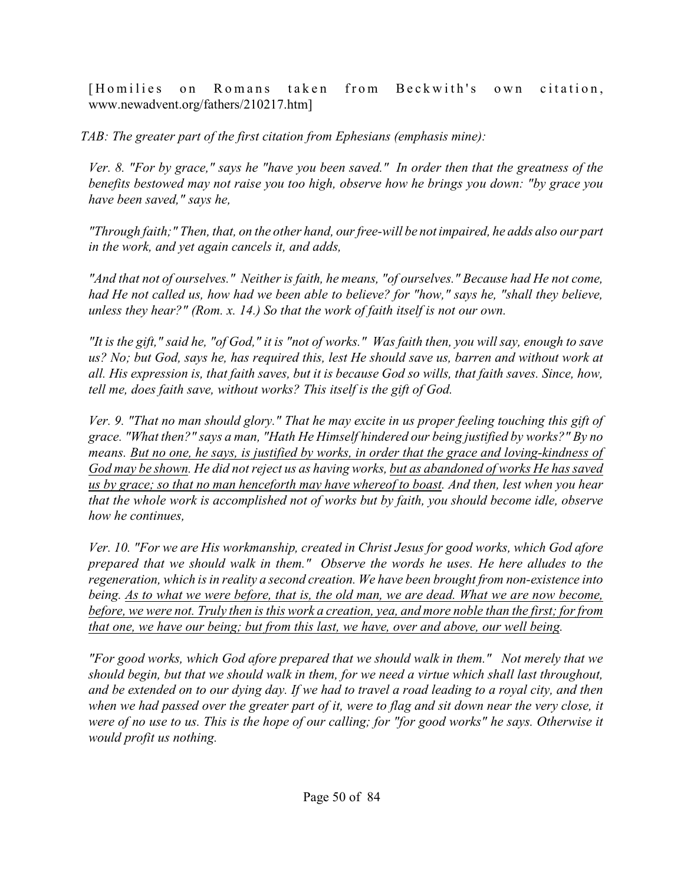[Homilies on Romans taken from Beckwith's own citation, www.newadvent.org/fathers/210217.htm]

*TAB: The greater part of the first citation from Ephesians (emphasis mine):* 

*Ver. 8. "For by grace," says he "have you been saved." In order then that the greatness of the benefits bestowed may not raise you too high, observe how he brings you down: "by grace you have been saved," says he,*

*"Through faith;" Then, that, on the other hand, our free-will be not impaired, he adds also our part in the work, and yet again cancels it, and adds,*

*"And that not of ourselves." Neither is faith, he means, "of ourselves." Because had He not come, had He not called us, how had we been able to believe? for "how," says he, "shall they believe, unless they hear?" (Rom. x. 14.) So that the work of faith itself is not our own.*

*"It is the gift," said he, "of God," it is "not of works." Was faith then, you will say, enough to save us? No; but God, says he, has required this, lest He should save us, barren and without work at all. His expression is, that faith saves, but it is because God so wills, that faith saves. Since, how, tell me, does faith save, without works? This itself is the gift of God.*

*Ver. 9. "That no man should glory." That he may excite in us proper feeling touching this gift of grace. "What then?" says a man, "Hath He Himself hindered our being justified by works?" By no means. But no one, he says, is justified by works, in order that the grace and loving-kindness of God may be shown. He did not reject us as having works, but as abandoned of works He has saved us by grace; so that no man henceforth may have whereof to boast. And then, lest when you hear that the whole work is accomplished not of works but by faith, you should become idle, observe how he continues,*

*Ver. 10. "For we are His workmanship, created in Christ Jesus for good works, which God afore prepared that we should walk in them." Observe the words he uses. He here alludes to the regeneration, which is in reality a second creation. We have been brought from non-existence into being. As to what we were before, that is, the old man, we are dead. What we are now become, before, we were not. Truly then is this work a creation, yea, and more noble than the first; for from that one, we have our being; but from this last, we have, over and above, our well being.*

*"For good works, which God afore prepared that we should walk in them." Not merely that we should begin, but that we should walk in them, for we need a virtue which shall last throughout, and be extended on to our dying day. If we had to travel a road leading to a royal city, and then when we had passed over the greater part of it, were to flag and sit down near the very close, it were of no use to us. This is the hope of our calling; for "for good works" he says. Otherwise it would profit us nothing.*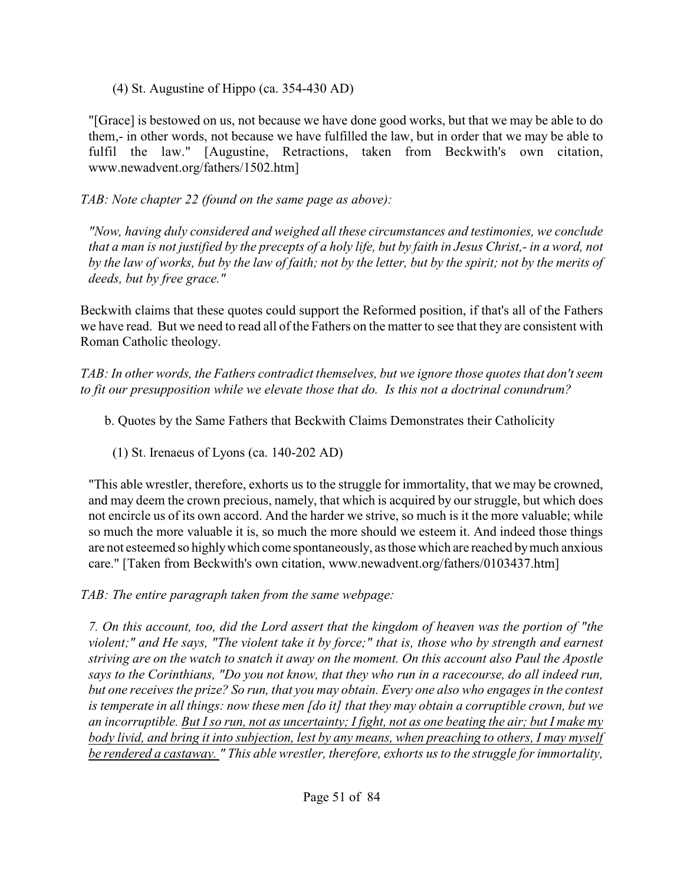(4) St. Augustine of Hippo (ca. 354-430 AD)

"[Grace] is bestowed on us, not because we have done good works, but that we may be able to do them,- in other words, not because we have fulfilled the law, but in order that we may be able to fulfil the law." [Augustine, Retractions, taken from Beckwith's own citation, www.newadvent.org/fathers/1502.htm]

*TAB: Note chapter 22 (found on the same page as above):*

*"Now, having duly considered and weighed all these circumstances and testimonies, we conclude that a man is not justified by the precepts of a holy life, but by faith in Jesus Christ,- in a word, not by the law of works, but by the law of faith; not by the letter, but by the spirit; not by the merits of deeds, but by free grace."*

Beckwith claims that these quotes could support the Reformed position, if that's all of the Fathers we have read. But we need to read all of the Fathers on the matter to see that they are consistent with Roman Catholic theology.

*TAB: In other words, the Fathers contradict themselves, but we ignore those quotes that don't seem to fit our presupposition while we elevate those that do. Is this not a doctrinal conundrum?* 

b. Quotes by the Same Fathers that Beckwith Claims Demonstrates their Catholicity

(1) St. Irenaeus of Lyons (ca. 140-202 AD)

"This able wrestler, therefore, exhorts us to the struggle for immortality, that we may be crowned, and may deem the crown precious, namely, that which is acquired by our struggle, but which does not encircle us of its own accord. And the harder we strive, so much is it the more valuable; while so much the more valuable it is, so much the more should we esteem it. And indeed those things are not esteemed so highly which come spontaneously, as those which are reached by much anxious care." [Taken from Beckwith's own citation, www.newadvent.org/fathers/0103437.htm]

*TAB: The entire paragraph taken from the same webpage:*

*7. On this account, too, did the Lord assert that the kingdom of heaven was the portion of "the violent;" and He says, "The violent take it by force;" that is, those who by strength and earnest striving are on the watch to snatch it away on the moment. On this account also Paul the Apostle says to the Corinthians, "Do you not know, that they who run in a racecourse, do all indeed run, but one receives the prize? So run, that you may obtain. Every one also who engages in the contest is temperate in all things: now these men [do it] that they may obtain a corruptible crown, but we an incorruptible. But I so run, not as uncertainty; I fight, not as one beating the air; but I make my body livid, and bring it into subjection, lest by any means, when preaching to others, I may myself be rendered a castaway. " This able wrestler, therefore, exhorts us to the struggle for immortality,*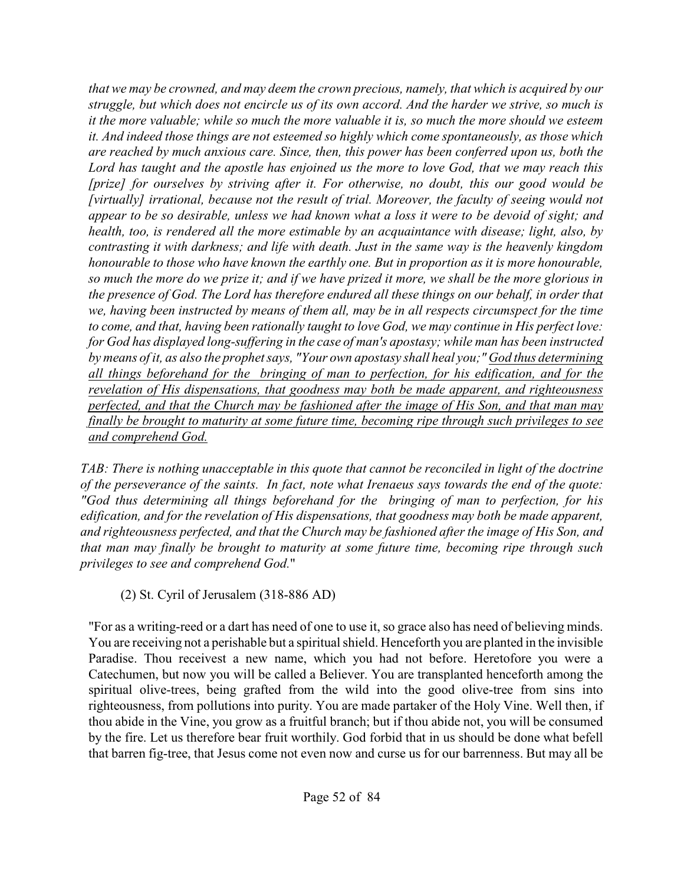*that we may be crowned, and may deem the crown precious, namely, that which is acquired by our struggle, but which does not encircle us of its own accord. And the harder we strive, so much is it the more valuable; while so much the more valuable it is, so much the more should we esteem it. And indeed those things are not esteemed so highly which come spontaneously, as those which are reached by much anxious care. Since, then, this power has been conferred upon us, both the Lord has taught and the apostle has enjoined us the more to love God, that we may reach this [prize] for ourselves by striving after it. For otherwise, no doubt, this our good would be [virtually] irrational, because not the result of trial. Moreover, the faculty of seeing would not appear to be so desirable, unless we had known what a loss it were to be devoid of sight; and health, too, is rendered all the more estimable by an acquaintance with disease; light, also, by contrasting it with darkness; and life with death. Just in the same way is the heavenly kingdom honourable to those who have known the earthly one. But in proportion as it is more honourable, so much the more do we prize it; and if we have prized it more, we shall be the more glorious in the presence of God. The Lord has therefore endured all these things on our behalf, in order that we, having been instructed by means of them all, may be in all respects circumspect for the time to come, and that, having been rationally taught to love God, we may continue in His perfect love: for God has displayed long-suffering in the case of man's apostasy; while man has been instructed by means of it, as also the prophet says, "Your own apostasy shall heal you;" God thus determining all things beforehand for the bringing of man to perfection, for his edification, and for the revelation of His dispensations, that goodness may both be made apparent, and righteousness perfected, and that the Church may be fashioned after the image of His Son, and that man may finally be brought to maturity at some future time, becoming ripe through such privileges to see and comprehend God.*

*TAB: There is nothing unacceptable in this quote that cannot be reconciled in light of the doctrine of the perseverance of the saints. In fact, note what Irenaeus says towards the end of the quote: "God thus determining all things beforehand for the bringing of man to perfection, for his edification, and for the revelation of His dispensations, that goodness may both be made apparent, and righteousness perfected, and that the Church may be fashioned after the image of His Son, and that man may finally be brought to maturity at some future time, becoming ripe through such privileges to see and comprehend God.*"

(2) St. Cyril of Jerusalem (318-886 AD)

"For as a writing-reed or a dart has need of one to use it, so grace also has need of believing minds. You are receiving not a perishable but a spiritual shield. Henceforth you are planted in the invisible Paradise. Thou receivest a new name, which you had not before. Heretofore you were a Catechumen, but now you will be called a Believer. You are transplanted henceforth among the spiritual olive-trees, being grafted from the wild into the good olive-tree from sins into righteousness, from pollutions into purity. You are made partaker of the Holy Vine. Well then, if thou abide in the Vine, you grow as a fruitful branch; but if thou abide not, you will be consumed by the fire. Let us therefore bear fruit worthily. God forbid that in us should be done what befell that barren fig-tree, that Jesus come not even now and curse us for our barrenness. But may all be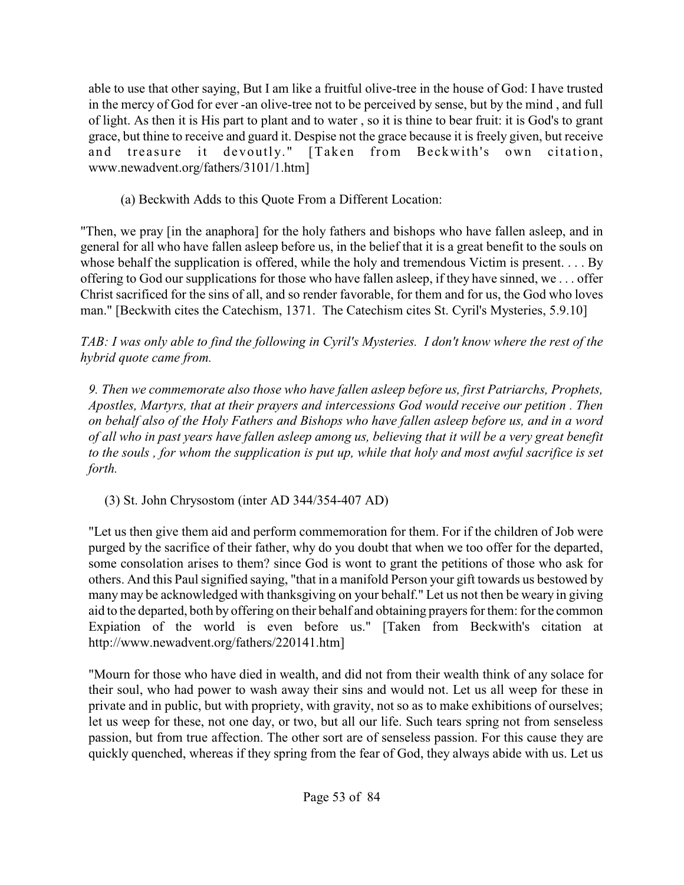able to use that other saying, But I am like a fruitful olive-tree in the house of God: I have trusted in the mercy of God for ever -an olive-tree not to be perceived by sense, but by the mind , and full of light. As then it is His part to plant and to water , so it is thine to bear fruit: it is God's to grant grace, but thine to receive and guard it. Despise not the grace because it is freely given, but receive and treasure it devoutly." [Taken from Beckwith's own citation, www.newadvent.org/fathers/3101/1.htm]

(a) Beckwith Adds to this Quote From a Different Location:

"Then, we pray [in the anaphora] for the holy fathers and bishops who have fallen asleep, and in general for all who have fallen asleep before us, in the belief that it is a great benefit to the souls on whose behalf the supplication is offered, while the holy and tremendous Victim is present. . . . By offering to God our supplications for those who have fallen asleep, if they have sinned, we . . . offer Christ sacrificed for the sins of all, and so render favorable, for them and for us, the God who loves man." [Beckwith cites the Catechism, 1371. The Catechism cites St. Cyril's Mysteries, 5.9.10]

## *TAB: I was only able to find the following in Cyril's Mysteries. I don't know where the rest of the hybrid quote came from.*

*9. Then we commemorate also those who have fallen asleep before us, first Patriarchs, Prophets, Apostles, Martyrs, that at their prayers and intercessions God would receive our petition . Then on behalf also of the Holy Fathers and Bishops who have fallen asleep before us, and in a word of all who in past years have fallen asleep among us, believing that it will be a very great benefit to the souls , for whom the supplication is put up, while that holy and most awful sacrifice is set forth.*

(3) St. John Chrysostom (inter AD 344/354-407 AD)

"Let us then give them aid and perform commemoration for them. For if the children of Job were purged by the sacrifice of their father, why do you doubt that when we too offer for the departed, some consolation arises to them? since God is wont to grant the petitions of those who ask for others. And this Paul signified saying, "that in a manifold Person your gift towards us bestowed by many may be acknowledged with thanksgiving on your behalf." Let us not then be weary in giving aid to the departed, both by offering on their behalf and obtaining prayers for them: for the common Expiation of the world is even before us." [Taken from Beckwith's citation at http://www.newadvent.org/fathers/220141.htm]

"Mourn for those who have died in wealth, and did not from their wealth think of any solace for their soul, who had power to wash away their sins and would not. Let us all weep for these in private and in public, but with propriety, with gravity, not so as to make exhibitions of ourselves; let us weep for these, not one day, or two, but all our life. Such tears spring not from senseless passion, but from true affection. The other sort are of senseless passion. For this cause they are quickly quenched, whereas if they spring from the fear of God, they always abide with us. Let us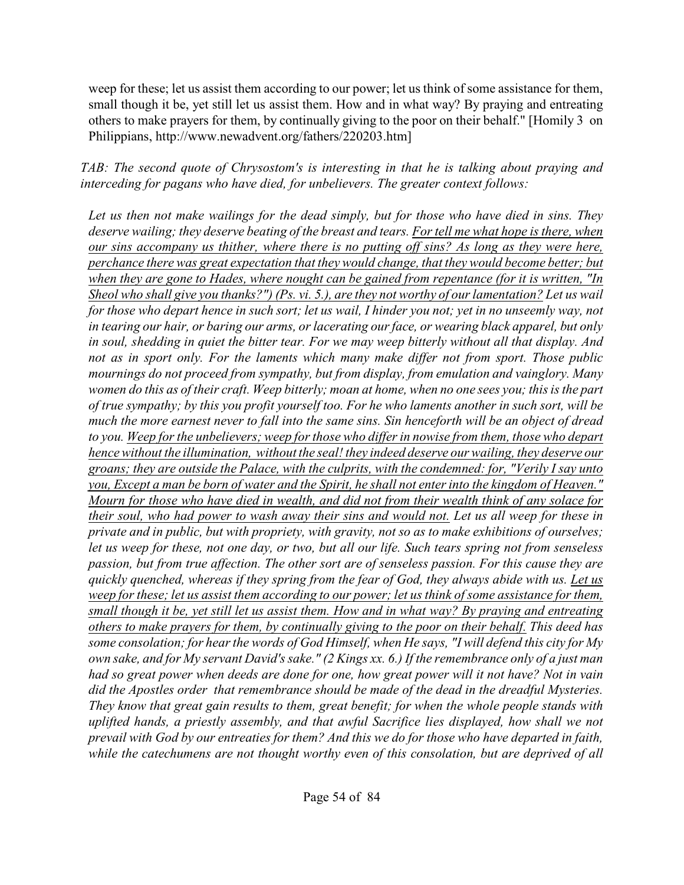weep for these; let us assist them according to our power; let us think of some assistance for them, small though it be, yet still let us assist them. How and in what way? By praying and entreating others to make prayers for them, by continually giving to the poor on their behalf." [Homily 3 on Philippians, http://www.newadvent.org/fathers/220203.htm]

*TAB: The second quote of Chrysostom's is interesting in that he is talking about praying and interceding for pagans who have died, for unbelievers. The greater context follows:*

*Let us then not make wailings for the dead simply, but for those who have died in sins. They deserve wailing; they deserve beating of the breast and tears. For tell me what hope is there, when our sins accompany us thither, where there is no putting off sins? As long as they were here, perchance there was great expectation that they would change, that they would become better; but* when they are gone to Hades, where nought can be gained from repentance (for *it* is written, "In *Sheol who shall give you thanks?") (Ps. vi. 5.), are they not worthy of our lamentation? Let us wail for those who depart hence in such sort; let us wail, I hinder you not; yet in no unseemly way, not in tearing our hair, or baring our arms, or lacerating our face, or wearing black apparel, but only in soul, shedding in quiet the bitter tear. For we may weep bitterly without all that display. And not as in sport only. For the laments which many make differ not from sport. Those public mournings do not proceed from sympathy, but from display, from emulation and vainglory. Many women do this as of their craft. Weep bitterly; moan at home, when no one sees you; this is the part of true sympathy; by this you profit yourself too. For he who laments another in such sort, will be much the more earnest never to fall into the same sins. Sin henceforth will be an object of dread to you. Weep for the unbelievers; weep for those who differ in nowise from them, those who depart hence without the illumination, without the seal! they indeed deserve our wailing, they deserve our groans; they are outside the Palace, with the culprits, with the condemned: for, "Verily I say unto you, Except a man be born of water and the Spirit, he shall not enter into the kingdom of Heaven." Mourn for those who have died in wealth, and did not from their wealth think of any solace for their soul, who had power to wash away their sins and would not. Let us all weep for these in private and in public, but with propriety, with gravity, not so as to make exhibitions of ourselves; let us weep for these, not one day, or two, but all our life. Such tears spring not from senseless passion, but from true affection. The other sort are of senseless passion. For this cause they are quickly quenched, whereas if they spring from the fear of God, they always abide with us. Let us weep for these; let us assist them according to our power; let us think of some assistance for them, small though it be, yet still let us assist them. How and in what way? By praying and entreating others to make prayers for them, by continually giving to the poor on their behalf. This deed has some consolation; for hear the words of God Himself, when He says, "I will defend this city for My own sake, and for My servant David's sake." (2 Kings xx. 6.) If the remembrance only of a just man had so great power when deeds are done for one, how great power will it not have? Not in vain did the Apostles order that remembrance should be made of the dead in the dreadful Mysteries. They know that great gain results to them, great benefit; for when the whole people stands with uplifted hands, a priestly assembly, and that awful Sacrifice lies displayed, how shall we not prevail with God by our entreaties for them? And this we do for those who have departed in faith, while the catechumens are not thought worthy even of this consolation, but are deprived of all*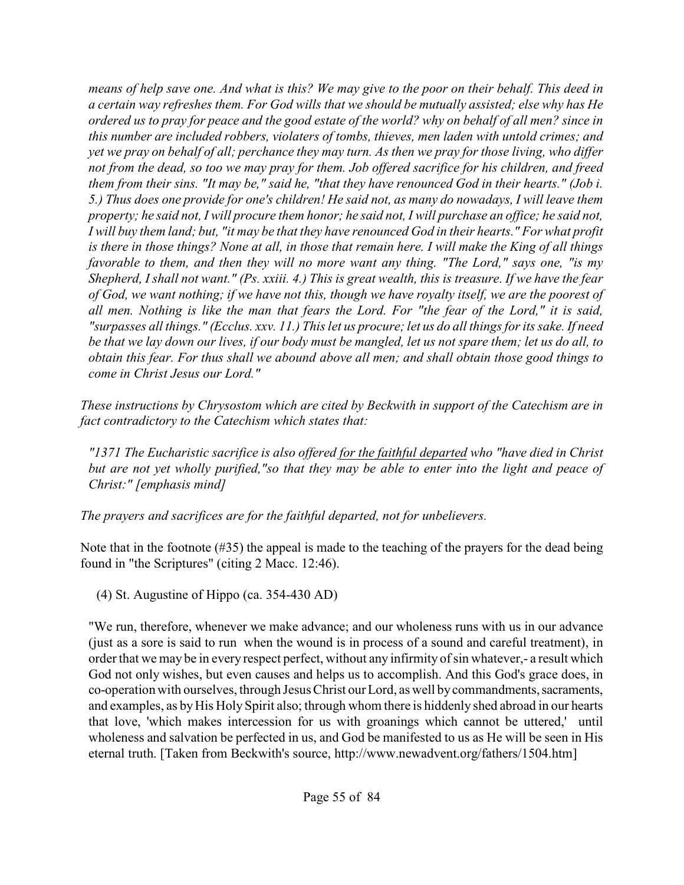*means of help save one. And what is this? We may give to the poor on their behalf. This deed in a certain way refreshes them. For God wills that we should be mutually assisted; else why has He ordered us to pray for peace and the good estate of the world? why on behalf of all men? since in this number are included robbers, violaters of tombs, thieves, men laden with untold crimes; and yet we pray on behalf of all; perchance they may turn. As then we pray for those living, who differ not from the dead, so too we may pray for them. Job offered sacrifice for his children, and freed them from their sins. "It may be," said he, "that they have renounced God in their hearts." (Job i. 5.) Thus does one provide for one's children! He said not, as many do nowadays, I will leave them property; he said not, I will procure them honor; he said not, I will purchase an office; he said not, I will buy them land; but, "it may be that they have renounced God in their hearts." For what profit is there in those things? None at all, in those that remain here. I will make the King of all things favorable to them, and then they will no more want any thing. "The Lord," says one, "is my Shepherd, I shall not want." (Ps. xxiii. 4.) This is great wealth, this is treasure. If we have the fear of God, we want nothing; if we have not this, though we have royalty itself, we are the poorest of all men. Nothing is like the man that fears the Lord. For "the fear of the Lord," it is said,* "surpasses all things." (Ecclus. xxv. 11.) This let us procure; let us do all things for its sake. If need *be that we lay down our lives, if our body must be mangled, let us not spare them; let us do all, to obtain this fear. For thus shall we abound above all men; and shall obtain those good things to come in Christ Jesus our Lord."*

*These instructions by Chrysostom which are cited by Beckwith in support of the Catechism are in fact contradictory to the Catechism which states that:* 

*"1371 The Eucharistic sacrifice is also offered for the faithful departed who "have died in Christ but are not yet wholly purified,"so that they may be able to enter into the light and peace of Christ:" [emphasis mind]*

*The prayers and sacrifices are for the faithful departed, not for unbelievers.*

Note that in the footnote (#35) the appeal is made to the teaching of the prayers for the dead being found in "the Scriptures" (citing 2 Macc. 12:46).

(4) St. Augustine of Hippo (ca. 354-430 AD)

"We run, therefore, whenever we make advance; and our wholeness runs with us in our advance (just as a sore is said to run when the wound is in process of a sound and careful treatment), in order that we may be in every respect perfect, without any infirmity of sin whatever,- a result which God not only wishes, but even causes and helps us to accomplish. And this God's grace does, in co-operation with ourselves, through Jesus Christ our Lord, as well by commandments, sacraments, and examples, as by His Holy Spirit also; through whom there is hiddenly shed abroad in our hearts that love, 'which makes intercession for us with groanings which cannot be uttered,' until wholeness and salvation be perfected in us, and God be manifested to us as He will be seen in His eternal truth. [Taken from Beckwith's source, http://www.newadvent.org/fathers/1504.htm]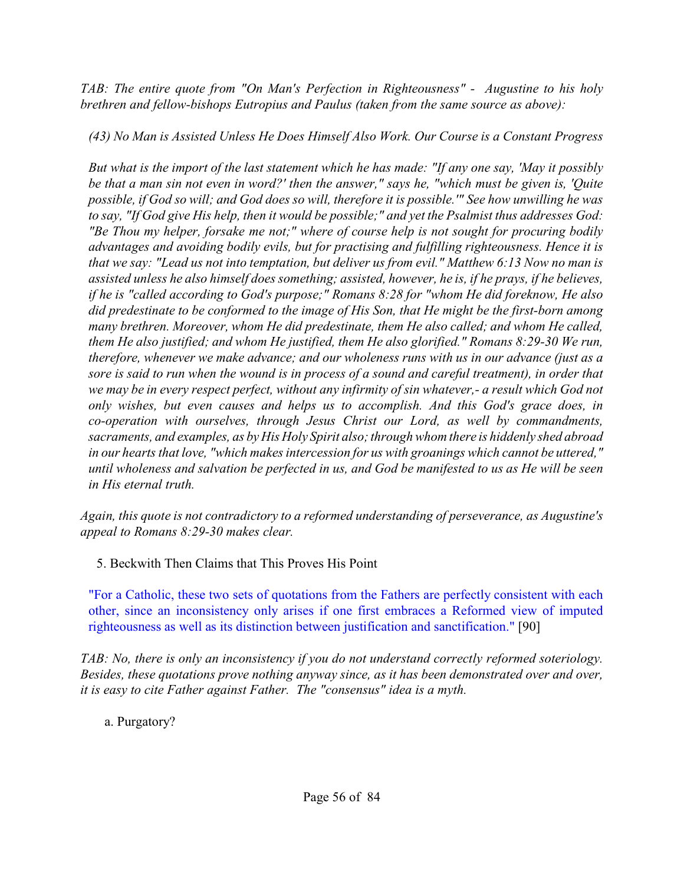*TAB: The entire quote from "On Man's Perfection in Righteousness" - Augustine to his holy brethren and fellow-bishops Eutropius and Paulus (taken from the same source as above):*

*(43) No Man is Assisted Unless He Does Himself Also Work. Our Course is a Constant Progress*

*But what is the import of the last statement which he has made: "If any one say, 'May it possibly be that a man sin not even in word?' then the answer," says he, "which must be given is, 'Quite possible, if God so will; and God does so will, therefore it is possible.'" See how unwilling he was to say, "If God give His help, then it would be possible;" and yet the Psalmist thus addresses God: "Be Thou my helper, forsake me not;" where of course help is not sought for procuring bodily advantages and avoiding bodily evils, but for practising and fulfilling righteousness. Hence it is that we say: "Lead us not into temptation, but deliver us from evil." Matthew 6:13 Now no man is assisted unless he also himself does something; assisted, however, he is, if he prays, if he believes, if he is "called according to God's purpose;" Romans 8:28 for "whom He did foreknow, He also did predestinate to be conformed to the image of His Son, that He might be the first-born among many brethren. Moreover, whom He did predestinate, them He also called; and whom He called, them He also justified; and whom He justified, them He also glorified." Romans 8:29-30 We run, therefore, whenever we make advance; and our wholeness runs with us in our advance (just as a sore is said to run when the wound is in process of a sound and careful treatment), in order that we may be in every respect perfect, without any infirmity of sin whatever,- a result which God not only wishes, but even causes and helps us to accomplish. And this God's grace does, in co-operation with ourselves, through Jesus Christ our Lord, as well by commandments, sacraments, and examples, as by His Holy Spirit also; through whom there is hiddenly shed abroad in our hearts that love, "which makes intercession for us with groanings which cannot be uttered," until wholeness and salvation be perfected in us, and God be manifested to us as He will be seen in His eternal truth.* 

*Again, this quote is not contradictory to a reformed understanding of perseverance, as Augustine's appeal to Romans 8:29-30 makes clear.*

5. Beckwith Then Claims that This Proves His Point

"For a Catholic, these two sets of quotations from the Fathers are perfectly consistent with each other, since an inconsistency only arises if one first embraces a Reformed view of imputed righteousness as well as its distinction between justification and sanctification." [90]

*TAB: No, there is only an inconsistency if you do not understand correctly reformed soteriology. Besides, these quotations prove nothing anyway since, as it has been demonstrated over and over, it is easy to cite Father against Father. The "consensus" idea is a myth.* 

a. Purgatory?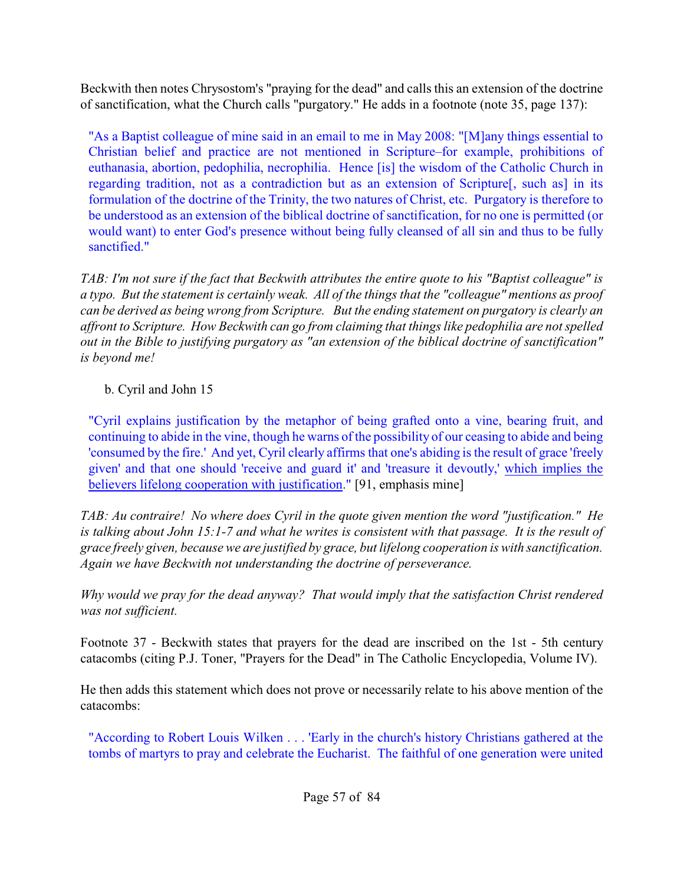Beckwith then notes Chrysostom's "praying for the dead" and calls this an extension of the doctrine of sanctification, what the Church calls "purgatory." He adds in a footnote (note 35, page 137):

"As a Baptist colleague of mine said in an email to me in May 2008: "[M]any things essential to Christian belief and practice are not mentioned in Scripture–for example, prohibitions of euthanasia, abortion, pedophilia, necrophilia. Hence [is] the wisdom of the Catholic Church in regarding tradition, not as a contradiction but as an extension of Scripture[, such as] in its formulation of the doctrine of the Trinity, the two natures of Christ, etc. Purgatory is therefore to be understood as an extension of the biblical doctrine of sanctification, for no one is permitted (or would want) to enter God's presence without being fully cleansed of all sin and thus to be fully sanctified."

*TAB: I'm not sure if the fact that Beckwith attributes the entire quote to his "Baptist colleague" is a typo. But the statement is certainly weak. All of the things that the "colleague" mentions as proof can be derived as being wrong from Scripture. But the ending statement on purgatory is clearly an affront to Scripture. How Beckwith can go from claiming that things like pedophilia are not spelled out in the Bible to justifying purgatory as "an extension of the biblical doctrine of sanctification" is beyond me!*

### b. Cyril and John 15

"Cyril explains justification by the metaphor of being grafted onto a vine, bearing fruit, and continuing to abide in the vine, though he warns of the possibility of our ceasing to abide and being 'consumed by the fire.' And yet, Cyril clearly affirms that one's abiding is the result of grace 'freely given' and that one should 'receive and guard it' and 'treasure it devoutly,' which implies the believers lifelong cooperation with justification." [91, emphasis mine]

*TAB: Au contraire! No where does Cyril in the quote given mention the word "justification." He is talking about John 15:1-7 and what he writes is consistent with that passage. It is the result of grace freely given, because we are justified by grace, but lifelong cooperation is with sanctification. Again we have Beckwith not understanding the doctrine of perseverance.* 

*Why would we pray for the dead anyway? That would imply that the satisfaction Christ rendered was not sufficient.*

Footnote 37 - Beckwith states that prayers for the dead are inscribed on the 1st - 5th century catacombs (citing P.J. Toner, "Prayers for the Dead" in The Catholic Encyclopedia, Volume IV).

He then adds this statement which does not prove or necessarily relate to his above mention of the catacombs:

"According to Robert Louis Wilken . . . 'Early in the church's history Christians gathered at the tombs of martyrs to pray and celebrate the Eucharist. The faithful of one generation were united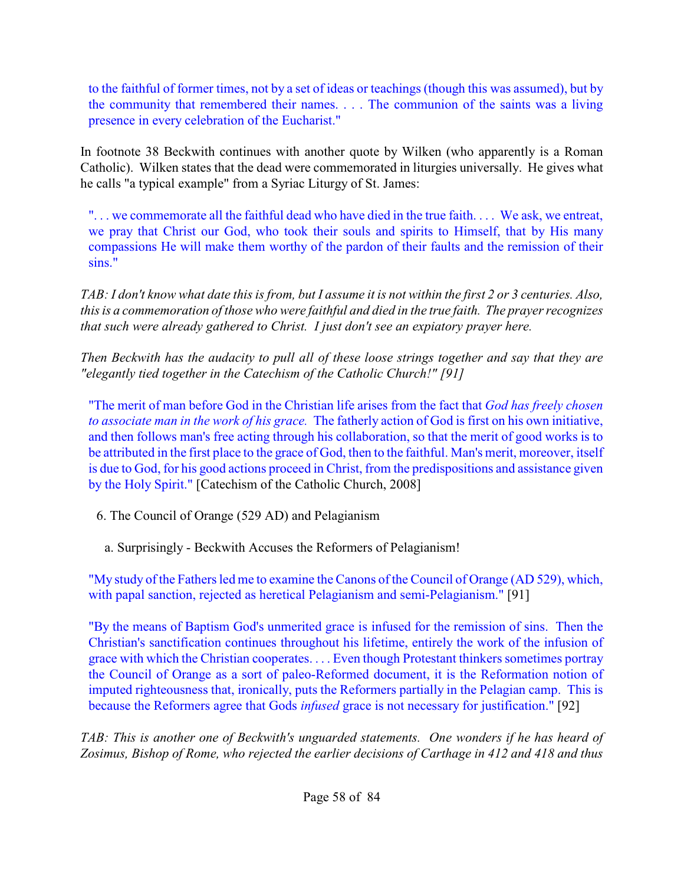to the faithful of former times, not by a set of ideas or teachings (though this was assumed), but by the community that remembered their names. . . . The communion of the saints was a living presence in every celebration of the Eucharist."

In footnote 38 Beckwith continues with another quote by Wilken (who apparently is a Roman Catholic). Wilken states that the dead were commemorated in liturgies universally. He gives what he calls "a typical example" from a Syriac Liturgy of St. James:

". . . we commemorate all the faithful dead who have died in the true faith. . . . We ask, we entreat, we pray that Christ our God, who took their souls and spirits to Himself, that by His many compassions He will make them worthy of the pardon of their faults and the remission of their sins."

*TAB: I don't know what date this is from, but I assume it is not within the first 2 or 3 centuries. Also, this is a commemoration of those who were faithful and died in the true faith. The prayer recognizes that such were already gathered to Christ. I just don't see an expiatory prayer here.*

*Then Beckwith has the audacity to pull all of these loose strings together and say that they are "elegantly tied together in the Catechism of the Catholic Church!" [91]*

"The merit of man before God in the Christian life arises from the fact that *God has freely chosen to associate man in the work of his grace.* The fatherly action of God is first on his own initiative, and then follows man's free acting through his collaboration, so that the merit of good works is to be attributed in the first place to the grace of God, then to the faithful. Man's merit, moreover, itself is due to God, for his good actions proceed in Christ, from the predispositions and assistance given by the Holy Spirit." [Catechism of the Catholic Church, 2008]

6. The Council of Orange (529 AD) and Pelagianism

a. Surprisingly - Beckwith Accuses the Reformers of Pelagianism!

"My study of the Fathers led me to examine the Canons of the Council of Orange (AD 529), which, with papal sanction, rejected as heretical Pelagianism and semi-Pelagianism." [91]

"By the means of Baptism God's unmerited grace is infused for the remission of sins. Then the Christian's sanctification continues throughout his lifetime, entirely the work of the infusion of grace with which the Christian cooperates. . . . Even though Protestant thinkers sometimes portray the Council of Orange as a sort of paleo-Reformed document, it is the Reformation notion of imputed righteousness that, ironically, puts the Reformers partially in the Pelagian camp. This is because the Reformers agree that Gods *infused* grace is not necessary for justification." [92]

*TAB: This is another one of Beckwith's unguarded statements. One wonders if he has heard of Zosimus, Bishop of Rome, who rejected the earlier decisions of Carthage in 412 and 418 and thus*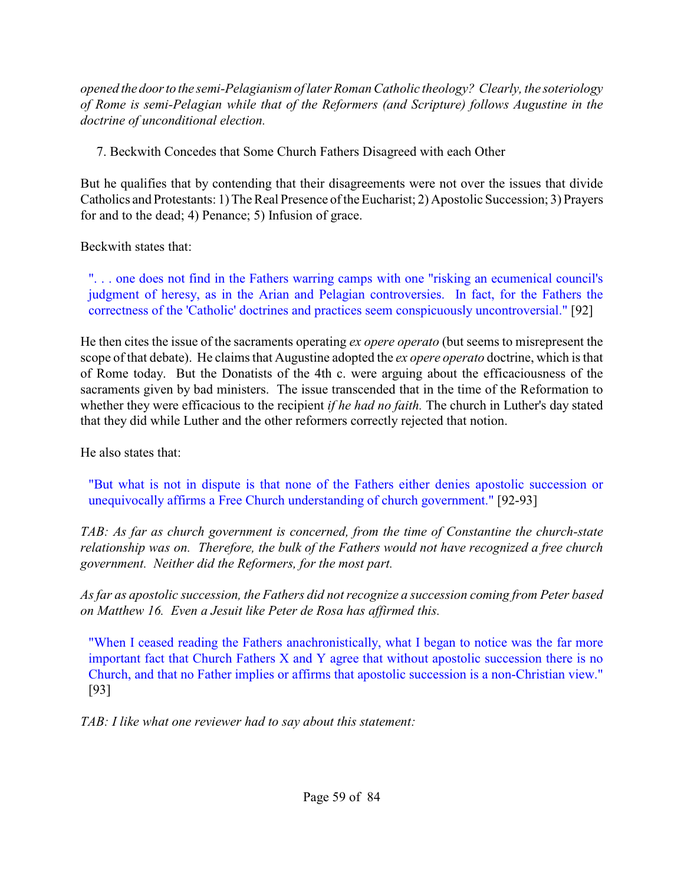*opened the door to the semi-Pelagianism of later Roman Catholic theology? Clearly, the soteriology of Rome is semi-Pelagian while that of the Reformers (and Scripture) follows Augustine in the doctrine of unconditional election.*

7. Beckwith Concedes that Some Church Fathers Disagreed with each Other

But he qualifies that by contending that their disagreements were not over the issues that divide Catholics and Protestants: 1) The Real Presence of the Eucharist; 2) Apostolic Succession; 3) Prayers for and to the dead; 4) Penance; 5) Infusion of grace.

Beckwith states that:

". . . one does not find in the Fathers warring camps with one "risking an ecumenical council's judgment of heresy, as in the Arian and Pelagian controversies. In fact, for the Fathers the correctness of the 'Catholic' doctrines and practices seem conspicuously uncontroversial." [92]

He then cites the issue of the sacraments operating *ex opere operato* (but seems to misrepresent the scope of that debate). He claims that Augustine adopted the *ex opere operato* doctrine, which is that of Rome today. But the Donatists of the 4th c. were arguing about the efficaciousness of the sacraments given by bad ministers. The issue transcended that in the time of the Reformation to whether they were efficacious to the recipient *if he had no faith.* The church in Luther's day stated that they did while Luther and the other reformers correctly rejected that notion.

He also states that:

"But what is not in dispute is that none of the Fathers either denies apostolic succession or unequivocally affirms a Free Church understanding of church government." [92-93]

*TAB: As far as church government is concerned, from the time of Constantine the church-state relationship was on. Therefore, the bulk of the Fathers would not have recognized a free church government. Neither did the Reformers, for the most part.*

*As far as apostolic succession, the Fathers did not recognize a succession coming from Peter based on Matthew 16. Even a Jesuit like Peter de Rosa has affirmed this.*

"When I ceased reading the Fathers anachronistically, what I began to notice was the far more important fact that Church Fathers X and Y agree that without apostolic succession there is no Church, and that no Father implies or affirms that apostolic succession is a non-Christian view." [93]

*TAB: I like what one reviewer had to say about this statement:*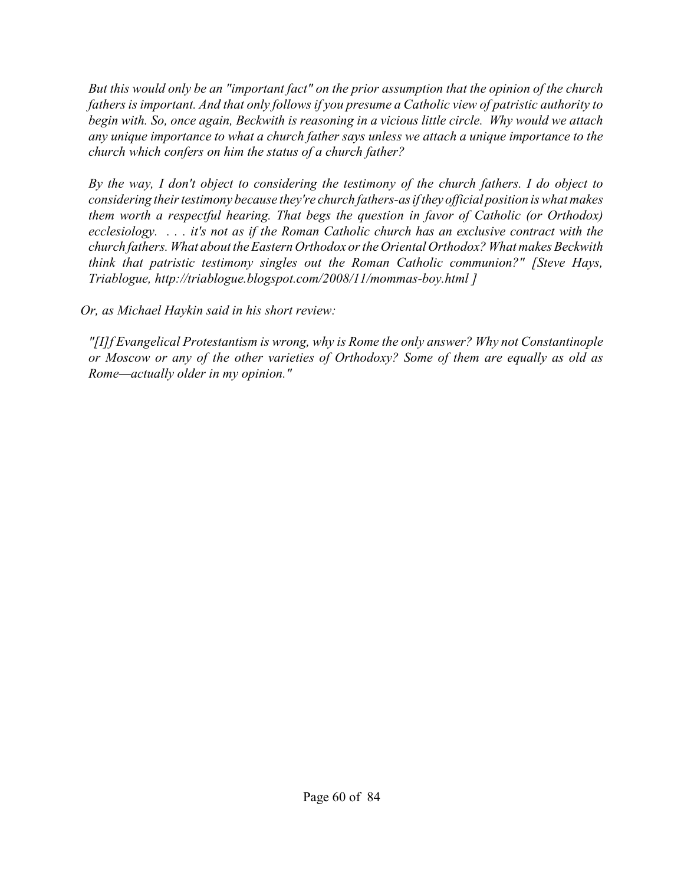*But this would only be an "important fact" on the prior assumption that the opinion of the church fathers is important. And that only follows if you presume a Catholic view of patristic authority to begin with. So, once again, Beckwith is reasoning in a vicious little circle. Why would we attach any unique importance to what a church father says unless we attach a unique importance to the church which confers on him the status of a church father?*

*By the way, I don't object to considering the testimony of the church fathers. I do object to considering their testimony because they're church fathers-as if they official position is what makes them worth a respectful hearing. That begs the question in favor of Catholic (or Orthodox) ecclesiology. . . . it's not as if the Roman Catholic church has an exclusive contract with the church fathers. What about the Eastern Orthodox orthe Oriental Orthodox? What makes Beckwith think that patristic testimony singles out the Roman Catholic communion?" [Steve Hays, Triablogue, http://triablogue.blogspot.com/2008/11/mommas-boy.html ]*

*Or, as Michael Haykin said in his short review:*

*"[I]f Evangelical Protestantism is wrong, why is Rome the only answer? Why not Constantinople or Moscow or any of the other varieties of Orthodoxy? Some of them are equally as old as Rome—actually older in my opinion."*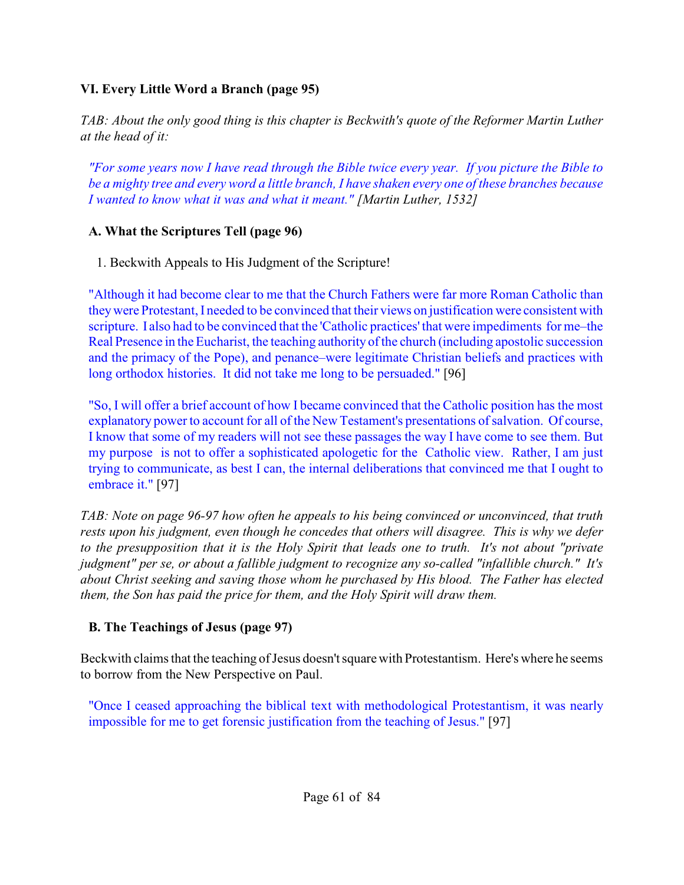### **VI. Every Little Word a Branch (page 95)**

*TAB: About the only good thing is this chapter is Beckwith's quote of the Reformer Martin Luther at the head of it:*

*"For some years now I have read through the Bible twice every year. If you picture the Bible to be a mighty tree and every word a little branch, I have shaken every one of these branches because I wanted to know what it was and what it meant." [Martin Luther, 1532]*

## **A. What the Scriptures Tell (page 96)**

1. Beckwith Appeals to His Judgment of the Scripture!

"Although it had become clear to me that the Church Fathers were far more Roman Catholic than they were Protestant, I needed to be convinced that their views on justification were consistent with scripture. I also had to be convinced that the 'Catholic practices' that were impediments for me–the Real Presence in the Eucharist, the teaching authority of the church (including apostolic succession and the primacy of the Pope), and penance–were legitimate Christian beliefs and practices with long orthodox histories. It did not take me long to be persuaded." [96]

"So, I will offer a brief account of how I became convinced that the Catholic position has the most explanatory power to account for all of the New Testament's presentations of salvation. Of course, I know that some of my readers will not see these passages the way I have come to see them. But my purpose is not to offer a sophisticated apologetic for the Catholic view. Rather, I am just trying to communicate, as best I can, the internal deliberations that convinced me that I ought to embrace it." [97]

*TAB: Note on page 96-97 how often he appeals to his being convinced or unconvinced, that truth rests upon his judgment, even though he concedes that others will disagree. This is why we defer to the presupposition that it is the Holy Spirit that leads one to truth. It's not about "private judgment" per se, or about a fallible judgment to recognize any so-called "infallible church." It's about Christ seeking and saving those whom he purchased by His blood. The Father has elected them, the Son has paid the price for them, and the Holy Spirit will draw them.*

# **B. The Teachings of Jesus (page 97)**

Beckwith claims that the teaching of Jesus doesn't squarewith Protestantism. Here's where he seems to borrow from the New Perspective on Paul.

"Once I ceased approaching the biblical text with methodological Protestantism, it was nearly impossible for me to get forensic justification from the teaching of Jesus." [97]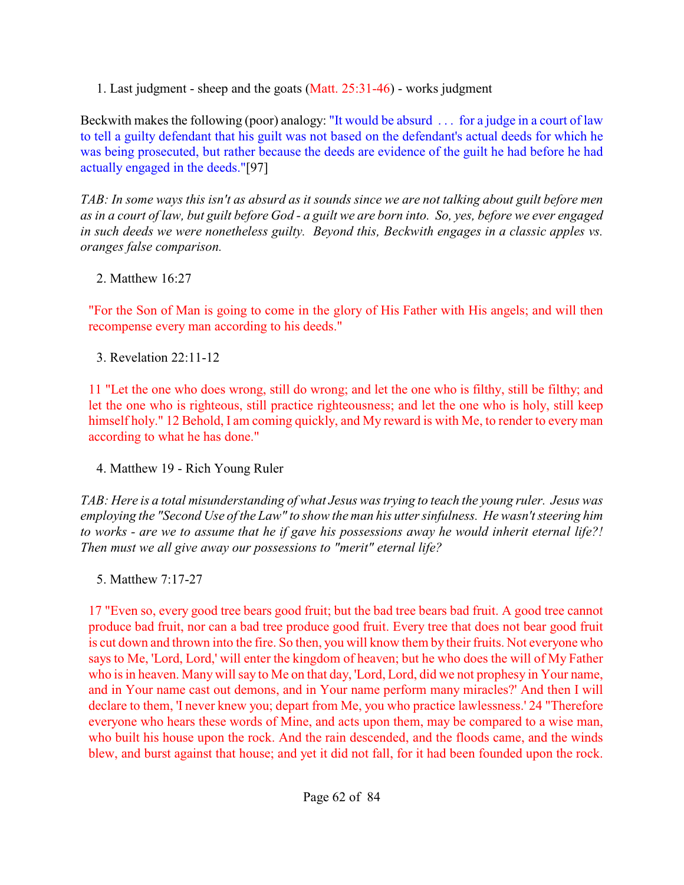1. Last judgment - sheep and the goats (Matt. 25:31-46) - works judgment

Beckwith makes the following (poor) analogy: "It would be absurd . . . for a judge in a court of law to tell a guilty defendant that his guilt was not based on the defendant's actual deeds for which he was being prosecuted, but rather because the deeds are evidence of the guilt he had before he had actually engaged in the deeds."[97]

*TAB: In some ways this isn't as absurd as it sounds since we are not talking about guilt before men as in a court of law, but guilt before God - a guilt we are born into. So, yes, before we ever engaged in such deeds we were nonetheless guilty. Beyond this, Beckwith engages in a classic apples vs. oranges false comparison.*

2. Matthew 16:27

"For the Son of Man is going to come in the glory of His Father with His angels; and will then recompense every man according to his deeds."

3. Revelation 22:11-12

11 "Let the one who does wrong, still do wrong; and let the one who is filthy, still be filthy; and let the one who is righteous, still practice righteousness; and let the one who is holy, still keep himself holy." 12 Behold, I am coming quickly, and My reward is with Me, to render to every man according to what he has done."

4. Matthew 19 - Rich Young Ruler

*TAB: Here is a total misunderstanding of what Jesus was trying to teach the young ruler. Jesus was employing the "Second Use of the Law" to show the man his utter sinfulness. He wasn't steering him to works - are we to assume that he if gave his possessions away he would inherit eternal life?! Then must we all give away our possessions to "merit" eternal life?*

5. Matthew 7:17-27

17 "Even so, every good tree bears good fruit; but the bad tree bears bad fruit. A good tree cannot produce bad fruit, nor can a bad tree produce good fruit. Every tree that does not bear good fruit is cut down and thrown into the fire. So then, you will know them by their fruits. Not everyone who says to Me, 'Lord, Lord,' will enter the kingdom of heaven; but he who does the will of My Father who is in heaven. Many will say to Me on that day, 'Lord, Lord, did we not prophesy in Your name, and in Your name cast out demons, and in Your name perform many miracles?' And then I will declare to them, 'I never knew you; depart from Me, you who practice lawlessness.' 24 "Therefore everyone who hears these words of Mine, and acts upon them, may be compared to a wise man, who built his house upon the rock. And the rain descended, and the floods came, and the winds blew, and burst against that house; and yet it did not fall, for it had been founded upon the rock.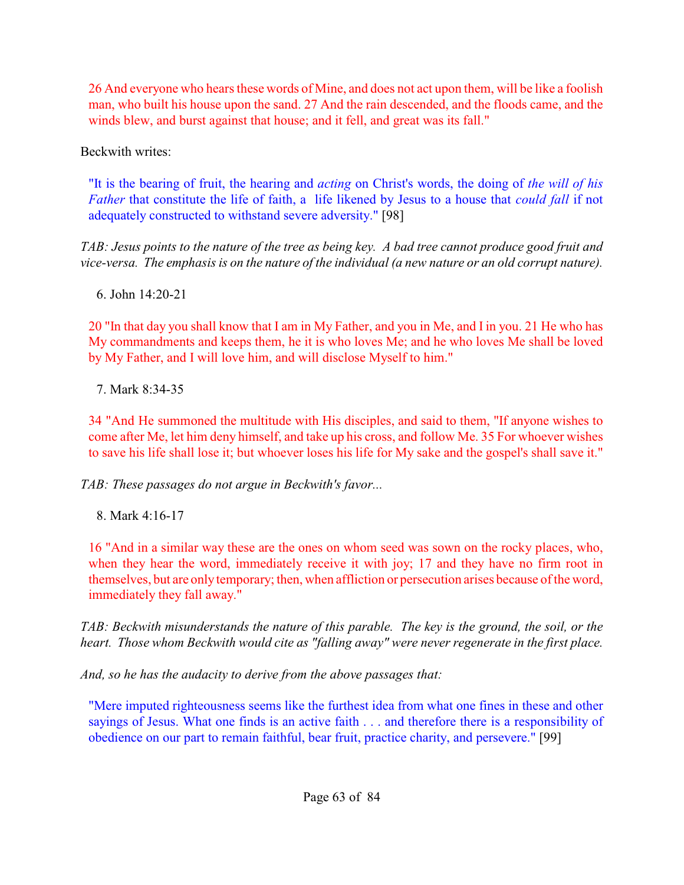26 And everyone who hears these words of Mine, and does not act upon them, will be like a foolish man, who built his house upon the sand. 27 And the rain descended, and the floods came, and the winds blew, and burst against that house; and it fell, and great was its fall."

Beckwith writes:

"It is the bearing of fruit, the hearing and *acting* on Christ's words, the doing of *the will of his Father* that constitute the life of faith, a life likened by Jesus to a house that *could fall* if not adequately constructed to withstand severe adversity." [98]

*TAB: Jesus points to the nature of the tree as being key. A bad tree cannot produce good fruit and vice-versa. The emphasis is on the nature of the individual (a new nature or an old corrupt nature).* 

6. John 14:20-21

20 "In that day you shall know that I am in My Father, and you in Me, and I in you. 21 He who has My commandments and keeps them, he it is who loves Me; and he who loves Me shall be loved by My Father, and I will love him, and will disclose Myself to him."

7. Mark 8:34-35

34 "And He summoned the multitude with His disciples, and said to them, "If anyone wishes to come after Me, let him deny himself, and take up his cross, and follow Me. 35 For whoever wishes to save his life shall lose it; but whoever loses his life for My sake and the gospel's shall save it."

*TAB: These passages do not argue in Beckwith's favor...*

8. Mark 4:16-17

16 "And in a similar way these are the ones on whom seed was sown on the rocky places, who, when they hear the word, immediately receive it with joy; 17 and they have no firm root in themselves, but are onlytemporary; then, when affliction or persecution arises because of the word, immediately they fall away."

*TAB: Beckwith misunderstands the nature of this parable. The key is the ground, the soil, or the heart. Those whom Beckwith would cite as "falling away" were never regenerate in the first place.*

*And, so he has the audacity to derive from the above passages that:*

"Mere imputed righteousness seems like the furthest idea from what one fines in these and other sayings of Jesus. What one finds is an active faith . . . and therefore there is a responsibility of obedience on our part to remain faithful, bear fruit, practice charity, and persevere." [99]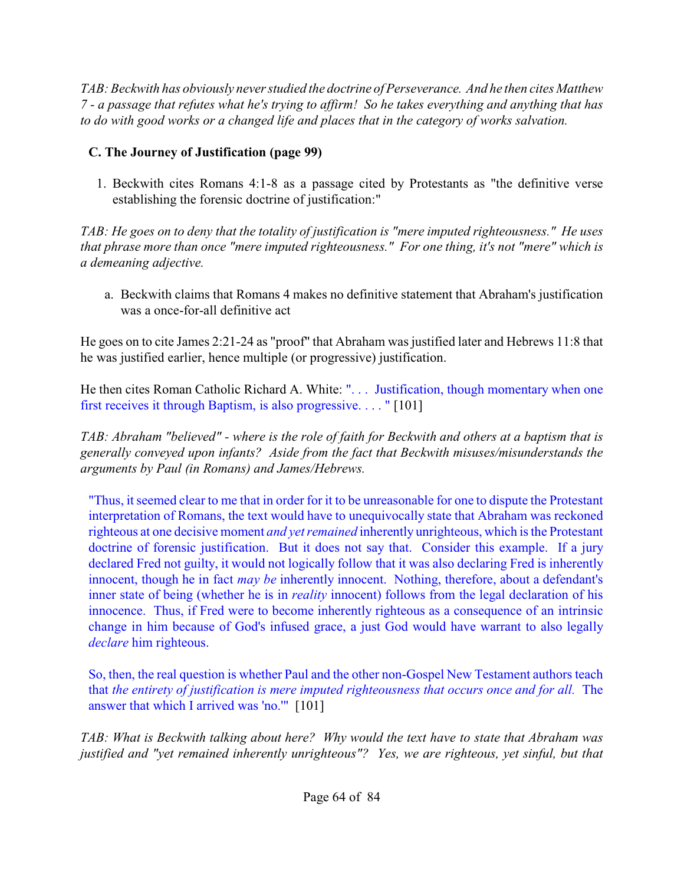*TAB: Beckwith has obviously never studied the doctrine of Perseverance. And he then cites Matthew 7 - a passage that refutes what he's trying to affirm! So he takes everything and anything that has to do with good works or a changed life and places that in the category of works salvation.*

## **C. The Journey of Justification (page 99)**

1. Beckwith cites Romans 4:1-8 as a passage cited by Protestants as "the definitive verse establishing the forensic doctrine of justification:"

*TAB: He goes on to deny that the totality of justification is "mere imputed righteousness." He uses that phrase more than once "mere imputed righteousness." For one thing, it's not "mere" which is a demeaning adjective.* 

a. Beckwith claims that Romans 4 makes no definitive statement that Abraham's justification was a once-for-all definitive act

He goes on to cite James 2:21-24 as "proof" that Abraham was justified later and Hebrews 11:8 that he was justified earlier, hence multiple (or progressive) justification.

He then cites Roman Catholic Richard A. White: ". . . Justification, though momentary when one first receives it through Baptism, is also progressive. . . . " [101]

*TAB: Abraham "believed" - where is the role of faith for Beckwith and others at a baptism that is generally conveyed upon infants? Aside from the fact that Beckwith misuses/misunderstands the arguments by Paul (in Romans) and James/Hebrews.*

"Thus, it seemed clear to me that in order for it to be unreasonable for one to dispute the Protestant interpretation of Romans, the text would have to unequivocally state that Abraham was reckoned righteous at one decisive moment *and yet remained* inherently unrighteous, which is the Protestant doctrine of forensic justification. But it does not say that. Consider this example. If a jury declared Fred not guilty, it would not logically follow that it was also declaring Fred is inherently innocent, though he in fact *may be* inherently innocent. Nothing, therefore, about a defendant's inner state of being (whether he is in *reality* innocent) follows from the legal declaration of his innocence. Thus, if Fred were to become inherently righteous as a consequence of an intrinsic change in him because of God's infused grace, a just God would have warrant to also legally *declare* him righteous.

So, then, the real question is whether Paul and the other non-Gospel New Testament authors teach that *the entirety of justification is mere imputed righteousness that occurs once and for all.* The answer that which I arrived was 'no.'" [101]

*TAB: What is Beckwith talking about here? Why would the text have to state that Abraham was justified and "yet remained inherently unrighteous"? Yes, we are righteous, yet sinful, but that*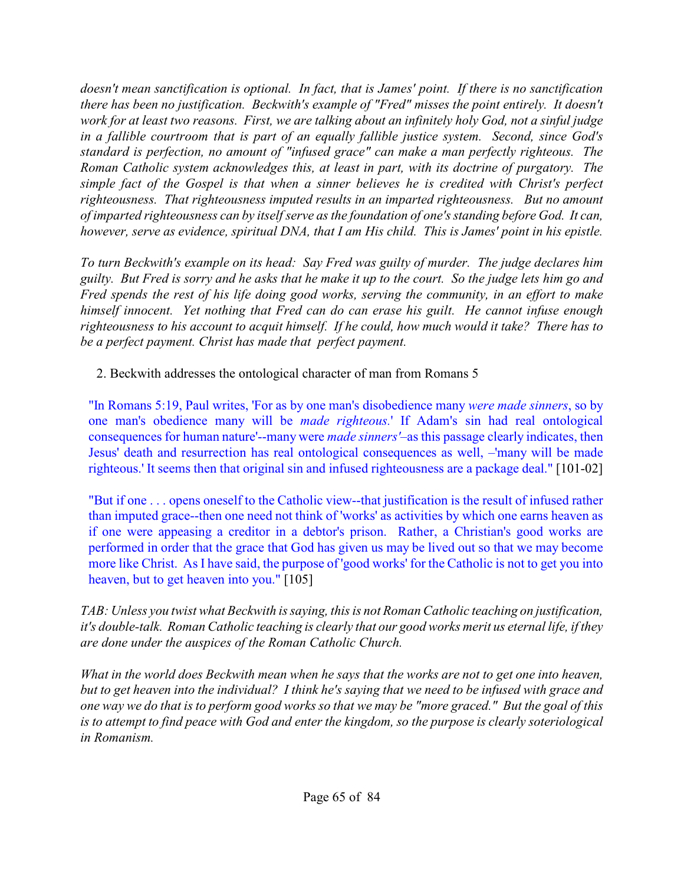*doesn't mean sanctification is optional. In fact, that is James' point. If there is no sanctification there has been no justification. Beckwith's example of "Fred" misses the point entirely. It doesn't work for at least two reasons. First, we are talking about an infinitely holy God, not a sinful judge in a fallible courtroom that is part of an equally fallible justice system. Second, since God's standard is perfection, no amount of "infused grace" can make a man perfectly righteous. The Roman Catholic system acknowledges this, at least in part, with its doctrine of purgatory. The simple fact of the Gospel is that when a sinner believes he is credited with Christ's perfect righteousness. That righteousness imputed results in an imparted righteousness. But no amount of imparted righteousness can by itself serve as the foundation of one's standing before God. It can, however, serve as evidence, spiritual DNA, that I am His child. This is James' point in his epistle.*

*To turn Beckwith's example on its head: Say Fred was guilty of murder. The judge declares him guilty. But Fred is sorry and he asks that he make it up to the court. So the judge lets him go and Fred spends the rest of his life doing good works, serving the community, in an effort to make himself innocent. Yet nothing that Fred can do can erase his guilt. He cannot infuse enough righteousness to his account to acquit himself. If he could, how much would it take? There has to be a perfect payment. Christ has made that perfect payment.*

### 2. Beckwith addresses the ontological character of man from Romans 5

"In Romans 5:19, Paul writes, 'For as by one man's disobedience many *were made sinners*, so by one man's obedience many will be *made righteous.*' If Adam's sin had real ontological consequences for human nature'--many were *made sinners'*–as this passage clearly indicates, then Jesus' death and resurrection has real ontological consequences as well, –'many will be made righteous.' It seems then that original sin and infused righteousness are a package deal." [101-02]

"But if one . . . opens oneself to the Catholic view--that justification is the result of infused rather than imputed grace--then one need not think of 'works' as activities by which one earns heaven as if one were appeasing a creditor in a debtor's prison. Rather, a Christian's good works are performed in order that the grace that God has given us may be lived out so that we may become more like Christ. AsI have said, the purpose of 'good works' for the Catholic is not to get you into heaven, but to get heaven into you." [105]

*TAB: Unless you twist what Beckwith is saying, this is not Roman Catholic teaching on justification, it's double-talk. Roman Catholic teaching is clearly that our good works merit us eternal life, if they are done under the auspices of the Roman Catholic Church.*

*What in the world does Beckwith mean when he says that the works are not to get one into heaven, but to get heaven into the individual? I think he's saying that we need to be infused with grace and one way we do that is to perform good works so that we may be "more graced." But the goal of this is to attempt to find peace with God and enter the kingdom, so the purpose is clearly soteriological in Romanism.*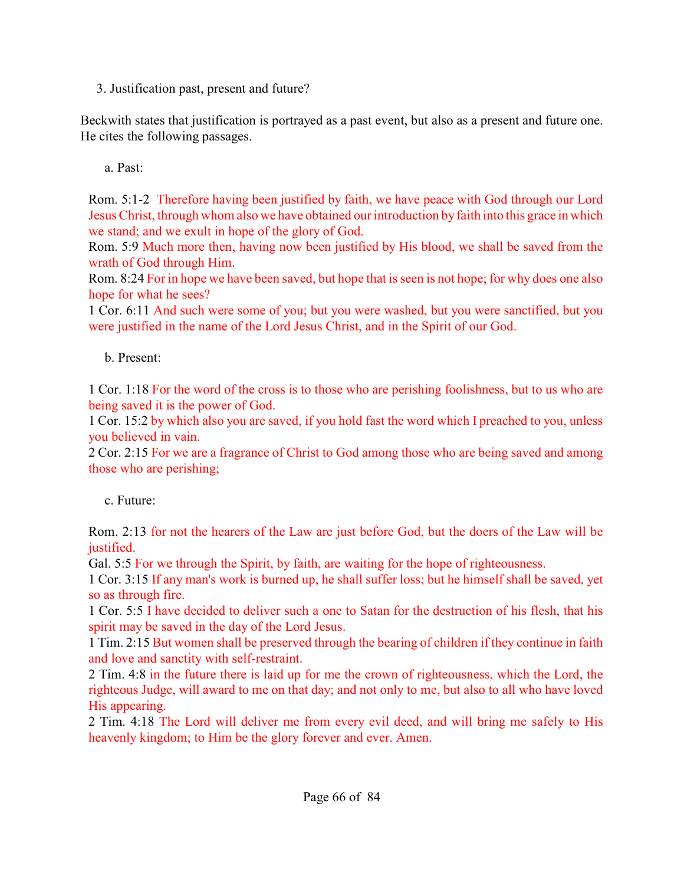3. Justification past, present and future?

Beckwith states that justification is portrayed as a past event, but also as a present and future one. He cites the following passages.

a. Past:

Rom. 5:1-2 Therefore having been justified by faith, we have peace with God through our Lord Jesus Christ, through whom also we have obtained our introduction by faith into this grace in which we stand; and we exult in hope of the glory of God.

Rom. 5:9 Much more then, having now been justified by His blood, we shall be saved from the wrath of God through Him.

Rom. 8:24 For in hope we have been saved, but hope that is seen is not hope; for why does one also hope for what he sees?

1 Cor. 6:11 And such were some of you; but you were washed, but you were sanctified, but you were justified in the name of the Lord Jesus Christ, and in the Spirit of our God.

b. Present:

1 Cor. 1:18 For the word of the cross is to those who are perishing foolishness, but to us who are being saved it is the power of God.

1 Cor. 15:2 by which also you are saved, if you hold fast the word which I preached to you, unless you believed in vain.

2 Cor. 2:15 For we are a fragrance of Christ to God among those who are being saved and among those who are perishing;

c. Future:

Rom. 2:13 for not the hearers of the Law are just before God, but the doers of the Law will be justified.

Gal. 5:5 For we through the Spirit, by faith, are waiting for the hope of righteousness.

1 Cor. 3:15 If any man's work is burned up, he shall suffer loss; but he himself shall be saved, yet so as through fire.

1 Cor. 5:5 I have decided to deliver such a one to Satan for the destruction of his flesh, that his spirit may be saved in the day of the Lord Jesus.

1 Tim. 2:15 But women shall be preserved through the bearing of children if they continue in faith and love and sanctity with self-restraint.

2 Tim. 4:8 in the future there is laid up for me the crown of righteousness, which the Lord, the righteous Judge, will award to me on that day; and not only to me, but also to all who have loved His appearing.

2 Tim. 4:18 The Lord will deliver me from every evil deed, and will bring me safely to His heavenly kingdom; to Him be the glory forever and ever. Amen.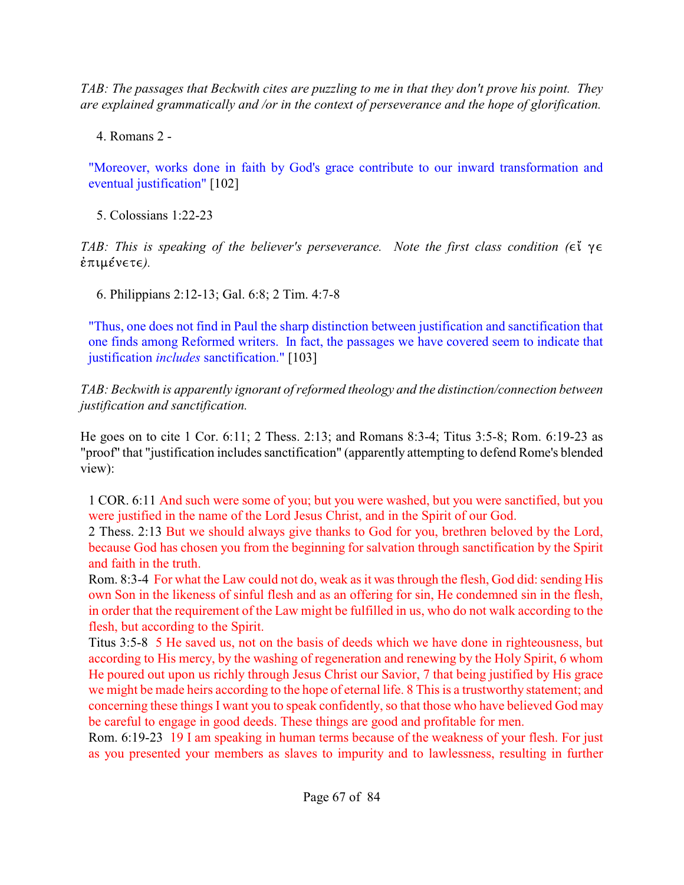*TAB: The passages that Beckwith cites are puzzling to me in that they don't prove his point. They are explained grammatically and /or in the context of perseverance and the hope of glorification.*

4. Romans 2 -

"Moreover, works done in faith by God's grace contribute to our inward transformation and eventual justification" [102]

5. Colossians 1:22-23

*TAB: This is speaking of the believer's perseverance. Note the first class condition (* $\epsilon \tilde{i}$   $\gamma \epsilon$  $\dot{\epsilon}$ πιμένετε).

6. Philippians 2:12-13; Gal. 6:8; 2 Tim. 4:7-8

"Thus, one does not find in Paul the sharp distinction between justification and sanctification that one finds among Reformed writers. In fact, the passages we have covered seem to indicate that justification *includes* sanctification." [103]

*TAB: Beckwith is apparently ignorant of reformed theology and the distinction/connection between justification and sanctification.* 

He goes on to cite 1 Cor. 6:11; 2 Thess. 2:13; and Romans 8:3-4; Titus 3:5-8; Rom. 6:19-23 as "proof" that "justification includes sanctification" (apparently attempting to defend Rome's blended view):

1 COR. 6:11 And such were some of you; but you were washed, but you were sanctified, but you were justified in the name of the Lord Jesus Christ, and in the Spirit of our God.

2 Thess. 2:13 But we should always give thanks to God for you, brethren beloved by the Lord, because God has chosen you from the beginning for salvation through sanctification by the Spirit and faith in the truth.

Rom. 8:3-4 For what the Law could not do, weak as it was through the flesh, God did: sending His own Son in the likeness of sinful flesh and as an offering for sin, He condemned sin in the flesh, in order that the requirement of the Law might be fulfilled in us, who do not walk according to the flesh, but according to the Spirit.

Titus 3:5-8 5 He saved us, not on the basis of deeds which we have done in righteousness, but according to His mercy, by the washing of regeneration and renewing by the Holy Spirit, 6 whom He poured out upon us richly through Jesus Christ our Savior, 7 that being justified by His grace we might be made heirs according to the hope of eternal life. 8 This is a trustworthy statement; and concerning these things I want you to speak confidently, so that those who have believed God may be careful to engage in good deeds. These things are good and profitable for men.

Rom. 6:19-23 19 I am speaking in human terms because of the weakness of your flesh. For just as you presented your members as slaves to impurity and to lawlessness, resulting in further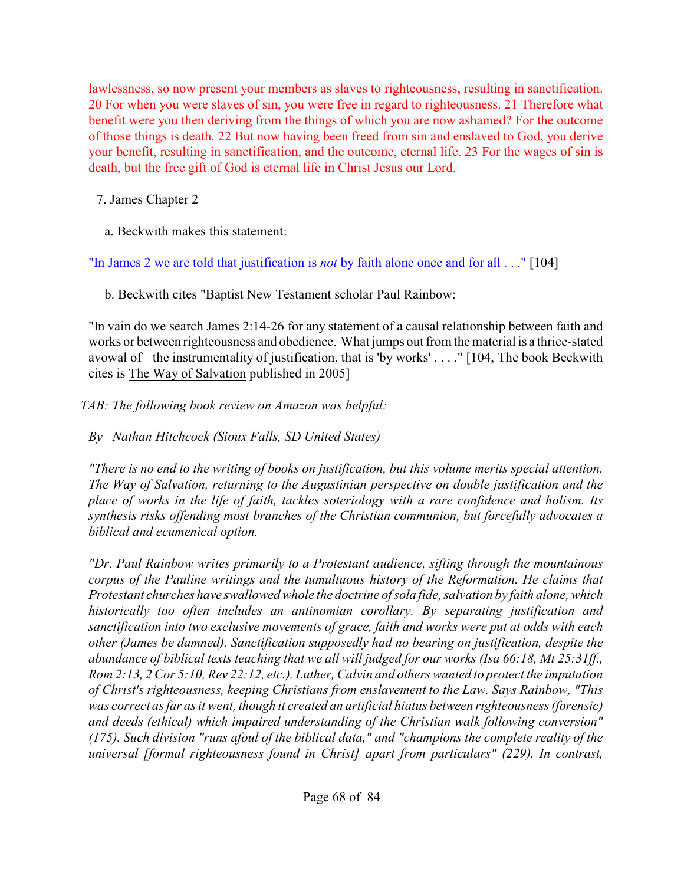lawlessness, so now present your members as slaves to righteousness, resulting in sanctification. 20 For when you were slaves of sin, you were free in regard to righteousness. 21 Therefore what benefit were you then deriving from the things of which you are now ashamed? For the outcome of those things is death. 22 But now having been freed from sin and enslaved to God, you derive your benefit, resulting in sanctification, and the outcome, eternal life. 23 For the wages of sin is death, but the free gift of God is eternal life in Christ Jesus our Lord.

- 7. James Chapter 2
	- a. Beckwith makes this statement:

"In James 2 we are told that justification is *not* by faith alone once and for all . . ." [104]

b. Beckwith cites "Baptist New Testament scholar Paul Rainbow:

"In vain do we search James 2:14-26 for any statement of a causal relationship between faith and works or between righteousness and obedience. What jumps out from the material is a thrice-stated avowal of the instrumentality of justification, that is 'by works' . . . ." [104, The book Beckwith cites is The Way of Salvation published in 2005]

# *TAB: The following book review on Amazon was helpful:*

*By Nathan Hitchcock (Sioux Falls, SD United States)* 

*"There is no end to the writing of books on justification, but this volume merits special attention. The Way of Salvation, returning to the Augustinian perspective on double justification and the place of works in the life of faith, tackles soteriology with a rare confidence and holism. Its synthesis risks offending most branches of the Christian communion, but forcefully advocates a biblical and ecumenical option.*

*"Dr. Paul Rainbow writes primarily to a Protestant audience, sifting through the mountainous corpus of the Pauline writings and the tumultuous history of the Reformation. He claims that Protestant churches have swallowed whole the doctrine of sola fide, salvation by faith alone, which historically too often includes an antinomian corollary. By separating justification and sanctification into two exclusive movements of grace, faith and works were put at odds with each other (James be damned). Sanctification supposedly had no bearing on justification, despite the abundance of biblical texts teaching that we all will judged for our works (Isa 66:18, Mt 25:31ff., Rom 2:13, 2 Cor 5:10, Rev 22:12, etc.). Luther, Calvin and others wanted to protect the imputation of Christ's righteousness, keeping Christians from enslavement to the Law. Says Rainbow, "This was correct as far as it went, though it created an artificial hiatus between righteousness (forensic) and deeds (ethical) which impaired understanding of the Christian walk following conversion" (175). Such division "runs afoul of the biblical data," and "champions the complete reality of the universal [formal righteousness found in Christ] apart from particulars" (229). In contrast,*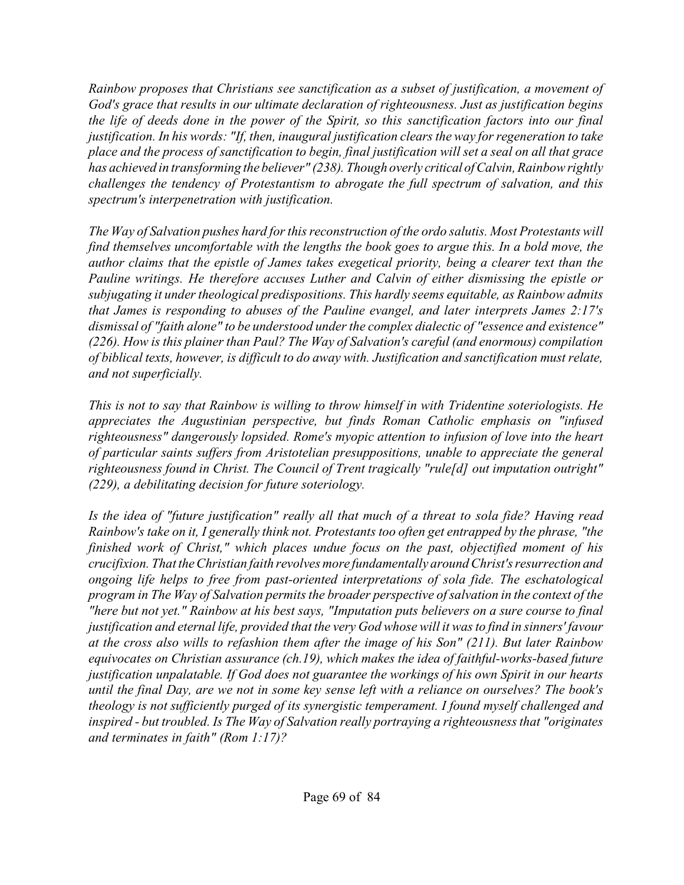*Rainbow proposes that Christians see sanctification as a subset of justification, a movement of God's grace that results in our ultimate declaration of righteousness. Just as justification begins the life of deeds done in the power of the Spirit, so this sanctification factors into our final justification. In his words: "If, then, inaugural justification clears the way for regeneration to take place and the process of sanctification to begin, final justification will set a seal on all that grace has achieved in transforming the believer" (238). Though overly critical of Calvin, Rainbow rightly challenges the tendency of Protestantism to abrogate the full spectrum of salvation, and this spectrum's interpenetration with justification.*

*The Way of Salvation pushes hard for this reconstruction of the ordo salutis. Most Protestants will find themselves uncomfortable with the lengths the book goes to argue this. In a bold move, the author claims that the epistle of James takes exegetical priority, being a clearer text than the Pauline writings. He therefore accuses Luther and Calvin of either dismissing the epistle or subjugating it under theological predispositions. This hardly seems equitable, as Rainbow admits that James is responding to abuses of the Pauline evangel, and later interprets James 2:17's dismissal of "faith alone" to be understood under the complex dialectic of "essence and existence" (226). How is this plainer than Paul? The Way of Salvation's careful (and enormous) compilation of biblical texts, however, is difficult to do away with. Justification and sanctification must relate, and not superficially.*

*This is not to say that Rainbow is willing to throw himself in with Tridentine soteriologists. He appreciates the Augustinian perspective, but finds Roman Catholic emphasis on "infused righteousness" dangerously lopsided. Rome's myopic attention to infusion of love into the heart of particular saints suffers from Aristotelian presuppositions, unable to appreciate the general righteousness found in Christ. The Council of Trent tragically "rule[d] out imputation outright" (229), a debilitating decision for future soteriology.*

*Is the idea of "future justification" really all that much of a threat to sola fide? Having read Rainbow's take on it, I generally think not. Protestants too often get entrapped by the phrase, "the finished work of Christ," which places undue focus on the past, objectified moment of his crucifixion. That the Christian faith revolves more fundamentally around Christ's resurrection and ongoing life helps to free from past-oriented interpretations of sola fide. The eschatological program in The Way of Salvation permits the broader perspective of salvation in the context of the "here but not yet." Rainbow at his best says, "Imputation puts believers on a sure course to final justification and eternal life, provided that the very God whose will it was to find in sinners' favour at the cross also wills to refashion them after the image of his Son" (211). But later Rainbow equivocates on Christian assurance (ch.19), which makes the idea of faithful-works-based future justification unpalatable. If God does not guarantee the workings of his own Spirit in our hearts until the final Day, are we not in some key sense left with a reliance on ourselves? The book's theology is not sufficiently purged of its synergistic temperament. I found myself challenged and inspired - but troubled. Is The Way of Salvation really portraying a righteousness that "originates and terminates in faith" (Rom 1:17)?*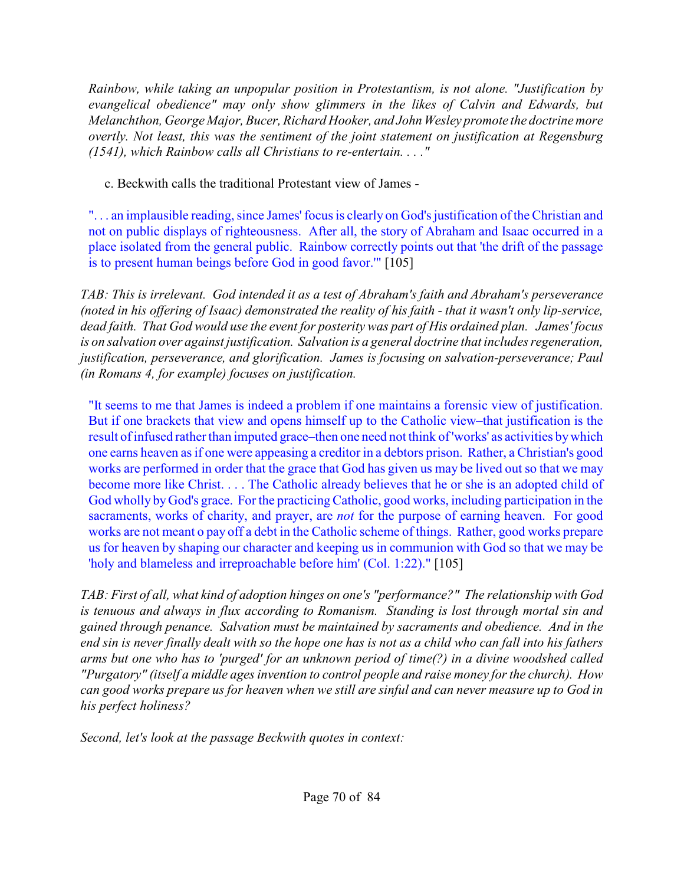*Rainbow, while taking an unpopular position in Protestantism, is not alone. "Justification by evangelical obedience" may only show glimmers in the likes of Calvin and Edwards, but Melanchthon, George Major, Bucer, Richard Hooker, and John Wesley promote the doctrine more overtly. Not least, this was the sentiment of the joint statement on justification at Regensburg (1541), which Rainbow calls all Christians to re-entertain. . . ."*

c. Beckwith calls the traditional Protestant view of James -

". . . an implausible reading, since James' focus is clearly on God's justification ofthe Christian and not on public displays of righteousness. After all, the story of Abraham and Isaac occurred in a place isolated from the general public. Rainbow correctly points out that 'the drift of the passage is to present human beings before God in good favor.'" [105]

*TAB: This is irrelevant. God intended it as a test of Abraham's faith and Abraham's perseverance (noted in his offering of Isaac) demonstrated the reality of his faith - that it wasn't only lip-service, dead faith. That God would use the event for posterity was part of His ordained plan. James' focus is on salvation over against justification. Salvation is a general doctrine that includes regeneration, justification, perseverance, and glorification. James is focusing on salvation-perseverance; Paul (in Romans 4, for example) focuses on justification.*

"It seems to me that James is indeed a problem if one maintains a forensic view of justification. But if one brackets that view and opens himself up to the Catholic view–that justification is the result of infused rather than imputed grace–then one need not think of 'works' as activities by which one earns heaven as if one were appeasing a creditor in a debtors prison. Rather, a Christian's good works are performed in order that the grace that God has given us may be lived out so that we may become more like Christ. . . . The Catholic already believes that he or she is an adopted child of God wholly by God's grace. For the practicing Catholic, good works, including participation in the sacraments, works of charity, and prayer, are *not* for the purpose of earning heaven. For good works are not meant o pay off a debt in the Catholic scheme of things. Rather, good works prepare us for heaven by shaping our character and keeping us in communion with God so that we may be 'holy and blameless and irreproachable before him' (Col. 1:22)." [105]

*TAB: First of all, what kind of adoption hinges on one's "performance?" The relationship with God is tenuous and always in flux according to Romanism. Standing is lost through mortal sin and gained through penance. Salvation must be maintained by sacraments and obedience. And in the end sin is never finally dealt with so the hope one has is not as a child who can fall into his fathers arms but one who has to 'purged' for an unknown period of time(?) in a divine woodshed called "Purgatory" (itself a middle ages invention to control people and raise money for the church). How can good works prepare us for heaven when we still are sinful and can never measure up to God in his perfect holiness?*

*Second, let's look at the passage Beckwith quotes in context:*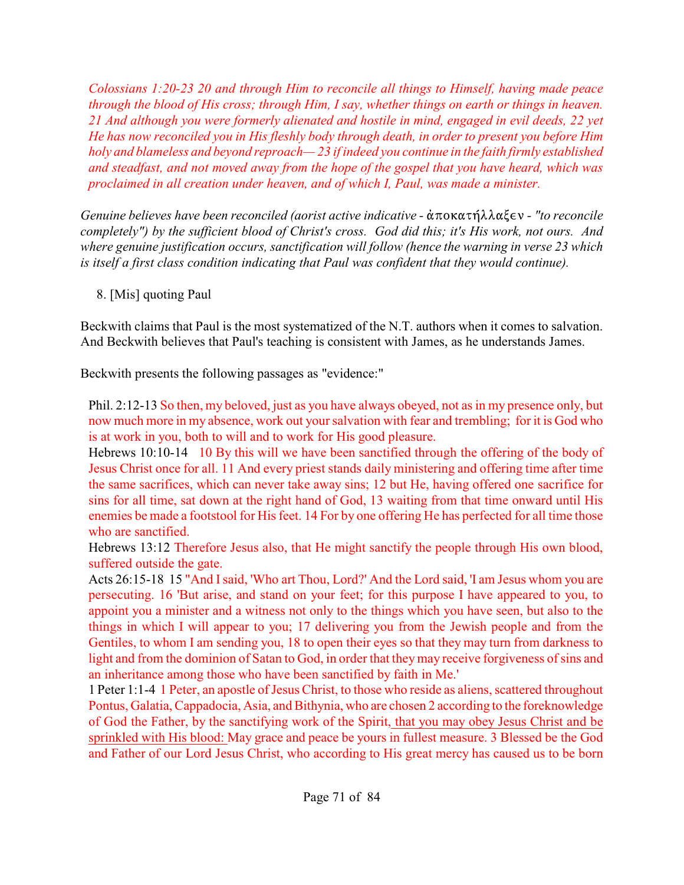*Colossians 1:20-23 20 and through Him to reconcile all things to Himself, having made peace through the blood of His cross; through Him, I say, whether things on earth or things in heaven. 21 And although you were formerly alienated and hostile in mind, engaged in evil deeds, 22 yet He has now reconciled you in His fleshly body through death, in order to present you before Him holy and blameless and beyond reproach— 23 if indeed you continue in the faith firmly established and steadfast, and not moved away from the hope of the gospel that you have heard, which was proclaimed in all creation under heaven, and of which I, Paul, was made a minister.*

*Genuine believes have been reconciled (aorist active indicative - άποκατήλλαξεν - "to reconcile completely") by the sufficient blood of Christ's cross. God did this; it's His work, not ours. And where genuine justification occurs, sanctification will follow (hence the warning in verse 23 which is itself a first class condition indicating that Paul was confident that they would continue).*

8. [Mis] quoting Paul

Beckwith claims that Paul is the most systematized of the N.T. authors when it comes to salvation. And Beckwith believes that Paul's teaching is consistent with James, as he understands James.

Beckwith presents the following passages as "evidence:"

Phil. 2:12-13 So then, my beloved, just as you have always obeyed, not as in my presence only, but now much more in my absence, work out your salvation with fear and trembling; for it is God who is at work in you, both to will and to work for His good pleasure.

Hebrews 10:10-14 10 By this will we have been sanctified through the offering of the body of Jesus Christ once for all. 11 And every priest stands daily ministering and offering time after time the same sacrifices, which can never take away sins; 12 but He, having offered one sacrifice for sins for all time, sat down at the right hand of God, 13 waiting from that time onward until His enemies be made a footstool for His feet. 14 For by one offering He has perfected for all time those who are sanctified.

Hebrews 13:12 Therefore Jesus also, that He might sanctify the people through His own blood, suffered outside the gate.

Acts 26:15-18 15 "And Isaid, 'Who art Thou, Lord?' And the Lord said, 'I am Jesus whom you are persecuting. 16 'But arise, and stand on your feet; for this purpose I have appeared to you, to appoint you a minister and a witness not only to the things which you have seen, but also to the things in which I will appear to you; 17 delivering you from the Jewish people and from the Gentiles, to whom I am sending you, 18 to open their eyes so that they may turn from darkness to light and from the dominion of Satan to God, in order that they may receive forgiveness of sins and an inheritance among those who have been sanctified by faith in Me.'

1 Peter 1:1-4 1 Peter, an apostle of Jesus Christ, to those who reside as aliens, scattered throughout Pontus, Galatia, Cappadocia, Asia, and Bithynia, who are chosen 2 according to the foreknowledge of God the Father, by the sanctifying work of the Spirit, that you may obey Jesus Christ and be sprinkled with His blood: May grace and peace be yours in fullest measure. 3 Blessed be the God and Father of our Lord Jesus Christ, who according to His great mercy has caused us to be born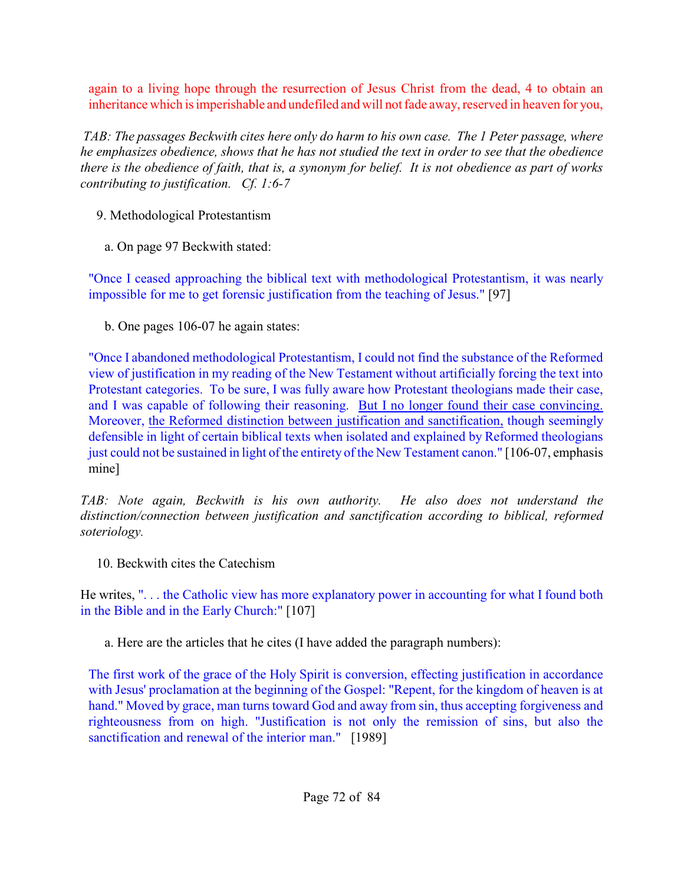again to a living hope through the resurrection of Jesus Christ from the dead, 4 to obtain an inheritance which is imperishable and undefiled and will not fade away, reserved in heaven for you,

 *TAB: The passages Beckwith cites here only do harm to his own case. The 1 Peter passage, where he emphasizes obedience, shows that he has not studied the text in order to see that the obedience there is the obedience of faith, that is, a synonym for belief. It is not obedience as part of works contributing to justification. Cf. 1:6-7*

9. Methodological Protestantism

a. On page 97 Beckwith stated:

"Once I ceased approaching the biblical text with methodological Protestantism, it was nearly impossible for me to get forensic justification from the teaching of Jesus." [97]

b. One pages 106-07 he again states:

"Once I abandoned methodological Protestantism, I could not find the substance of the Reformed view of justification in my reading of the New Testament without artificially forcing the text into Protestant categories. To be sure, I was fully aware how Protestant theologians made their case, and I was capable of following their reasoning. But I no longer found their case convincing. Moreover, the Reformed distinction between justification and sanctification, though seemingly defensible in light of certain biblical texts when isolated and explained by Reformed theologians just could not be sustained in light of the entirety of the New Testament canon." [106-07, emphasis mine]

*TAB: Note again, Beckwith is his own authority. He also does not understand the distinction/connection between justification and sanctification according to biblical, reformed soteriology.*

10. Beckwith cites the Catechism

He writes, ". . . the Catholic view has more explanatory power in accounting for what I found both in the Bible and in the Early Church:" [107]

a. Here are the articles that he cites (I have added the paragraph numbers):

The first work of the grace of the Holy Spirit is conversion, effecting justification in accordance with Jesus' proclamation at the beginning of the Gospel: "Repent, for the kingdom of heaven is at hand." Moved by grace, man turns toward God and away from sin, thus accepting forgiveness and righteousness from on high. "Justification is not only the remission of sins, but also the sanctification and renewal of the interior man." [1989]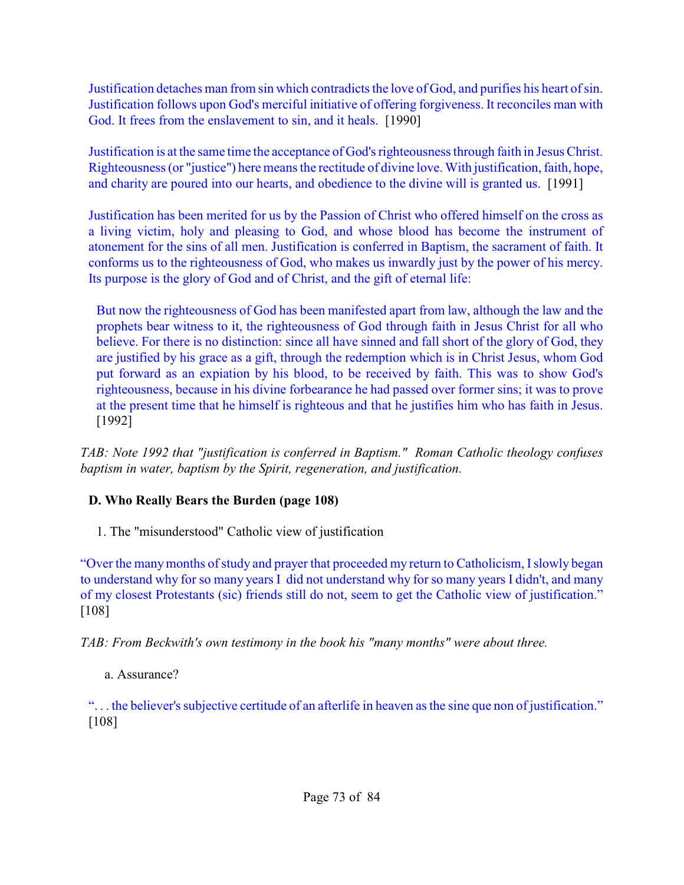Justification detaches man from sin which contradicts the love of God, and purifies his heart of sin. Justification follows upon God's merciful initiative of offering forgiveness. It reconciles man with God. It frees from the enslavement to sin, and it heals. [1990]

Justification is at the same time the acceptance of God's righteousness through faith in Jesus Christ. Righteousness (or "justice") here means the rectitude of divine love. With justification, faith, hope, and charity are poured into our hearts, and obedience to the divine will is granted us. [1991]

Justification has been merited for us by the Passion of Christ who offered himself on the cross as a living victim, holy and pleasing to God, and whose blood has become the instrument of atonement for the sins of all men. Justification is conferred in Baptism, the sacrament of faith. It conforms us to the righteousness of God, who makes us inwardly just by the power of his mercy. Its purpose is the glory of God and of Christ, and the gift of eternal life:

But now the righteousness of God has been manifested apart from law, although the law and the prophets bear witness to it, the righteousness of God through faith in Jesus Christ for all who believe. For there is no distinction: since all have sinned and fall short of the glory of God, they are justified by his grace as a gift, through the redemption which is in Christ Jesus, whom God put forward as an expiation by his blood, to be received by faith. This was to show God's righteousness, because in his divine forbearance he had passed over former sins; it was to prove at the present time that he himself is righteous and that he justifies him who has faith in Jesus. [1992]

*TAB: Note 1992 that "justification is conferred in Baptism." Roman Catholic theology confuses baptism in water, baptism by the Spirit, regeneration, and justification.*

## **D. Who Really Bears the Burden (page 108)**

1. The "misunderstood" Catholic view of justification

"Over the many months of study and prayer that proceeded my return to Catholicism, I slowly began to understand why for so many years I did not understand why for so many years I didn't, and many of my closest Protestants (sic) friends still do not, seem to get the Catholic view of justification." [108]

*TAB: From Beckwith's own testimony in the book his "many months" were about three.*

a. Assurance?

". . . the believer's subjective certitude of an afterlife in heaven as the sine que non of justification." [108]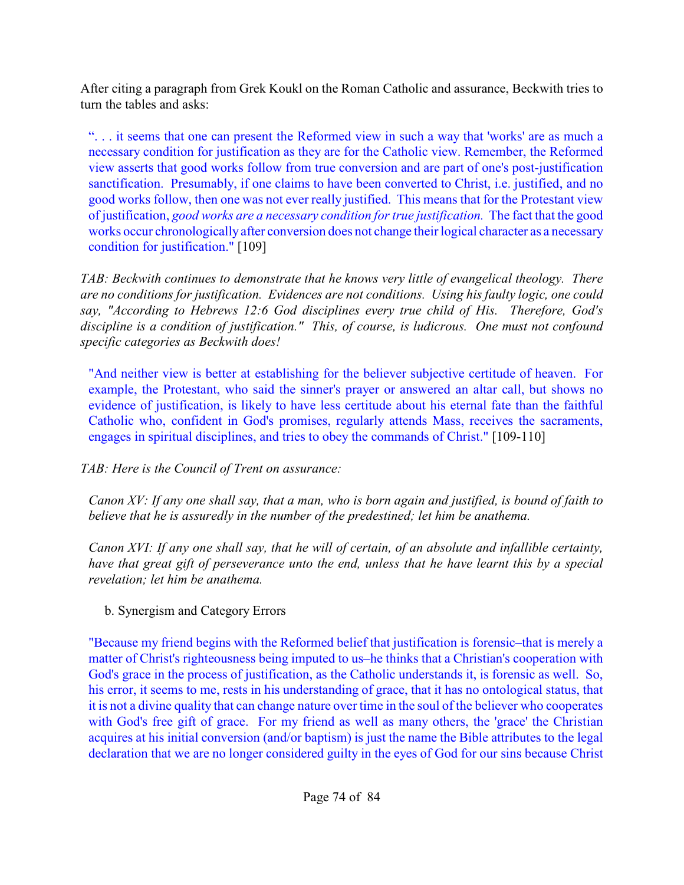After citing a paragraph from Grek Koukl on the Roman Catholic and assurance, Beckwith tries to turn the tables and asks:

". . . it seems that one can present the Reformed view in such a way that 'works' are as much a necessary condition for justification as they are for the Catholic view. Remember, the Reformed view asserts that good works follow from true conversion and are part of one's post-justification sanctification. Presumably, if one claims to have been converted to Christ, i.e. justified, and no good works follow, then one was not ever really justified. This means that for the Protestant view of justification, *good works are a necessary condition for true justification.* The fact that the good works occur chronologically after conversion does not change their logical character as a necessary condition for justification." [109]

*TAB: Beckwith continues to demonstrate that he knows very little of evangelical theology. There are no conditions for justification. Evidences are not conditions. Using his faulty logic, one could say, "According to Hebrews 12:6 God disciplines every true child of His. Therefore, God's discipline is a condition of justification." This, of course, is ludicrous. One must not confound specific categories as Beckwith does!* 

"And neither view is better at establishing for the believer subjective certitude of heaven. For example, the Protestant, who said the sinner's prayer or answered an altar call, but shows no evidence of justification, is likely to have less certitude about his eternal fate than the faithful Catholic who, confident in God's promises, regularly attends Mass, receives the sacraments, engages in spiritual disciplines, and tries to obey the commands of Christ." [109-110]

*TAB: Here is the Council of Trent on assurance:*

*Canon XV: If any one shall say, that a man, who is born again and justified, is bound of faith to believe that he is assuredly in the number of the predestined; let him be anathema.*

*Canon XVI: If any one shall say, that he will of certain, of an absolute and infallible certainty, have that great gift of perseverance unto the end, unless that he have learnt this by a special revelation; let him be anathema.*

b. Synergism and Category Errors

"Because my friend begins with the Reformed belief that justification is forensic–that is merely a matter of Christ's righteousness being imputed to us–he thinks that a Christian's cooperation with God's grace in the process of justification, as the Catholic understands it, is forensic as well. So, his error, it seems to me, rests in his understanding of grace, that it has no ontological status, that it is not a divine quality that can change nature over time in the soul of the believer who cooperates with God's free gift of grace. For my friend as well as many others, the 'grace' the Christian acquires at his initial conversion (and/or baptism) is just the name the Bible attributes to the legal declaration that we are no longer considered guilty in the eyes of God for our sins because Christ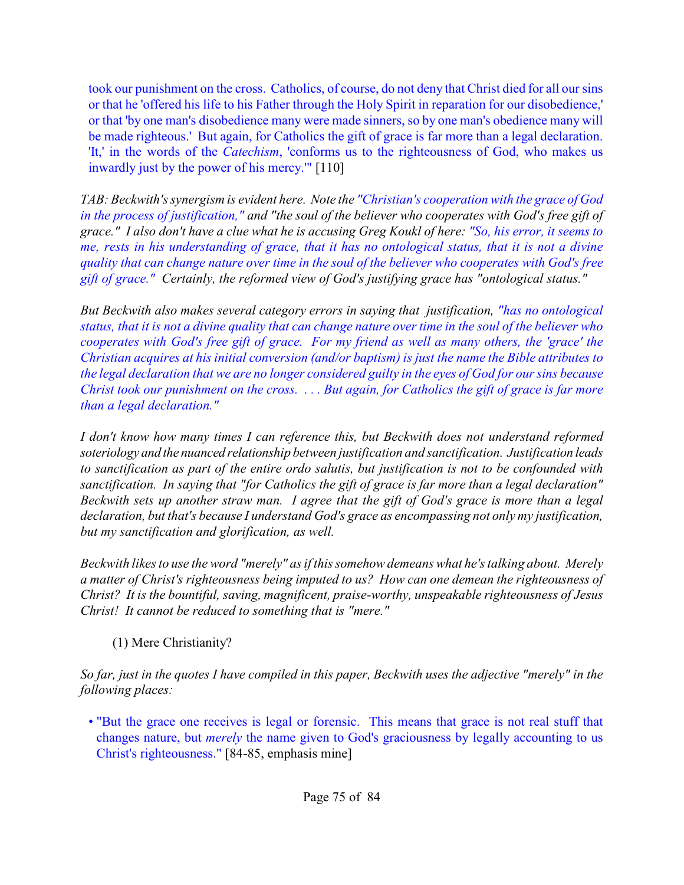took our punishment on the cross. Catholics, of course, do not deny that Christ died for all our sins or that he 'offered his life to his Father through the Holy Spirit in reparation for our disobedience,' or that 'by one man's disobedience many were made sinners, so by one man's obedience many will be made righteous.' But again, for Catholics the gift of grace is far more than a legal declaration. 'It,' in the words of the *Catechism*, 'conforms us to the righteousness of God, who makes us inwardly just by the power of his mercy.'" [110]

*TAB: Beckwith's synergism is evident here. Note the "Christian's cooperation with the grace of God in the process of justification," and "the soul of the believer who cooperates with God's free gift of grace." I also don't have a clue what he is accusing Greg Koukl of here: "So, his error, it seems to me, rests in his understanding of grace, that it has no ontological status, that it is not a divine quality that can change nature over time in the soul of the believer who cooperates with God's free gift of grace." Certainly, the reformed view of God's justifying grace has "ontological status."* 

*But Beckwith also makes several category errors in saying that justification, "has no ontological status, that it is not a divine quality that can change nature over time in the soul of the believer who cooperates with God's free gift of grace. For my friend as well as many others, the 'grace' the Christian acquires at hisinitial conversion (and/or baptism) is just the name the Bible attributes to the legal declaration that we are no longer considered guilty in the eyes of God for our sins because Christ took our punishment on the cross. . . . But again, for Catholics the gift of grace is far more than a legal declaration."* 

*I don't know how many times I can reference this, but Beckwith does not understand reformed soteriology and the nuanced relationship between justification and sanctification. Justification leads to sanctification as part of the entire ordo salutis, but justification is not to be confounded with sanctification. In saying that "for Catholics the gift of grace is far more than a legal declaration" Beckwith sets up another straw man. I agree that the gift of God's grace is more than a legal declaration, but that's because I understand God's grace as encompassing not only my justification, but my sanctification and glorification, as well.*

*Beckwith likes to use the word "merely" as if this somehow demeans what he's talking about. Merely a matter of Christ's righteousness being imputed to us? How can one demean the righteousness of Christ? It is the bountiful, saving, magnificent, praise-worthy, unspeakable righteousness of Jesus Christ! It cannot be reduced to something that is "mere."* 

(1) Mere Christianity?

*So far, just in the quotes I have compiled in this paper, Beckwith uses the adjective "merely" in the following places:*

• "But the grace one receives is legal or forensic. This means that grace is not real stuff that changes nature, but *merely* the name given to God's graciousness by legally accounting to us Christ's righteousness." [84-85, emphasis mine]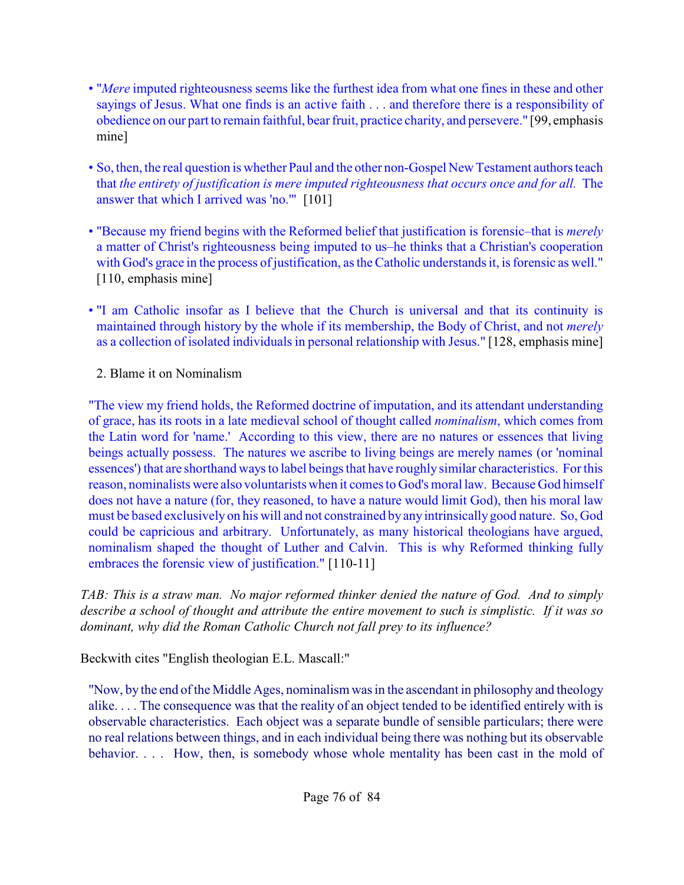- "*Mere* imputed righteousness seems like the furthest idea from what one fines in these and other sayings of Jesus. What one finds is an active faith . . . and therefore there is a responsibility of obedience on our part to remain faithful, bearfruit, practice charity, and persevere." [99, emphasis mine]
- So, then, the real question is whether Paul and the other non-Gospel New Testament authors teach that *the entirety of justification is mere imputed righteousness that occurs once and for all.* The answer that which I arrived was 'no.'" [101]
- "Because my friend begins with the Reformed belief that justification is forensic–that is *merely* a matter of Christ's righteousness being imputed to us–he thinks that a Christian's cooperation with God's grace in the process of justification, as the Catholic understands it, is forensic as well." [110, emphasis mine]
- "I am Catholic insofar as I believe that the Church is universal and that its continuity is maintained through history by the whole if its membership, the Body of Christ, and not *merely* as a collection of isolated individuals in personal relationship with Jesus." [128, emphasis mine]

### 2. Blame it on Nominalism

"The view my friend holds, the Reformed doctrine of imputation, and its attendant understanding of grace, has its roots in a late medieval school of thought called *nominalism*, which comes from the Latin word for 'name.' According to this view, there are no natures or essences that living beings actually possess. The natures we ascribe to living beings are merely names (or 'nominal essences') that are shorthand ways to label beings that have roughly similar characteristics. For this reason, nominalists were also voluntarists when it comes to God's moral law. Because God himself does not have a nature (for, they reasoned, to have a nature would limit God), then his moral law must be based exclusively on his will and not constrained by any intrinsically good nature. So, God could be capricious and arbitrary. Unfortunately, as many historical theologians have argued, nominalism shaped the thought of Luther and Calvin. This is why Reformed thinking fully embraces the forensic view of justification." [110-11]

*TAB: This is a straw man. No major reformed thinker denied the nature of God. And to simply describe a school of thought and attribute the entire movement to such is simplistic. If it was so dominant, why did the Roman Catholic Church not fall prey to its influence?*

Beckwith cites "English theologian E.L. Mascall:"

"Now, by the end of the Middle Ages, nominalism wasin the ascendant in philosophy and theology alike. . . . The consequence was that the reality of an object tended to be identified entirely with is observable characteristics. Each object was a separate bundle of sensible particulars; there were no real relations between things, and in each individual being there was nothing but its observable behavior. . . . How, then, is somebody whose whole mentality has been cast in the mold of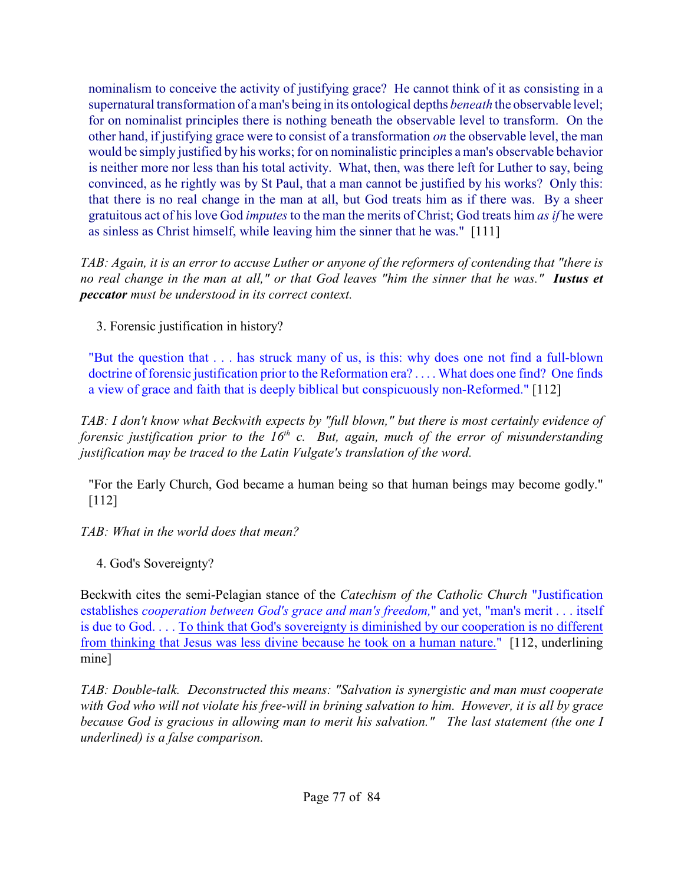nominalism to conceive the activity of justifying grace? He cannot think of it as consisting in a supernatural transformation of a man's being in its ontological depths *beneath* the observable level; for on nominalist principles there is nothing beneath the observable level to transform. On the other hand, if justifying grace were to consist of a transformation *on* the observable level, the man would be simply justified by his works; for on nominalistic principles a man's observable behavior is neither more nor less than his total activity. What, then, was there left for Luther to say, being convinced, as he rightly was by St Paul, that a man cannot be justified by his works? Only this: that there is no real change in the man at all, but God treats him as if there was. By a sheer gratuitous act of his love God *imputes* to the man the merits of Christ; God treats him *as if* he were as sinless as Christ himself, while leaving him the sinner that he was." [111]

*TAB: Again, it is an error to accuse Luther or anyone of the reformers of contending that "there is no real change in the man at all," or that God leaves "him the sinner that he was." Iustus et peccator must be understood in its correct context.*

3. Forensic justification in history?

"But the question that . . . has struck many of us, is this: why does one not find a full-blown doctrine of forensic justification prior to the Reformation era? . . . . What does one find? One finds a view of grace and faith that is deeply biblical but conspicuously non-Reformed." [112]

*TAB: I don't know what Beckwith expects by "full blown," but there is most certainly evidence of forensic justification prior to the 16<sup>th</sup> c. But, again, much of the error of misunderstanding justification may be traced to the Latin Vulgate's translation of the word.* 

"For the Early Church, God became a human being so that human beings may become godly." [112]

*TAB: What in the world does that mean?*

4. God's Sovereignty?

Beckwith cites the semi-Pelagian stance of the *Catechism of the Catholic Church* "Justification establishes *cooperation between God's grace and man's freedom,*" and yet, "man's merit . . . itself is due to God. . . . To think that God's sovereignty is diminished by our cooperation is no different from thinking that Jesus was less divine because he took on a human nature." [112, underlining mine]

*TAB: Double-talk. Deconstructed this means: "Salvation is synergistic and man must cooperate with God who will not violate his free-will in brining salvation to him. However, it is all by grace because God is gracious in allowing man to merit his salvation." The last statement (the one I underlined) is a false comparison.*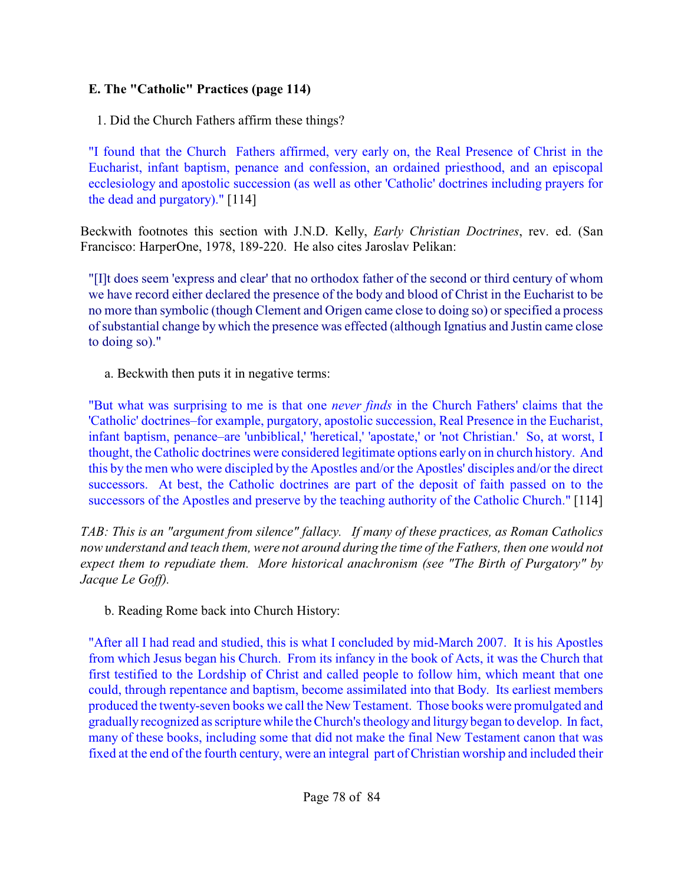### **E. The "Catholic" Practices (page 114)**

1. Did the Church Fathers affirm these things?

"I found that the Church Fathers affirmed, very early on, the Real Presence of Christ in the Eucharist, infant baptism, penance and confession, an ordained priesthood, and an episcopal ecclesiology and apostolic succession (as well as other 'Catholic' doctrines including prayers for the dead and purgatory)." [114]

Beckwith footnotes this section with J.N.D. Kelly, *Early Christian Doctrines*, rev. ed. (San Francisco: HarperOne, 1978, 189-220. He also cites Jaroslav Pelikan:

"[I]t does seem 'express and clear' that no orthodox father of the second or third century of whom we have record either declared the presence of the body and blood of Christ in the Eucharist to be no more than symbolic (though Clement and Origen came close to doing so) or specified a process of substantial change by which the presence was effected (although Ignatius and Justin came close to doing so)."

a. Beckwith then puts it in negative terms:

"But what was surprising to me is that one *never finds* in the Church Fathers' claims that the 'Catholic' doctrines–for example, purgatory, apostolic succession, Real Presence in the Eucharist, infant baptism, penance–are 'unbiblical,' 'heretical,' 'apostate,' or 'not Christian.' So, at worst, I thought, the Catholic doctrines were considered legitimate options early on in church history. And this by the men who were discipled by the Apostles and/or the Apostles' disciples and/or the direct successors. At best, the Catholic doctrines are part of the deposit of faith passed on to the successors of the Apostles and preserve by the teaching authority of the Catholic Church." [114]

*TAB: This is an "argument from silence" fallacy. If many of these practices, as Roman Catholics now understand and teach them, were not around during the time of the Fathers, then one would not expect them to repudiate them. More historical anachronism (see "The Birth of Purgatory" by Jacque Le Goff).*

b. Reading Rome back into Church History:

"After all I had read and studied, this is what I concluded by mid-March 2007. It is his Apostles from which Jesus began his Church. From its infancy in the book of Acts, it was the Church that first testified to the Lordship of Christ and called people to follow him, which meant that one could, through repentance and baptism, become assimilated into that Body. Its earliest members produced the twenty-seven books we call the New Testament. Those books were promulgated and gradually recognized as scripture while the Church's theology and liturgy began to develop. In fact, many of these books, including some that did not make the final New Testament canon that was fixed at the end of the fourth century, were an integral part of Christian worship and included their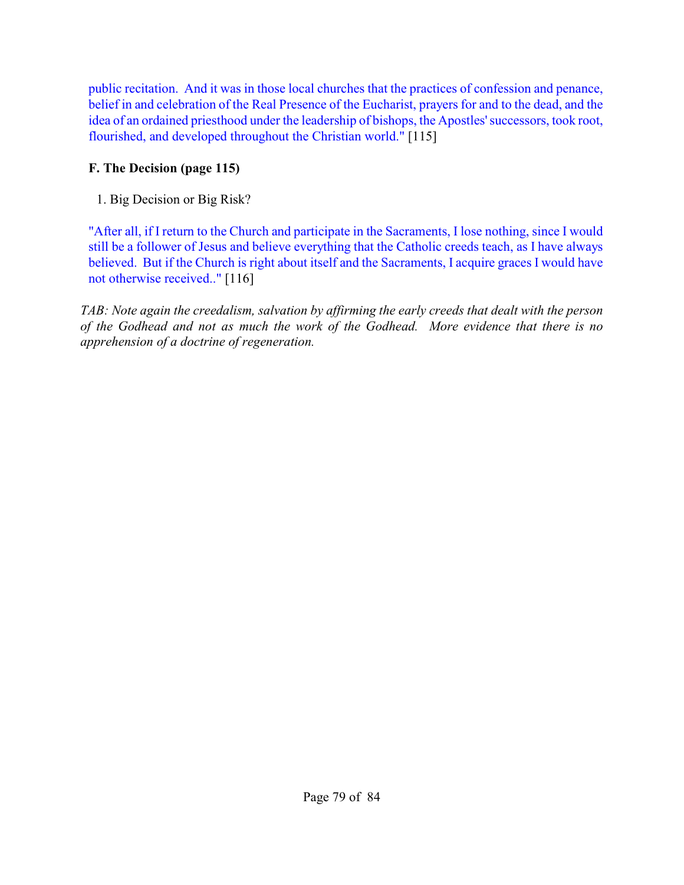public recitation. And it was in those local churches that the practices of confession and penance, belief in and celebration of the Real Presence of the Eucharist, prayers for and to the dead, and the idea of an ordained priesthood under the leadership of bishops, the Apostles' successors, took root, flourished, and developed throughout the Christian world." [115]

## **F. The Decision (page 115)**

1. Big Decision or Big Risk?

"After all, if I return to the Church and participate in the Sacraments, I lose nothing, since I would still be a follower of Jesus and believe everything that the Catholic creeds teach, as I have always believed. But if the Church is right about itself and the Sacraments, I acquire graces I would have not otherwise received.." [116]

*TAB: Note again the creedalism, salvation by affirming the early creeds that dealt with the person of the Godhead and not as much the work of the Godhead. More evidence that there is no apprehension of a doctrine of regeneration.*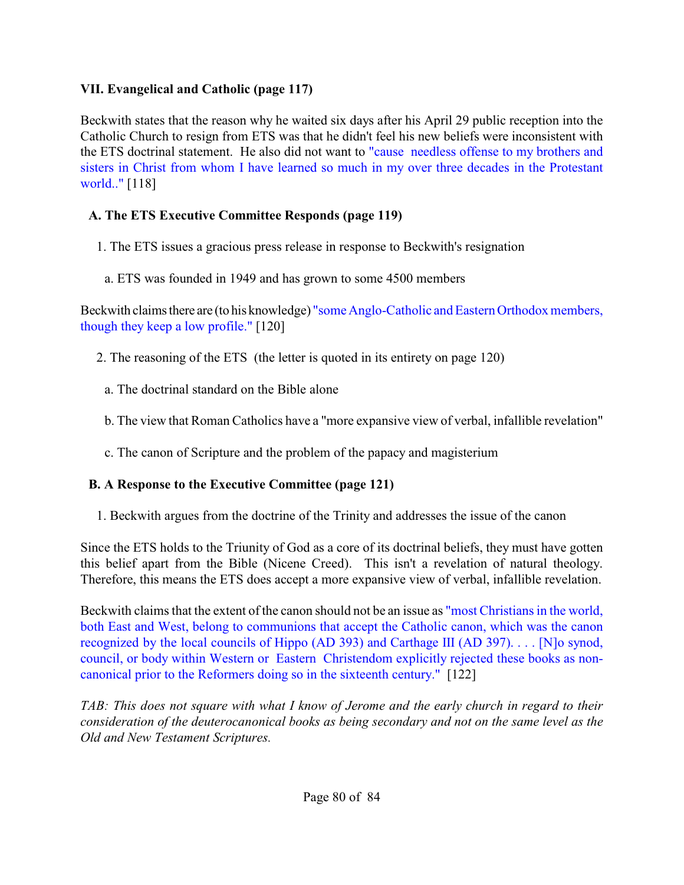### **VII. Evangelical and Catholic (page 117)**

Beckwith states that the reason why he waited six days after his April 29 public reception into the Catholic Church to resign from ETS was that he didn't feel his new beliefs were inconsistent with the ETS doctrinal statement. He also did not want to "cause needless offense to my brothers and sisters in Christ from whom I have learned so much in my over three decades in the Protestant world.." [118]

### **A. The ETS Executive Committee Responds (page 119)**

1. The ETS issues a gracious press release in response to Beckwith's resignation

### a. ETS was founded in 1949 and has grown to some 4500 members

Beckwith claims there are (to his knowledge) "some Anglo-Catholic and Eastern Orthodox members, though they keep a low profile." [120]

- 2. The reasoning of the ETS (the letter is quoted in its entirety on page 120)
	- a. The doctrinal standard on the Bible alone
	- b. The view that Roman Catholics have a "more expansive view of verbal, infallible revelation"
	- c. The canon of Scripture and the problem of the papacy and magisterium

## **B. A Response to the Executive Committee (page 121)**

1. Beckwith argues from the doctrine of the Trinity and addresses the issue of the canon

Since the ETS holds to the Triunity of God as a core of its doctrinal beliefs, they must have gotten this belief apart from the Bible (Nicene Creed). This isn't a revelation of natural theology. Therefore, this means the ETS does accept a more expansive view of verbal, infallible revelation.

Beckwith claims that the extent of the canon should not be an issue as "most Christians in the world, both East and West, belong to communions that accept the Catholic canon, which was the canon recognized by the local councils of Hippo (AD 393) and Carthage III (AD 397). . . . [N]o synod, council, or body within Western or Eastern Christendom explicitly rejected these books as noncanonical prior to the Reformers doing so in the sixteenth century." [122]

*TAB: This does not square with what I know of Jerome and the early church in regard to their consideration of the deuterocanonical books as being secondary and not on the same level as the Old and New Testament Scriptures.*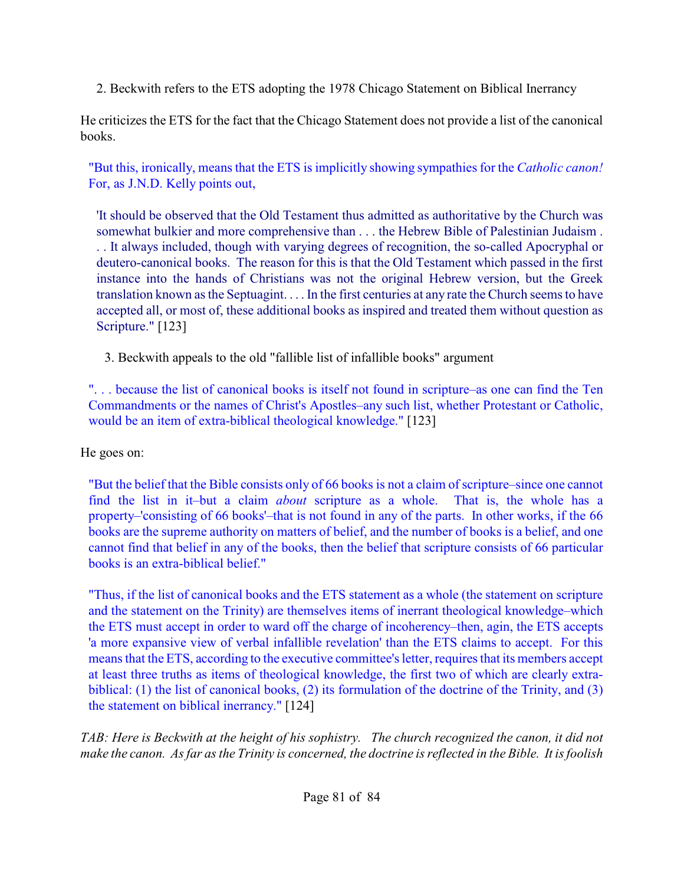2. Beckwith refers to the ETS adopting the 1978 Chicago Statement on Biblical Inerrancy

He criticizes the ETS for the fact that the Chicago Statement does not provide a list of the canonical books.

"But this, ironically, means that the ETS is implicitly showing sympathies for the *Catholic canon!* For, as J.N.D. Kelly points out,

'It should be observed that the Old Testament thus admitted as authoritative by the Church was somewhat bulkier and more comprehensive than . . . the Hebrew Bible of Palestinian Judaism . . . It always included, though with varying degrees of recognition, the so-called Apocryphal or deutero-canonical books. The reason for this is that the Old Testament which passed in the first instance into the hands of Christians was not the original Hebrew version, but the Greek translation known as the Septuagint. . . . In the first centuries at any rate the Church seems to have accepted all, or most of, these additional books as inspired and treated them without question as Scripture." [123]

3. Beckwith appeals to the old "fallible list of infallible books" argument

". . . because the list of canonical books is itself not found in scripture–as one can find the Ten Commandments or the names of Christ's Apostles–any such list, whether Protestant or Catholic, would be an item of extra-biblical theological knowledge." [123]

He goes on:

"But the belief that the Bible consists only of 66 books is not a claim of scripture–since one cannot find the list in it–but a claim *about* scripture as a whole. That is, the whole has a property–'consisting of 66 books'–that is not found in any of the parts. In other works, if the 66 books are the supreme authority on matters of belief, and the number of books is a belief, and one cannot find that belief in any of the books, then the belief that scripture consists of 66 particular books is an extra-biblical belief."

"Thus, if the list of canonical books and the ETS statement as a whole (the statement on scripture and the statement on the Trinity) are themselves items of inerrant theological knowledge–which the ETS must accept in order to ward off the charge of incoherency–then, agin, the ETS accepts 'a more expansive view of verbal infallible revelation' than the ETS claims to accept. For this means that the ETS, according to the executive committee's letter, requires that its members accept at least three truths as items of theological knowledge, the first two of which are clearly extrabiblical: (1) the list of canonical books, (2) its formulation of the doctrine of the Trinity, and (3) the statement on biblical inerrancy." [124]

*TAB: Here is Beckwith at the height of his sophistry. The church recognized the canon, it did not make the canon. As far as the Trinity is concerned, the doctrine is reflected in the Bible. It is foolish*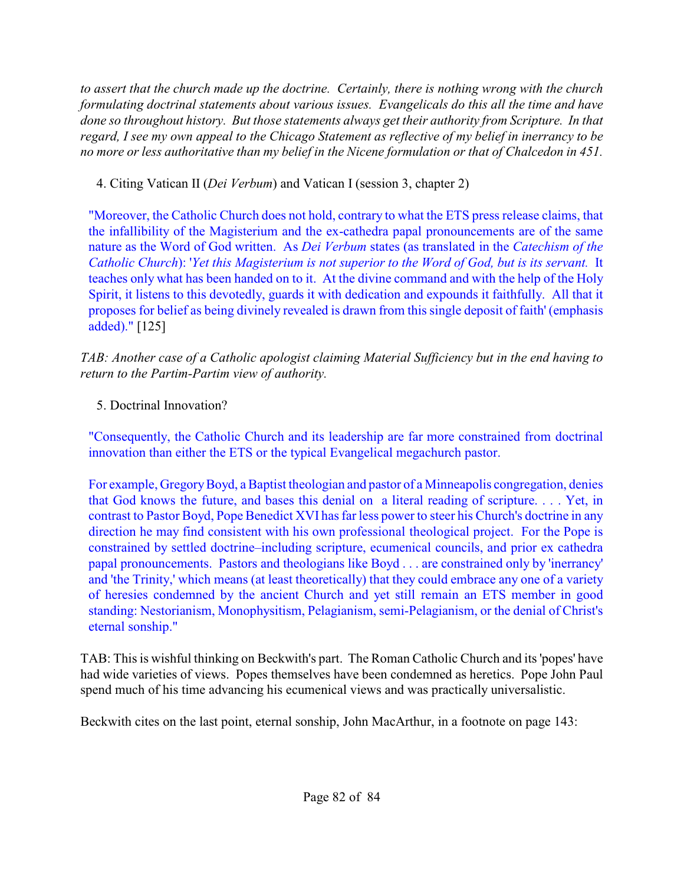*to assert that the church made up the doctrine. Certainly, there is nothing wrong with the church formulating doctrinal statements about various issues. Evangelicals do this all the time and have done so throughout history. But those statements always get their authority from Scripture. In that regard, I see my own appeal to the Chicago Statement as reflective of my belief in inerrancy to be no more or less authoritative than my belief in the Nicene formulation or that of Chalcedon in 451.*

4. Citing Vatican II (*Dei Verbum*) and Vatican I (session 3, chapter 2)

"Moreover, the Catholic Church does not hold, contrary to what the ETS press release claims, that the infallibility of the Magisterium and the ex-cathedra papal pronouncements are of the same nature as the Word of God written. As *Dei Verbum* states (as translated in the *Catechism of the Catholic Church*): '*Yet this Magisterium is not superior to the Word of God, but is its servant.* It teaches only what has been handed on to it. At the divine command and with the help of the Holy Spirit, it listens to this devotedly, guards it with dedication and expounds it faithfully. All that it proposes for belief as being divinely revealed is drawn from this single deposit of faith' (emphasis added)." [125]

*TAB: Another case of a Catholic apologist claiming Material Sufficiency but in the end having to return to the Partim-Partim view of authority.*

# 5. Doctrinal Innovation?

"Consequently, the Catholic Church and its leadership are far more constrained from doctrinal innovation than either the ETS or the typical Evangelical megachurch pastor.

For example, Gregory Boyd, a Baptist theologian and pastor of a Minneapolis congregation, denies that God knows the future, and bases this denial on a literal reading of scripture. . . . Yet, in contrast to Pastor Boyd, Pope Benedict XVI has far less power to steer his Church's doctrine in any direction he may find consistent with his own professional theological project. For the Pope is constrained by settled doctrine–including scripture, ecumenical councils, and prior ex cathedra papal pronouncements. Pastors and theologians like Boyd . . . are constrained only by 'inerrancy' and 'the Trinity,' which means (at least theoretically) that they could embrace any one of a variety of heresies condemned by the ancient Church and yet still remain an ETS member in good standing: Nestorianism, Monophysitism, Pelagianism, semi-Pelagianism, or the denial of Christ's eternal sonship."

TAB: This is wishful thinking on Beckwith's part. The Roman Catholic Church and its 'popes' have had wide varieties of views. Popes themselves have been condemned as heretics. Pope John Paul spend much of his time advancing his ecumenical views and was practically universalistic.

Beckwith cites on the last point, eternal sonship, John MacArthur, in a footnote on page 143: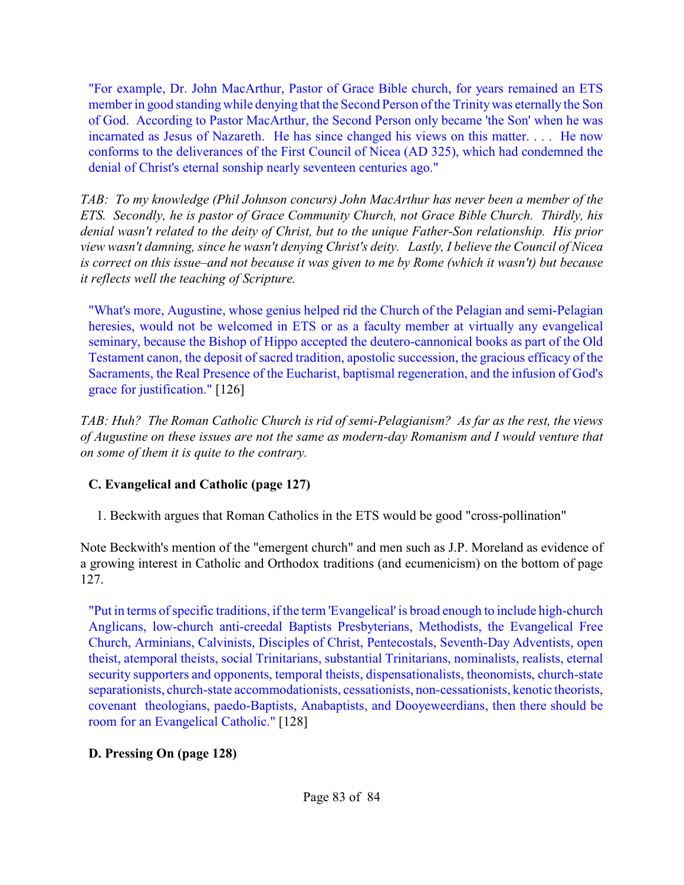"For example, Dr. John MacArthur, Pastor of Grace Bible church, for years remained an ETS member in good standing while denying that the Second Person of the Trinity was eternally the Son of God. According to Pastor MacArthur, the Second Person only became 'the Son' when he was incarnated as Jesus of Nazareth. He has since changed his views on this matter. . . . He now conforms to the deliverances of the First Council of Nicea (AD 325), which had condemned the denial of Christ's eternal sonship nearly seventeen centuries ago."

*TAB: To my knowledge (Phil Johnson concurs) John MacArthur has never been a member of the ETS. Secondly, he is pastor of Grace Community Church, not Grace Bible Church. Thirdly, his denial wasn't related to the deity of Christ, but to the unique Father-Son relationship. His prior view wasn't damning, since he wasn't denying Christ's deity. Lastly, I believe the Council of Nicea is correct on this issue–and not because it was given to me by Rome (which it wasn't) but because it reflects well the teaching of Scripture.*

"What's more, Augustine, whose genius helped rid the Church of the Pelagian and semi-Pelagian heresies, would not be welcomed in ETS or as a faculty member at virtually any evangelical seminary, because the Bishop of Hippo accepted the deutero-cannonical books as part of the Old Testament canon, the deposit of sacred tradition, apostolic succession, the gracious efficacy of the Sacraments, the Real Presence of the Eucharist, baptismal regeneration, and the infusion of God's grace for justification." [126]

*TAB: Huh? The Roman Catholic Church is rid of semi-Pelagianism? As far as the rest, the views of Augustine on these issues are not the same as modern-day Romanism and I would venture that on some of them it is quite to the contrary.*

### **C. Evangelical and Catholic (page 127)**

1. Beckwith argues that Roman Catholics in the ETS would be good "cross-pollination"

Note Beckwith's mention of the "emergent church" and men such as J.P. Moreland as evidence of a growing interest in Catholic and Orthodox traditions (and ecumenicism) on the bottom of page 127.

"Put in terms of specific traditions, if the term 'Evangelical' is broad enough to include high-church Anglicans, low-church anti-creedal Baptists Presbyterians, Methodists, the Evangelical Free Church, Arminians, Calvinists, Disciples of Christ, Pentecostals, Seventh-Day Adventists, open theist, atemporal theists, social Trinitarians, substantial Trinitarians, nominalists, realists, eternal security supporters and opponents, temporal theists, dispensationalists, theonomists, church-state separationists, church-state accommodationists, cessationists, non-cessationists, kenotic theorists, covenant theologians, paedo-Baptists, Anabaptists, and Dooyeweerdians, then there should be room for an Evangelical Catholic." [128]

## **D. Pressing On (page 128)**